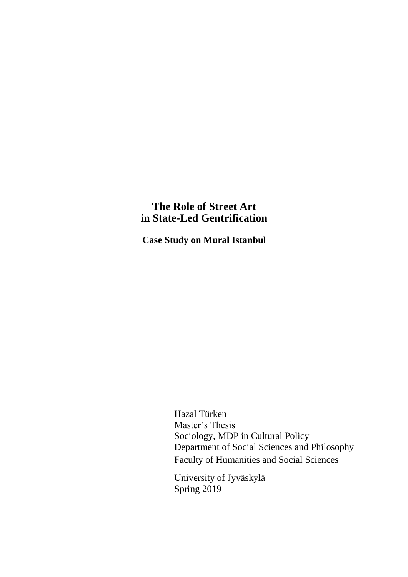# **The Role of Street Art in State-Led Gentrification**

**Case Study on Mural Istanbul**

Hazal Türken Master's Thesis Sociology, MDP in Cultural Policy Department of Social Sciences and Philosophy Faculty of Humanities and Social Sciences

University of Jyväskylä Spring 2019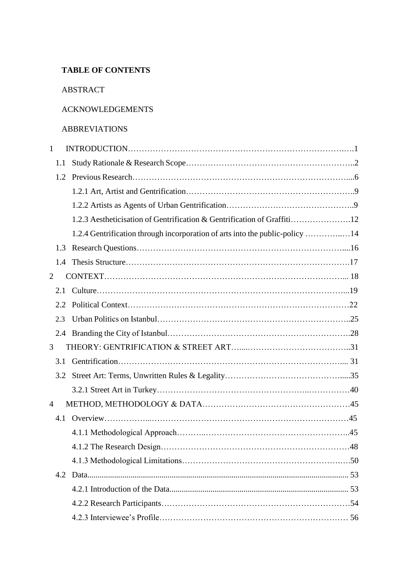# **TABLE OF CONTENTS**

#### ABSTRACT

### ACKNOWLEDGEMENTS

#### ABBREVIATIONS

| 1              |                                                                              |  |
|----------------|------------------------------------------------------------------------------|--|
| 1.1            |                                                                              |  |
| 1.2            |                                                                              |  |
|                |                                                                              |  |
|                |                                                                              |  |
|                | 1.2.3 Aestheticisation of Gentrification & Gentrification of Graffiti12      |  |
|                | 1.2.4 Gentrification through incorporation of arts into the public-policy 14 |  |
| 1.3            |                                                                              |  |
| 1.4            |                                                                              |  |
| 2              |                                                                              |  |
| 2.1            |                                                                              |  |
| 2.2            |                                                                              |  |
| 2.3            |                                                                              |  |
| 2.4            |                                                                              |  |
| 3              |                                                                              |  |
| 3.1            |                                                                              |  |
| 3.2            |                                                                              |  |
|                |                                                                              |  |
| $\overline{4}$ |                                                                              |  |
| 4.1            |                                                                              |  |
|                |                                                                              |  |
|                |                                                                              |  |
|                |                                                                              |  |
| 4.2            |                                                                              |  |
|                |                                                                              |  |
|                |                                                                              |  |
|                |                                                                              |  |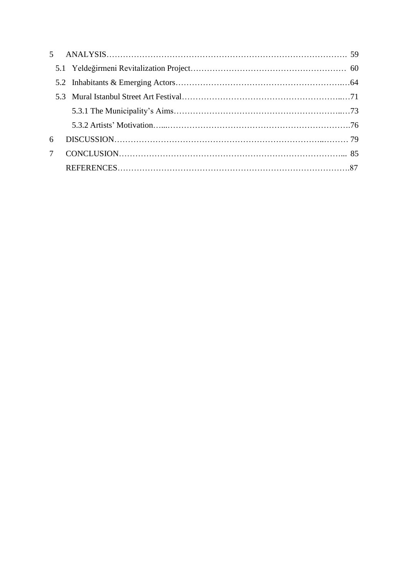| 6              |  |  |
|----------------|--|--|
| $7\phantom{0}$ |  |  |
|                |  |  |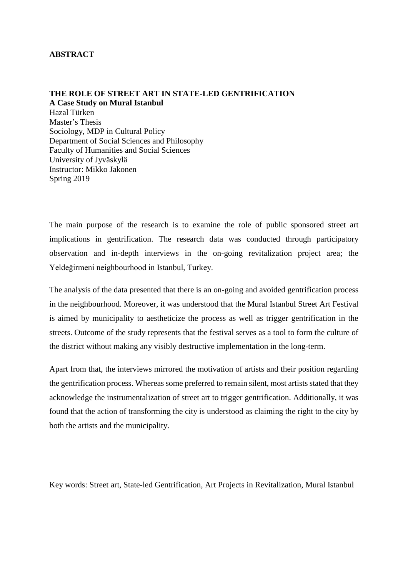#### **ABSTRACT**

#### **THE ROLE OF STREET ART IN STATE-LED GENTRIFICATION A Case Study on Mural Istanbul**

Hazal Türken Master's Thesis Sociology, MDP in Cultural Policy Department of Social Sciences and Philosophy Faculty of Humanities and Social Sciences University of Jyväskylä Instructor: Mikko Jakonen Spring 2019

The main purpose of the research is to examine the role of public sponsored street art implications in gentrification. The research data was conducted through participatory observation and in-depth interviews in the on-going revitalization project area; the Yeldeğirmeni neighbourhood in Istanbul, Turkey.

The analysis of the data presented that there is an on-going and avoided gentrification process in the neighbourhood. Moreover, it was understood that the Mural Istanbul Street Art Festival is aimed by municipality to aestheticize the process as well as trigger gentrification in the streets. Outcome of the study represents that the festival serves as a tool to form the culture of the district without making any visibly destructive implementation in the long-term.

Apart from that, the interviews mirrored the motivation of artists and their position regarding the gentrification process. Whereas some preferred to remain silent, most artists stated that they acknowledge the instrumentalization of street art to trigger gentrification. Additionally, it was found that the action of transforming the city is understood as claiming the right to the city by both the artists and the municipality.

Key words: Street art, State-led Gentrification, Art Projects in Revitalization, Mural Istanbul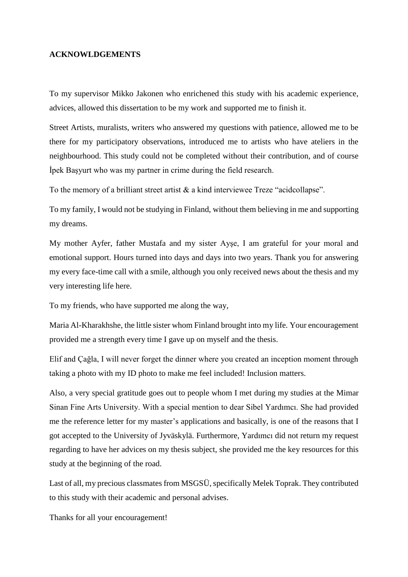#### **ACKNOWLDGEMENTS**

To my supervisor Mikko Jakonen who enrichened this study with his academic experience, advices, allowed this dissertation to be my work and supported me to finish it.

Street Artists, muralists, writers who answered my questions with patience, allowed me to be there for my participatory observations, introduced me to artists who have ateliers in the neighbourhood. This study could not be completed without their contribution, and of course İpek Başyurt who was my partner in crime during the field research.

To the memory of a brilliant street artist & a kind interviewee Treze "acidcollapse".

To my family, I would not be studying in Finland, without them believing in me and supporting my dreams.

My mother Ayfer, father Mustafa and my sister Ayşe, I am grateful for your moral and emotional support. Hours turned into days and days into two years. Thank you for answering my every face-time call with a smile, although you only received news about the thesis and my very interesting life here.

To my friends, who have supported me along the way,

Maria Al-Kharakhshe, the little sister whom Finland brought into my life. Your encouragement provided me a strength every time I gave up on myself and the thesis.

Elif and Çağla, I will never forget the dinner where you created an inception moment through taking a photo with my ID photo to make me feel included! Inclusion matters.

Also, a very special gratitude goes out to people whom I met during my studies at the Mimar Sinan Fine Arts University. With a special mention to dear Sibel Yardımcı. She had provided me the reference letter for my master's applications and basically, is one of the reasons that I got accepted to the University of Jyväskylä. Furthermore, Yardımcı did not return my request regarding to have her advices on my thesis subject, she provided me the key resources for this study at the beginning of the road.

Last of all, my precious classmates from MSGSÜ, specifically Melek Toprak. They contributed to this study with their academic and personal advises.

Thanks for all your encouragement!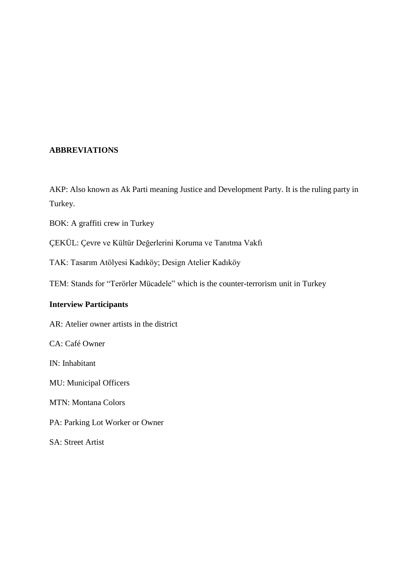### **ABBREVIATIONS**

AKP: Also known as Ak Parti meaning Justice and Development Party. It is the ruling party in Turkey.

BOK: A graffiti crew in Turkey

ÇEKÜL: Çevre ve Kültür Değerlerini Koruma ve Tanıtma Vakfı

TAK: Tasarım Atölyesi Kadıköy; Design Atelier Kadıköy

TEM: Stands for "Terörler Mücadele" which is the counter-terrorism unit in Turkey

### **Interview Participants**

AR: Atelier owner artists in the district

CA: Café Owner

IN: Inhabitant

MU: Municipal Officers

MTN: Montana Colors

PA: Parking Lot Worker or Owner

SA: Street Artist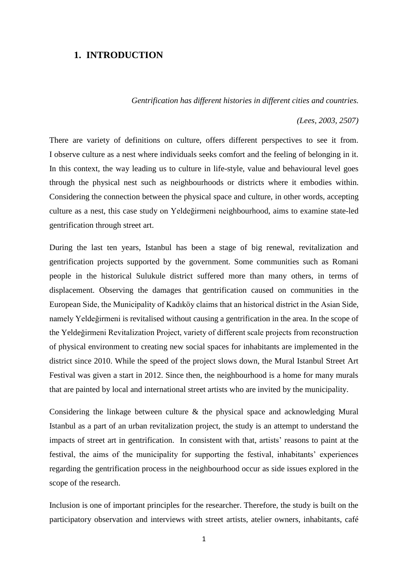#### **1. INTRODUCTION**

 *Gentrification has different histories in different cities and countries.*

*(Lees, 2003, 2507)*

There are variety of definitions on culture, offers different perspectives to see it from. I observe culture as a nest where individuals seeks comfort and the feeling of belonging in it. In this context, the way leading us to culture in life-style, value and behavioural level goes through the physical nest such as neighbourhoods or districts where it embodies within. Considering the connection between the physical space and culture, in other words, accepting culture as a nest, this case study on Yeldeğirmeni neighbourhood, aims to examine state-led gentrification through street art.

During the last ten years, Istanbul has been a stage of big renewal, revitalization and gentrification projects supported by the government. Some communities such as Romani people in the historical Sulukule district suffered more than many others, in terms of displacement. Observing the damages that gentrification caused on communities in the European Side, the Municipality of Kadıköy claims that an historical district in the Asian Side, namely Yeldeğirmeni is revitalised without causing a gentrification in the area. In the scope of the Yeldeğirmeni Revitalization Project, variety of different scale projects from reconstruction of physical environment to creating new social spaces for inhabitants are implemented in the district since 2010. While the speed of the project slows down, the Mural Istanbul Street Art Festival was given a start in 2012. Since then, the neighbourhood is a home for many murals that are painted by local and international street artists who are invited by the municipality.

Considering the linkage between culture & the physical space and acknowledging Mural Istanbul as a part of an urban revitalization project, the study is an attempt to understand the impacts of street art in gentrification. In consistent with that, artists' reasons to paint at the festival, the aims of the municipality for supporting the festival, inhabitants' experiences regarding the gentrification process in the neighbourhood occur as side issues explored in the scope of the research.

Inclusion is one of important principles for the researcher. Therefore, the study is built on the participatory observation and interviews with street artists, atelier owners, inhabitants, café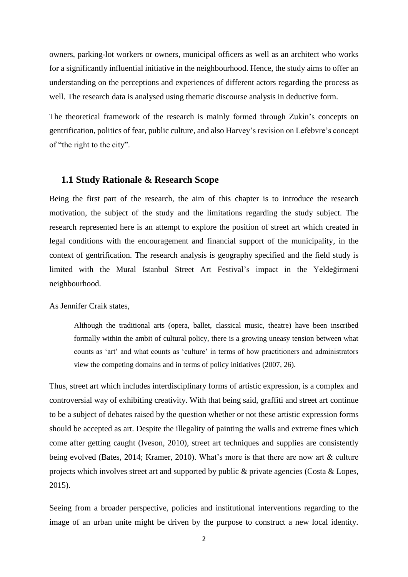owners, parking-lot workers or owners, municipal officers as well as an architect who works for a significantly influential initiative in the neighbourhood. Hence, the study aims to offer an understanding on the perceptions and experiences of different actors regarding the process as well. The research data is analysed using thematic discourse analysis in deductive form.

The theoretical framework of the research is mainly formed through Zukin's concepts on gentrification, politics of fear, public culture, and also Harvey's revision on Lefebvre's concept of "the right to the city".

#### **1.1 Study Rationale & Research Scope**

Being the first part of the research, the aim of this chapter is to introduce the research motivation, the subject of the study and the limitations regarding the study subject. The research represented here is an attempt to explore the position of street art which created in legal conditions with the encouragement and financial support of the municipality, in the context of gentrification. The research analysis is geography specified and the field study is limited with the Mural Istanbul Street Art Festival's impact in the Yeldeğirmeni neighbourhood.

As Jennifer Craik states,

Although the traditional arts (opera, ballet, classical music, theatre) have been inscribed formally within the ambit of cultural policy, there is a growing uneasy tension between what counts as 'art' and what counts as 'culture' in terms of how practitioners and administrators view the competing domains and in terms of policy initiatives (2007, 26).

Thus, street art which includes interdisciplinary forms of artistic expression, is a complex and controversial way of exhibiting creativity. With that being said, graffiti and street art continue to be a subject of debates raised by the question whether or not these artistic expression forms should be accepted as art. Despite the illegality of painting the walls and extreme fines which come after getting caught (Iveson, 2010), street art techniques and supplies are consistently being evolved (Bates, 2014; Kramer, 2010). What's more is that there are now art & culture projects which involves street art and supported by public & private agencies (Costa & Lopes, 2015).

Seeing from a broader perspective, policies and institutional interventions regarding to the image of an urban unite might be driven by the purpose to construct a new local identity.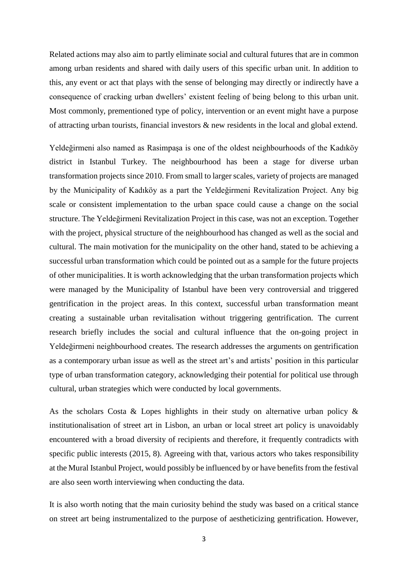Related actions may also aim to partly eliminate social and cultural futures that are in common among urban residents and shared with daily users of this specific urban unit. In addition to this, any event or act that plays with the sense of belonging may directly or indirectly have a consequence of cracking urban dwellers' existent feeling of being belong to this urban unit. Most commonly, prementioned type of policy, intervention or an event might have a purpose of attracting urban tourists, financial investors & new residents in the local and global extend.

Yeldeğirmeni also named as Rasimpaşa is one of the oldest neighbourhoods of the Kadıköy district in Istanbul Turkey. The neighbourhood has been a stage for diverse urban transformation projects since 2010. From small to larger scales, variety of projects are managed by the Municipality of Kadıköy as a part the Yeldeğirmeni Revitalization Project. Any big scale or consistent implementation to the urban space could cause a change on the social structure. The Yeldeğirmeni Revitalization Project in this case, was not an exception. Together with the project, physical structure of the neighbourhood has changed as well as the social and cultural. The main motivation for the municipality on the other hand, stated to be achieving a successful urban transformation which could be pointed out as a sample for the future projects of other municipalities. It is worth acknowledging that the urban transformation projects which were managed by the Municipality of Istanbul have been very controversial and triggered gentrification in the project areas. In this context, successful urban transformation meant creating a sustainable urban revitalisation without triggering gentrification. The current research briefly includes the social and cultural influence that the on-going project in Yeldeğirmeni neighbourhood creates. The research addresses the arguments on gentrification as a contemporary urban issue as well as the street art's and artists' position in this particular type of urban transformation category, acknowledging their potential for political use through cultural, urban strategies which were conducted by local governments.

As the scholars Costa & Lopes highlights in their study on alternative urban policy  $\&$ institutionalisation of street art in Lisbon, an urban or local street art policy is unavoidably encountered with a broad diversity of recipients and therefore, it frequently contradicts with specific public interests (2015, 8). Agreeing with that, various actors who takes responsibility at the Mural Istanbul Project, would possibly be influenced by or have benefits from the festival are also seen worth interviewing when conducting the data.

It is also worth noting that the main curiosity behind the study was based on a critical stance on street art being instrumentalized to the purpose of aestheticizing gentrification. However,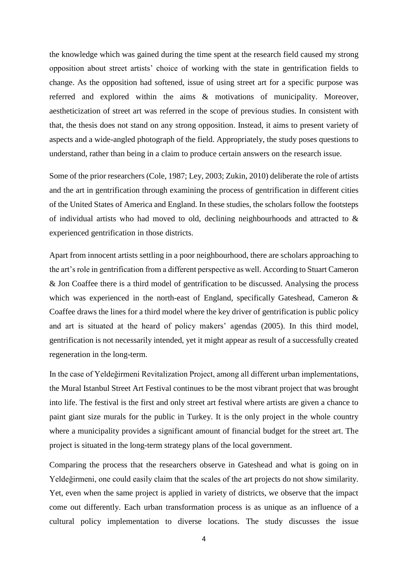the knowledge which was gained during the time spent at the research field caused my strong opposition about street artists' choice of working with the state in gentrification fields to change. As the opposition had softened, issue of using street art for a specific purpose was referred and explored within the aims & motivations of municipality. Moreover, aestheticization of street art was referred in the scope of previous studies. In consistent with that, the thesis does not stand on any strong opposition. Instead, it aims to present variety of aspects and a wide-angled photograph of the field. Appropriately, the study poses questions to understand, rather than being in a claim to produce certain answers on the research issue.

Some of the prior researchers (Cole, 1987; Ley, 2003; Zukin, 2010) deliberate the role of artists and the art in gentrification through examining the process of gentrification in different cities of the United States of America and England. In these studies, the scholars follow the footsteps of individual artists who had moved to old, declining neighbourhoods and attracted to & experienced gentrification in those districts.

Apart from innocent artists settling in a poor neighbourhood, there are scholars approaching to the art's role in gentrification from a different perspective as well. According to Stuart Cameron & Jon Coaffee there is a third model of gentrification to be discussed. Analysing the process which was experienced in the north-east of England, specifically Gateshead, Cameron & Coaffee draws the lines for a third model where the key driver of gentrification is public policy and art is situated at the heard of policy makers' agendas (2005). In this third model, gentrification is not necessarily intended, yet it might appear as result of a successfully created regeneration in the long-term.

In the case of Yeldeğirmeni Revitalization Project, among all different urban implementations, the Mural Istanbul Street Art Festival continues to be the most vibrant project that was brought into life. The festival is the first and only street art festival where artists are given a chance to paint giant size murals for the public in Turkey. It is the only project in the whole country where a municipality provides a significant amount of financial budget for the street art. The project is situated in the long-term strategy plans of the local government.

Comparing the process that the researchers observe in Gateshead and what is going on in Yeldeğirmeni, one could easily claim that the scales of the art projects do not show similarity. Yet, even when the same project is applied in variety of districts, we observe that the impact come out differently. Each urban transformation process is as unique as an influence of a cultural policy implementation to diverse locations. The study discusses the issue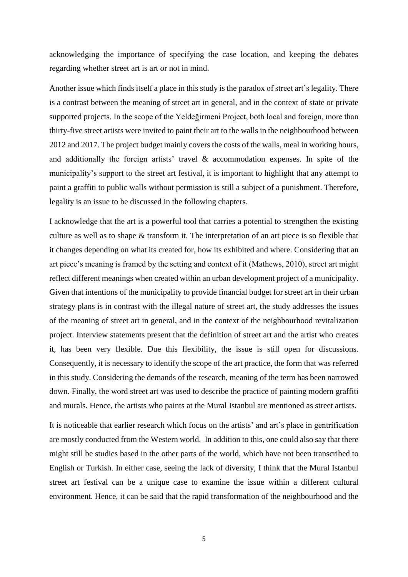acknowledging the importance of specifying the case location, and keeping the debates regarding whether street art is art or not in mind.

Another issue which finds itself a place in this study is the paradox of street art's legality. There is a contrast between the meaning of street art in general, and in the context of state or private supported projects. In the scope of the Yeldeğirmeni Project, both local and foreign, more than thirty-five street artists were invited to paint their art to the walls in the neighbourhood between 2012 and 2017. The project budget mainly covers the costs of the walls, meal in working hours, and additionally the foreign artists' travel & accommodation expenses. In spite of the municipality's support to the street art festival, it is important to highlight that any attempt to paint a graffiti to public walls without permission is still a subject of a punishment. Therefore, legality is an issue to be discussed in the following chapters.

I acknowledge that the art is a powerful tool that carries a potential to strengthen the existing culture as well as to shape & transform it. The interpretation of an art piece is so flexible that it changes depending on what its created for, how its exhibited and where. Considering that an art piece's meaning is framed by the setting and context of it (Mathews, 2010), street art might reflect different meanings when created within an urban development project of a municipality. Given that intentions of the municipality to provide financial budget for street art in their urban strategy plans is in contrast with the illegal nature of street art, the study addresses the issues of the meaning of street art in general, and in the context of the neighbourhood revitalization project. Interview statements present that the definition of street art and the artist who creates it, has been very flexible. Due this flexibility, the issue is still open for discussions. Consequently, it is necessary to identify the scope of the art practice, the form that was referred in this study. Considering the demands of the research, meaning of the term has been narrowed down. Finally, the word street art was used to describe the practice of painting modern graffiti and murals. Hence, the artists who paints at the Mural Istanbul are mentioned as street artists.

It is noticeable that earlier research which focus on the artists' and art's place in gentrification are mostly conducted from the Western world. In addition to this, one could also say that there might still be studies based in the other parts of the world, which have not been transcribed to English or Turkish. In either case, seeing the lack of diversity, I think that the Mural Istanbul street art festival can be a unique case to examine the issue within a different cultural environment. Hence, it can be said that the rapid transformation of the neighbourhood and the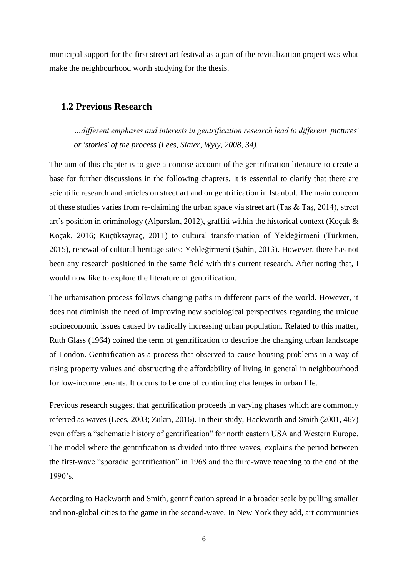municipal support for the first street art festival as a part of the revitalization project was what make the neighbourhood worth studying for the thesis.

### **1.2 Previous Research**

*…different emphases and interests in gentrification research lead to different 'pictures' or 'stories' of the process (Lees, Slater, Wyly, 2008, 34).*

The aim of this chapter is to give a concise account of the gentrification literature to create a base for further discussions in the following chapters. It is essential to clarify that there are scientific research and articles on street art and on gentrification in Istanbul. The main concern of these studies varies from re-claiming the urban space via street art (Taş & Taş, 2014), street art's position in criminology (Alparslan, 2012), graffiti within the historical context (Koçak & Koçak, 2016; Küçüksayraç, 2011) to cultural transformation of Yeldeğirmeni (Türkmen, 2015), renewal of cultural heritage sites: Yeldeğirmeni (Şahin, 2013). However, there has not been any research positioned in the same field with this current research. After noting that, I would now like to explore the literature of gentrification.

The urbanisation process follows changing paths in different parts of the world. However, it does not diminish the need of improving new sociological perspectives regarding the unique socioeconomic issues caused by radically increasing urban population. Related to this matter, Ruth Glass (1964) coined the term of gentrification to describe the changing urban landscape of London. Gentrification as a process that observed to cause housing problems in a way of rising property values and obstructing the affordability of living in general in neighbourhood for low-income tenants. It occurs to be one of continuing challenges in urban life.

Previous research suggest that gentrification proceeds in varying phases which are commonly referred as waves (Lees, 2003; Zukin, 2016). In their study, Hackworth and Smith (2001, 467) even offers a "schematic history of gentrification" for north eastern USA and Western Europe. The model where the gentrification is divided into three waves, explains the period between the first-wave "sporadic gentrification" in 1968 and the third-wave reaching to the end of the 1990's.

According to Hackworth and Smith, gentrification spread in a broader scale by pulling smaller and non-global cities to the game in the second-wave. In New York they add, art communities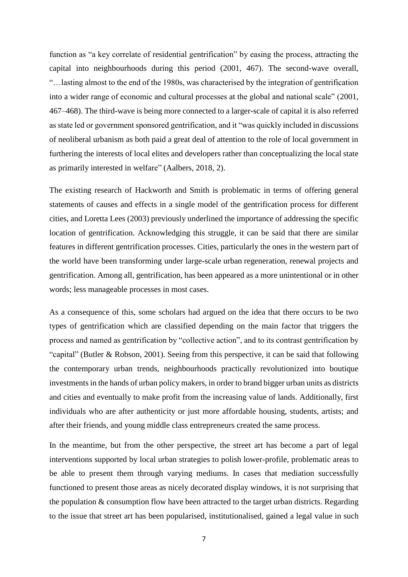function as "a key correlate of residential gentrification" by easing the process, attracting the capital into neighbourhoods during this period (2001, 467). The second-wave overall, "…lasting almost to the end of the 1980s, was characterised by the integration of gentrification into a wider range of economic and cultural processes at the global and national scale" (2001, 467–468). The third-wave is being more connected to a larger-scale of capital it is also referred as state led or government sponsored gentrification, and it "was quickly included in discussions of neoliberal urbanism as both paid a great deal of attention to the role of local government in furthering the interests of local elites and developers rather than conceptualizing the local state as primarily interested in welfare" (Aalbers, 2018, 2).

The existing research of Hackworth and Smith is problematic in terms of offering general statements of causes and effects in a single model of the gentrification process for different cities, and Loretta Lees (2003) previously underlined the importance of addressing the specific location of gentrification. Acknowledging this struggle, it can be said that there are similar features in different gentrification processes. Cities, particularly the ones in the western part of the world have been transforming under large-scale urban regeneration, renewal projects and gentrification. Among all, gentrification, has been appeared as a more unintentional or in other words; less manageable processes in most cases.

As a consequence of this, some scholars had argued on the idea that there occurs to be two types of gentrification which are classified depending on the main factor that triggers the process and named as gentrification by "collective action", and to its contrast gentrification by "capital" (Butler & Robson, 2001). Seeing from this perspective, it can be said that following the contemporary urban trends, neighbourhoods practically revolutionized into boutique investments in the hands of urban policy makers, in order to brand bigger urban units as districts and cities and eventually to make profit from the increasing value of lands. Additionally, first individuals who are after authenticity or just more affordable housing, students, artists; and after their friends, and young middle class entrepreneurs created the same process.

In the meantime, but from the other perspective, the street art has become a part of legal interventions supported by local urban strategies to polish lower-profile, problematic areas to be able to present them through varying mediums. In cases that mediation successfully functioned to present those areas as nicely decorated display windows, it is not surprising that the population & consumption flow have been attracted to the target urban districts. Regarding to the issue that street art has been popularised, institutionalised, gained a legal value in such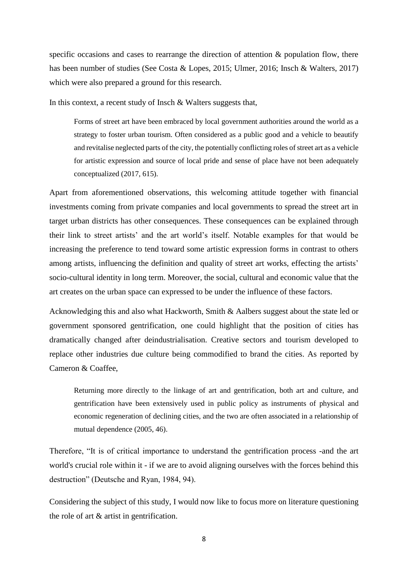specific occasions and cases to rearrange the direction of attention & population flow, there has been number of studies (See Costa & Lopes, 2015; Ulmer, 2016; Insch & Walters, 2017) which were also prepared a ground for this research.

In this context, a recent study of Insch & Walters suggests that,

Forms of street art have been embraced by local government authorities around the world as a strategy to foster urban tourism. Often considered as a public good and a vehicle to beautify and revitalise neglected parts of the city, the potentially conflicting roles of street art as a vehicle for artistic expression and source of local pride and sense of place have not been adequately conceptualized (2017, 615).

Apart from aforementioned observations, this welcoming attitude together with financial investments coming from private companies and local governments to spread the street art in target urban districts has other consequences. These consequences can be explained through their link to street artists' and the art world's itself. Notable examples for that would be increasing the preference to tend toward some artistic expression forms in contrast to others among artists, influencing the definition and quality of street art works, effecting the artists' socio-cultural identity in long term. Moreover, the social, cultural and economic value that the art creates on the urban space can expressed to be under the influence of these factors.

Acknowledging this and also what Hackworth, Smith & Aalbers suggest about the state led or government sponsored gentrification, one could highlight that the position of cities has dramatically changed after deindustrialisation. Creative sectors and tourism developed to replace other industries due culture being commodified to brand the cities. As reported by Cameron & Coaffee,

Returning more directly to the linkage of art and gentrification, both art and culture, and gentrification have been extensively used in public policy as instruments of physical and economic regeneration of declining cities, and the two are often associated in a relationship of mutual dependence (2005, 46).

Therefore, "It is of critical importance to understand the gentrification process -and the art world's crucial role within it - if we are to avoid aligning ourselves with the forces behind this destruction" (Deutsche and Ryan, 1984, 94).

Considering the subject of this study, I would now like to focus more on literature questioning the role of art & artist in gentrification.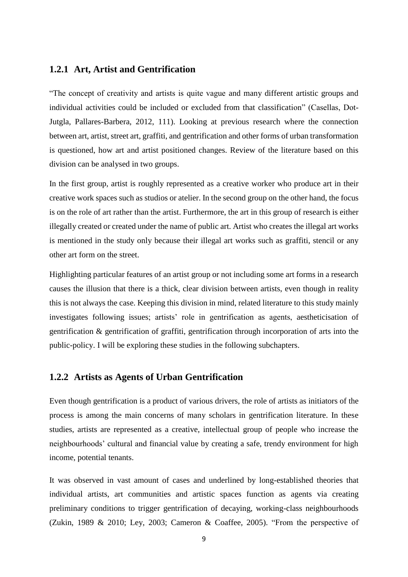### **1.2.1 Art, Artist and Gentrification**

"The concept of creativity and artists is quite vague and many different artistic groups and individual activities could be included or excluded from that classification" (Casellas, Dot-Jutgla, Pallares-Barbera, 2012, 111). Looking at previous research where the connection between art, artist, street art, graffiti, and gentrification and other forms of urban transformation is questioned, how art and artist positioned changes. Review of the literature based on this division can be analysed in two groups.

In the first group, artist is roughly represented as a creative worker who produce art in their creative work spaces such as studios or atelier. In the second group on the other hand, the focus is on the role of art rather than the artist. Furthermore, the art in this group of research is either illegally created or created under the name of public art. Artist who creates the illegal art works is mentioned in the study only because their illegal art works such as graffiti, stencil or any other art form on the street.

Highlighting particular features of an artist group or not including some art forms in a research causes the illusion that there is a thick, clear division between artists, even though in reality this is not always the case. Keeping this division in mind, related literature to this study mainly investigates following issues; artists' role in gentrification as agents, aestheticisation of gentrification & gentrification of graffiti, gentrification through incorporation of arts into the public-policy. I will be exploring these studies in the following subchapters.

#### **1.2.2 Artists as Agents of Urban Gentrification**

Even though gentrification is a product of various drivers, the role of artists as initiators of the process is among the main concerns of many scholars in gentrification literature. In these studies, artists are represented as a creative, intellectual group of people who increase the neighbourhoods' cultural and financial value by creating a safe, trendy environment for high income, potential tenants.

It was observed in vast amount of cases and underlined by long-established theories that individual artists, art communities and artistic spaces function as agents via creating preliminary conditions to trigger gentrification of decaying, working-class neighbourhoods (Zukin, 1989 & 2010; Ley, 2003; Cameron & Coaffee, 2005). "From the perspective of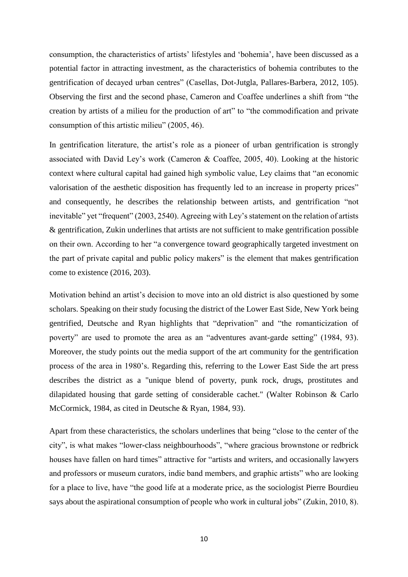consumption, the characteristics of artists' lifestyles and 'bohemia', have been discussed as a potential factor in attracting investment, as the characteristics of bohemia contributes to the gentrification of decayed urban centres" (Casellas, Dot-Jutgla, Pallares-Barbera, 2012, 105). Observing the first and the second phase, Cameron and Coaffee underlines a shift from "the creation by artists of a milieu for the production of art" to "the commodification and private consumption of this artistic milieu" (2005, 46).

In gentrification literature, the artist's role as a pioneer of urban gentrification is strongly associated with David Ley's work (Cameron & Coaffee, 2005, 40). Looking at the historic context where cultural capital had gained high symbolic value, Ley claims that "an economic valorisation of the aesthetic disposition has frequently led to an increase in property prices" and consequently, he describes the relationship between artists, and gentrification "not inevitable" yet "frequent" (2003, 2540). Agreeing with Ley's statement on the relation of artists & gentrification, Zukin underlines that artists are not sufficient to make gentrification possible on their own. According to her "a convergence toward geographically targeted investment on the part of private capital and public policy makers" is the element that makes gentrification come to existence (2016, 203).

Motivation behind an artist's decision to move into an old district is also questioned by some scholars. Speaking on their study focusing the district of the Lower East Side, New York being gentrified, Deutsche and Ryan highlights that "deprivation" and "the romanticization of poverty" are used to promote the area as an "adventures avant-garde setting" (1984, 93). Moreover, the study points out the media support of the art community for the gentrification process of the area in 1980's. Regarding this, referring to the Lower East Side the art press describes the district as a "unique blend of poverty, punk rock, drugs, prostitutes and dilapidated housing that garde setting of considerable cachet." (Walter Robinson & Carlo McCormick, 1984, as cited in Deutsche & Ryan, 1984, 93).

Apart from these characteristics, the scholars underlines that being "close to the center of the city", is what makes "lower-class neighbourhoods", "where gracious brownstone or redbrick houses have fallen on hard times" attractive for "artists and writers, and occasionally lawyers and professors or museum curators, indie band members, and graphic artists" who are looking for a place to live, have "the good life at a moderate price, as the sociologist Pierre Bourdieu says about the aspirational consumption of people who work in cultural jobs" (Zukin, 2010, 8).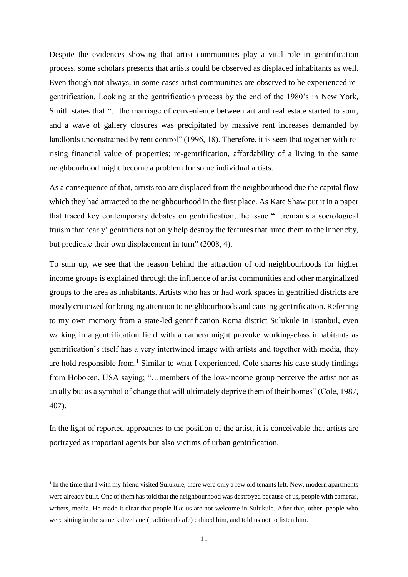Despite the evidences showing that artist communities play a vital role in gentrification process, some scholars presents that artists could be observed as displaced inhabitants as well. Even though not always, in some cases artist communities are observed to be experienced regentrification. Looking at the gentrification process by the end of the 1980's in New York, Smith states that "…the marriage of convenience between art and real estate started to sour, and a wave of gallery closures was precipitated by massive rent increases demanded by landlords unconstrained by rent control" (1996, 18). Therefore, it is seen that together with rerising financial value of properties; re-gentrification, affordability of a living in the same neighbourhood might become a problem for some individual artists.

As a consequence of that, artists too are displaced from the neighbourhood due the capital flow which they had attracted to the neighbourhood in the first place. As Kate Shaw put it in a paper that traced key contemporary debates on gentrification, the issue "…remains a sociological truism that 'early' gentrifiers not only help destroy the features that lured them to the inner city, but predicate their own displacement in turn" (2008, 4).

To sum up, we see that the reason behind the attraction of old neighbourhoods for higher income groups is explained through the influence of artist communities and other marginalized groups to the area as inhabitants. Artists who has or had work spaces in gentrified districts are mostly criticized for bringing attention to neighbourhoods and causing gentrification. Referring to my own memory from a state-led gentrification Roma district Sulukule in Istanbul, even walking in a gentrification field with a camera might provoke working-class inhabitants as gentrification's itself has a very intertwined image with artists and together with media, they are hold responsible from.<sup>1</sup> Similar to what I experienced, Cole shares his case study findings from Hoboken, USA saying; "…members of the low-income group perceive the artist not as an ally but as a symbol of change that will ultimately deprive them of their homes" (Cole, 1987, 407).

In the light of reported approaches to the position of the artist, it is conceivable that artists are portrayed as important agents but also victims of urban gentrification.

**.** 

<sup>&</sup>lt;sup>1</sup> In the time that I with my friend visited Sulukule, there were only a few old tenants left. New, modern apartments were already built. One of them has told that the neighbourhood was destroyed because of us, people with cameras, writers, media. He made it clear that people like us are not welcome in Sulukule. After that, other people who were sitting in the same kahvehane (traditional cafe) calmed him, and told us not to listen him.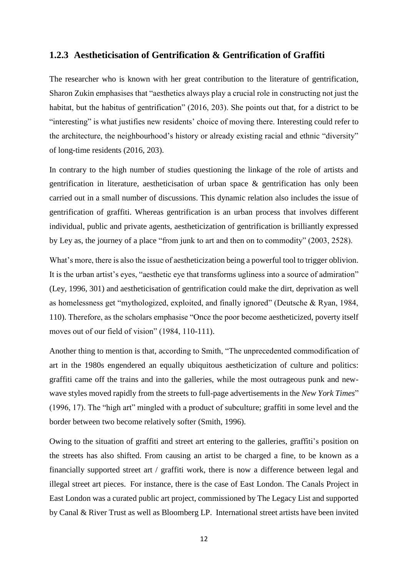# **1.2.3 Aestheticisation of Gentrification & Gentrification of Graffiti**

The researcher who is known with her great contribution to the literature of gentrification, Sharon Zukin emphasises that "aesthetics always play a crucial role in constructing not just the habitat, but the habitus of gentrification" (2016, 203). She points out that, for a district to be "interesting" is what justifies new residents' choice of moving there. Interesting could refer to the architecture, the neighbourhood's history or already existing racial and ethnic "diversity" of long-time residents (2016, 203).

In contrary to the high number of studies questioning the linkage of the role of artists and gentrification in literature, aestheticisation of urban space & gentrification has only been carried out in a small number of discussions. This dynamic relation also includes the issue of gentrification of graffiti. Whereas gentrification is an urban process that involves different individual, public and private agents, aestheticization of gentrification is brilliantly expressed by Ley as, the journey of a place "from junk to art and then on to commodity" (2003, 2528).

What's more, there is also the issue of aestheticization being a powerful tool to trigger oblivion. It is the urban artist's eyes, "aesthetic eye that transforms ugliness into a source of admiration" (Ley, 1996, 301) and aestheticisation of gentrification could make the dirt, deprivation as well as homelessness get "mythologized, exploited, and finally ignored" (Deutsche & Ryan, 1984, 110). Therefore, as the scholars emphasise "Once the poor become aestheticized, poverty itself moves out of our field of vision" (1984, 110-111).

Another thing to mention is that, according to Smith, "The unprecedented commodification of art in the 1980s engendered an equally ubiquitous aestheticization of culture and politics: graffiti came off the trains and into the galleries, while the most outrageous punk and newwave styles moved rapidly from the streets to full-page advertisements in the *New York Times*" (1996, 17). The "high art" mingled with a product of subculture; graffiti in some level and the border between two become relatively softer (Smith, 1996).

Owing to the situation of graffiti and street art entering to the galleries, graffiti's position on the streets has also shifted. From causing an artist to be charged a fine, to be known as a financially supported street art / graffiti work, there is now a difference between legal and illegal street art pieces. For instance, there is the case of East London. The Canals Project in East London was a curated public art project, commissioned by The Legacy List and supported by Canal & River Trust as well as Bloomberg LP. International street artists have been invited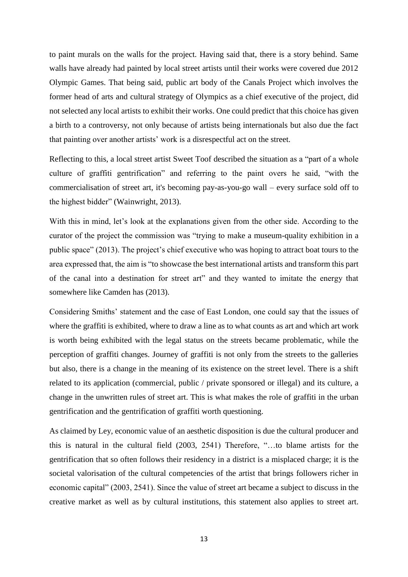to paint murals on the walls for the project. Having said that, there is a story behind. Same walls have already had painted by local street artists until their works were covered due 2012 Olympic Games. That being said, public art body of the Canals Project which involves the former head of arts and cultural strategy of Olympics as a chief executive of the project, did not selected any local artists to exhibit their works. One could predict that this choice has given a birth to a controversy, not only because of artists being internationals but also due the fact that painting over another artists' work is a disrespectful act on the street.

Reflecting to this, a local street artist Sweet Toof described the situation as a "part of a whole culture of graffiti gentrification" and referring to the paint overs he said, "with the commercialisation of street art, it's becoming pay-as-you-go wall – every surface sold off to the highest bidder" (Wainwright, 2013).

With this in mind, let's look at the explanations given from the other side. According to the curator of the project the commission was "trying to make a museum-quality exhibition in a public space" (2013). The project's chief executive who was hoping to attract boat tours to the area expressed that, the aim is "to showcase the best international artists and transform this part of the canal into a destination for street art" and they wanted to imitate the energy that somewhere like Camden has (2013).

Considering Smiths' statement and the case of East London, one could say that the issues of where the graffiti is exhibited, where to draw a line as to what counts as art and which art work is worth being exhibited with the legal status on the streets became problematic, while the perception of graffiti changes. Journey of graffiti is not only from the streets to the galleries but also, there is a change in the meaning of its existence on the street level. There is a shift related to its application (commercial, public / private sponsored or illegal) and its culture, a change in the unwritten rules of street art. This is what makes the role of graffiti in the urban gentrification and the gentrification of graffiti worth questioning.

As claimed by Ley, economic value of an aesthetic disposition is due the cultural producer and this is natural in the cultural field (2003, 2541) Therefore, "…to blame artists for the gentrification that so often follows their residency in a district is a misplaced charge; it is the societal valorisation of the cultural competencies of the artist that brings followers richer in economic capital" (2003, 2541). Since the value of street art became a subject to discuss in the creative market as well as by cultural institutions, this statement also applies to street art.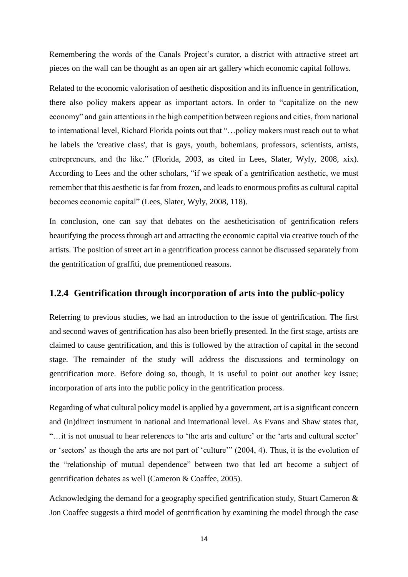Remembering the words of the Canals Project's curator, a district with attractive street art pieces on the wall can be thought as an open air art gallery which economic capital follows.

Related to the economic valorisation of aesthetic disposition and its influence in gentrification, there also policy makers appear as important actors. In order to "capitalize on the new economy" and gain attentions in the high competition between regions and cities, from national to international level, Richard Florida points out that "…policy makers must reach out to what he labels the 'creative class', that is gays, youth, bohemians, professors, scientists, artists, entrepreneurs, and the like." (Florida, 2003, as cited in Lees, Slater, Wyly, 2008, xix). According to Lees and the other scholars, "if we speak of a gentrification aesthetic, we must remember that this aesthetic is far from frozen, and leads to enormous profits as cultural capital becomes economic capital" (Lees, Slater, Wyly, 2008, 118).

In conclusion, one can say that debates on the aestheticisation of gentrification refers beautifying the process through art and attracting the economic capital via creative touch of the artists. The position of street art in a gentrification process cannot be discussed separately from the gentrification of graffiti, due prementioned reasons.

### **1.2.4 Gentrification through incorporation of arts into the public-policy**

Referring to previous studies, we had an introduction to the issue of gentrification. The first and second waves of gentrification has also been briefly presented. In the first stage, artists are claimed to cause gentrification, and this is followed by the attraction of capital in the second stage. The remainder of the study will address the discussions and terminology on gentrification more. Before doing so, though, it is useful to point out another key issue; incorporation of arts into the public policy in the gentrification process.

Regarding of what cultural policy model is applied by a government, art is a significant concern and (in)direct instrument in national and international level. As Evans and Shaw states that, "…it is not unusual to hear references to 'the arts and culture' or the 'arts and cultural sector' or 'sectors' as though the arts are not part of 'culture'" (2004, 4). Thus, it is the evolution of the "relationship of mutual dependence" between two that led art become a subject of gentrification debates as well (Cameron & Coaffee, 2005).

Acknowledging the demand for a geography specified gentrification study, Stuart Cameron & Jon Coaffee suggests a third model of gentrification by examining the model through the case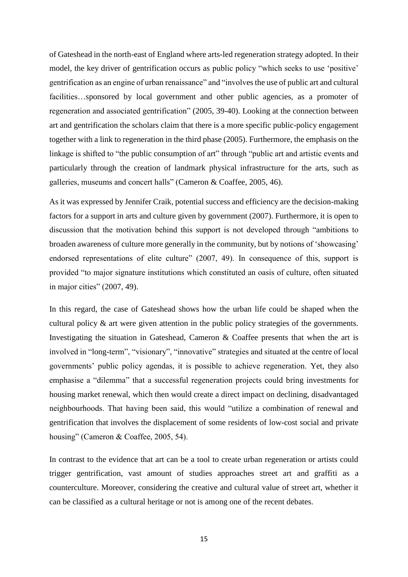of Gateshead in the north-east of England where arts-led regeneration strategy adopted. In their model, the key driver of gentrification occurs as public policy "which seeks to use 'positive' gentrification as an engine of urban renaissance" and "involves the use of public art and cultural facilities...sponsored by local government and other public agencies, as a promoter of regeneration and associated gentrification" (2005, 39-40). Looking at the connection between art and gentrification the scholars claim that there is a more specific public-policy engagement together with a link to regeneration in the third phase (2005). Furthermore, the emphasis on the linkage is shifted to "the public consumption of art" through "public art and artistic events and particularly through the creation of landmark physical infrastructure for the arts, such as galleries, museums and concert halls" (Cameron & Coaffee, 2005, 46).

As it was expressed by Jennifer Craik, potential success and efficiency are the decision-making factors for a support in arts and culture given by government (2007). Furthermore, it is open to discussion that the motivation behind this support is not developed through "ambitions to broaden awareness of culture more generally in the community, but by notions of 'showcasing' endorsed representations of elite culture" (2007, 49). In consequence of this, support is provided "to major signature institutions which constituted an oasis of culture, often situated in major cities" (2007, 49).

In this regard, the case of Gateshead shows how the urban life could be shaped when the cultural policy & art were given attention in the public policy strategies of the governments. Investigating the situation in Gateshead, Cameron & Coaffee presents that when the art is involved in "long-term", "visionary", "innovative" strategies and situated at the centre of local governments' public policy agendas, it is possible to achieve regeneration. Yet, they also emphasise a "dilemma" that a successful regeneration projects could bring investments for housing market renewal, which then would create a direct impact on declining, disadvantaged neighbourhoods. That having been said, this would "utilize a combination of renewal and gentrification that involves the displacement of some residents of low-cost social and private housing" (Cameron & Coaffee, 2005, 54).

In contrast to the evidence that art can be a tool to create urban regeneration or artists could trigger gentrification, vast amount of studies approaches street art and graffiti as a counterculture. Moreover, considering the creative and cultural value of street art, whether it can be classified as a cultural heritage or not is among one of the recent debates.

15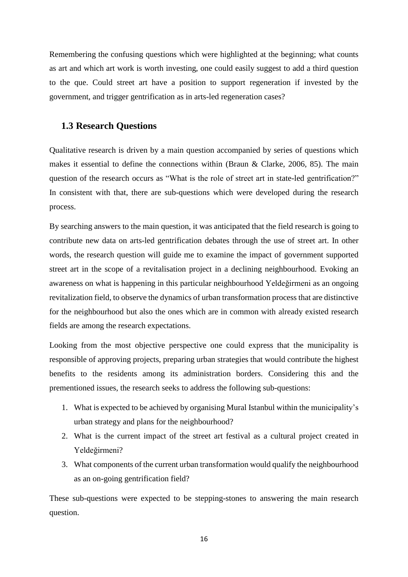Remembering the confusing questions which were highlighted at the beginning; what counts as art and which art work is worth investing, one could easily suggest to add a third question to the que. Could street art have a position to support regeneration if invested by the government, and trigger gentrification as in arts-led regeneration cases?

# **1.3 Research Questions**

Qualitative research is driven by a main question accompanied by series of questions which makes it essential to define the connections within (Braun & Clarke, 2006, 85). The main question of the research occurs as "What is the role of street art in state-led gentrification?" In consistent with that, there are sub-questions which were developed during the research process.

By searching answers to the main question, it was anticipated that the field research is going to contribute new data on arts-led gentrification debates through the use of street art. In other words, the research question will guide me to examine the impact of government supported street art in the scope of a revitalisation project in a declining neighbourhood. Evoking an awareness on what is happening in this particular neighbourhood Yeldeğirmeni as an ongoing revitalization field, to observe the dynamics of urban transformation process that are distinctive for the neighbourhood but also the ones which are in common with already existed research fields are among the research expectations.

Looking from the most objective perspective one could express that the municipality is responsible of approving projects, preparing urban strategies that would contribute the highest benefits to the residents among its administration borders. Considering this and the prementioned issues, the research seeks to address the following sub-questions:

- 1. What is expected to be achieved by organising Mural Istanbul within the municipality's urban strategy and plans for the neighbourhood?
- 2. What is the current impact of the street art festival as a cultural project created in Yeldeğirmeni?
- 3. What components of the current urban transformation would qualify the neighbourhood as an on-going gentrification field?

These sub-questions were expected to be stepping-stones to answering the main research question.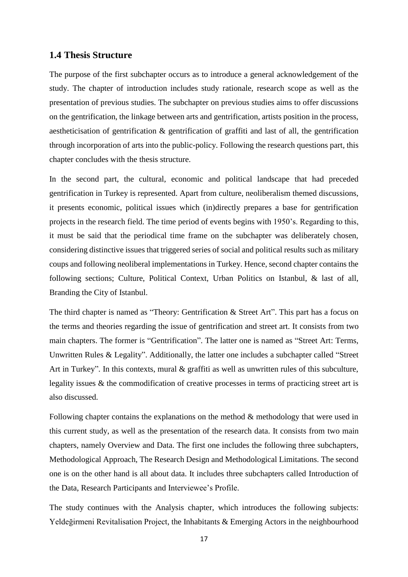### **1.4 Thesis Structure**

The purpose of the first subchapter occurs as to introduce a general acknowledgement of the study. The chapter of introduction includes study rationale, research scope as well as the presentation of previous studies. The subchapter on previous studies aims to offer discussions on the gentrification, the linkage between arts and gentrification, artists position in the process, aestheticisation of gentrification & gentrification of graffiti and last of all, the gentrification through incorporation of arts into the public-policy. Following the research questions part, this chapter concludes with the thesis structure.

In the second part, the cultural, economic and political landscape that had preceded gentrification in Turkey is represented. Apart from culture, neoliberalism themed discussions, it presents economic, political issues which (in)directly prepares a base for gentrification projects in the research field. The time period of events begins with 1950's. Regarding to this, it must be said that the periodical time frame on the subchapter was deliberately chosen, considering distinctive issues that triggered series of social and political results such as military coups and following neoliberal implementations in Turkey. Hence, second chapter contains the following sections; Culture, Political Context, Urban Politics on Istanbul, & last of all, Branding the City of Istanbul.

The third chapter is named as "Theory: Gentrification & Street Art". This part has a focus on the terms and theories regarding the issue of gentrification and street art. It consists from two main chapters. The former is "Gentrification". The latter one is named as "Street Art: Terms, Unwritten Rules & Legality". Additionally, the latter one includes a subchapter called "Street Art in Turkey". In this contexts, mural & graffiti as well as unwritten rules of this subculture, legality issues & the commodification of creative processes in terms of practicing street art is also discussed.

Following chapter contains the explanations on the method & methodology that were used in this current study, as well as the presentation of the research data. It consists from two main chapters, namely Overview and Data. The first one includes the following three subchapters, Methodological Approach, The Research Design and Methodological Limitations. The second one is on the other hand is all about data. It includes three subchapters called Introduction of the Data, Research Participants and Interviewee's Profile.

The study continues with the Analysis chapter, which introduces the following subjects: Yeldeğirmeni Revitalisation Project, the Inhabitants & Emerging Actors in the neighbourhood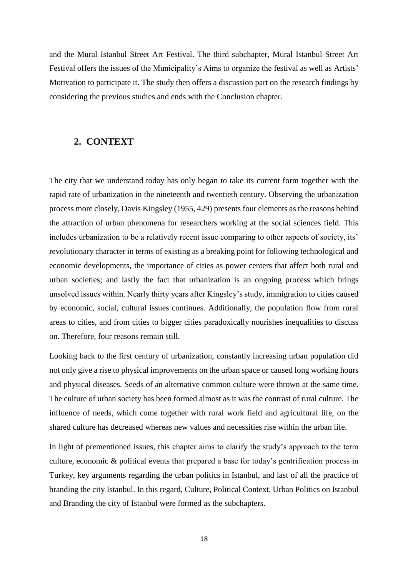and the Mural Istanbul Street Art Festival. The third subchapter, Mural Istanbul Street Art Festival offers the issues of the Municipality's Aims to organize the festival as well as Artists' Motivation to participate it. The study then offers a discussion part on the research findings by considering the previous studies and ends with the Conclusion chapter.

#### **2. CONTEXT**

The city that we understand today has only began to take its current form together with the rapid rate of urbanization in the nineteenth and twentieth century. Observing the urbanization process more closely, Davis Kingsley (1955, 429) presents four elements as the reasons behind the attraction of urban phenomena for researchers working at the social sciences field. This includes urbanization to be a relatively recent issue comparing to other aspects of society, its' revolutionary character in terms of existing as a breaking point for following technological and economic developments, the importance of cities as power centers that affect both rural and urban societies; and lastly the fact that urbanization is an ongoing process which brings unsolved issues within. Nearly thirty years after Kingsley's study, immigration to cities caused by economic, social, cultural issues continues. Additionally, the population flow from rural areas to cities, and from cities to bigger cities paradoxically nourishes inequalities to discuss on. Therefore, four reasons remain still.

Looking back to the first century of urbanization, constantly increasing urban population did not only give a rise to physical improvements on the urban space or caused long working hours and physical diseases. Seeds of an alternative common culture were thrown at the same time. The culture of urban society has been formed almost as it was the contrast of rural culture. The influence of needs, which come together with rural work field and agricultural life, on the shared culture has decreased whereas new values and necessities rise within the urban life.

In light of prementioned issues, this chapter aims to clarify the study's approach to the term culture, economic & political events that prepared a base for today's gentrification process in Turkey, key arguments regarding the urban politics in Istanbul, and last of all the practice of branding the city Istanbul. In this regard, Culture, Political Context, Urban Politics on Istanbul and Branding the city of Istanbul were formed as the subchapters.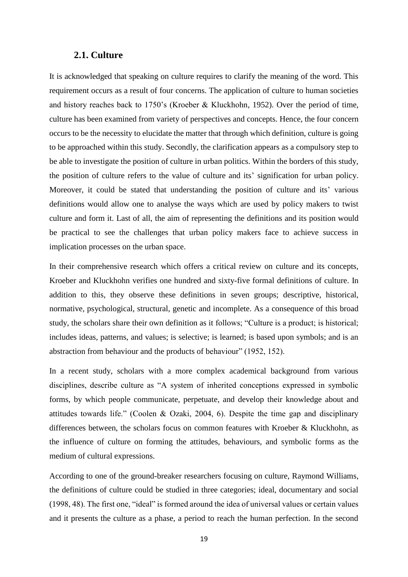#### **2.1. Culture**

It is acknowledged that speaking on culture requires to clarify the meaning of the word. This requirement occurs as a result of four concerns. The application of culture to human societies and history reaches back to 1750's (Kroeber & Kluckhohn, 1952). Over the period of time, culture has been examined from variety of perspectives and concepts. Hence, the four concern occurs to be the necessity to elucidate the matter that through which definition, culture is going to be approached within this study. Secondly, the clarification appears as a compulsory step to be able to investigate the position of culture in urban politics. Within the borders of this study, the position of culture refers to the value of culture and its' signification for urban policy. Moreover, it could be stated that understanding the position of culture and its' various definitions would allow one to analyse the ways which are used by policy makers to twist culture and form it. Last of all, the aim of representing the definitions and its position would be practical to see the challenges that urban policy makers face to achieve success in implication processes on the urban space.

In their comprehensive research which offers a critical review on culture and its concepts, Kroeber and Kluckhohn verifies one hundred and sixty-five formal definitions of culture. In addition to this, they observe these definitions in seven groups; descriptive, historical, normative, psychological, structural, genetic and incomplete. As a consequence of this broad study, the scholars share their own definition as it follows; "Culture is a product; is historical; includes ideas, patterns, and values; is selective; is learned; is based upon symbols; and is an abstraction from behaviour and the products of behaviour" (1952, 152).

In a recent study, scholars with a more complex academical background from various disciplines, describe culture as "A system of inherited conceptions expressed in symbolic forms, by which people communicate, perpetuate, and develop their knowledge about and attitudes towards life." (Coolen & Ozaki, 2004, 6). Despite the time gap and disciplinary differences between, the scholars focus on common features with Kroeber & Kluckhohn, as the influence of culture on forming the attitudes, behaviours, and symbolic forms as the medium of cultural expressions.

According to one of the ground-breaker researchers focusing on culture, Raymond Williams, the definitions of culture could be studied in three categories; ideal, documentary and social (1998, 48). The first one, "ideal" is formed around the idea of universal values or certain values and it presents the culture as a phase, a period to reach the human perfection. In the second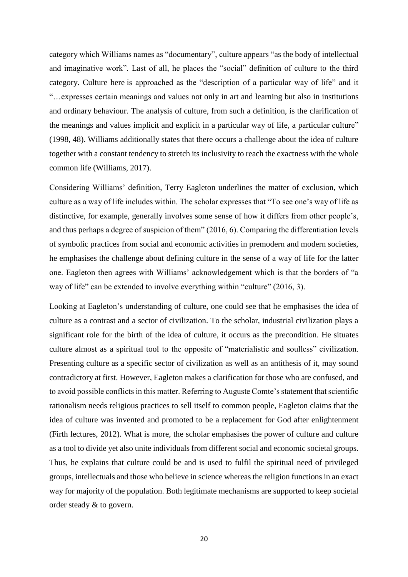category which Williams names as "documentary", culture appears "as the body of intellectual and imaginative work". Last of all, he places the "social" definition of culture to the third category. Culture here is approached as the "description of a particular way of life" and it "…expresses certain meanings and values not only in art and learning but also in institutions and ordinary behaviour. The analysis of culture, from such a definition, is the clarification of the meanings and values implicit and explicit in a particular way of life, a particular culture" (1998, 48). Williams additionally states that there occurs a challenge about the idea of culture together with a constant tendency to stretch its inclusivity to reach the exactness with the whole common life (Williams, 2017).

Considering Williams' definition, Terry Eagleton underlines the matter of exclusion, which culture as a way of life includes within. The scholar expresses that "To see one's way of life as distinctive, for example, generally involves some sense of how it differs from other people's, and thus perhaps a degree of suspicion of them" (2016, 6). Comparing the differentiation levels of symbolic practices from social and economic activities in premodern and modern societies, he emphasises the challenge about defining culture in the sense of a way of life for the latter one. Eagleton then agrees with Williams' acknowledgement which is that the borders of "a way of life" can be extended to involve everything within "culture" (2016, 3).

Looking at Eagleton's understanding of culture, one could see that he emphasises the idea of culture as a contrast and a sector of civilization. To the scholar, industrial civilization plays a significant role for the birth of the idea of culture, it occurs as the precondition. He situates culture almost as a spiritual tool to the opposite of "materialistic and soulless" civilization. Presenting culture as a specific sector of civilization as well as an antithesis of it, may sound contradictory at first. However, Eagleton makes a clarification for those who are confused, and to avoid possible conflicts in this matter. Referring to Auguste Comte's statement that scientific rationalism needs religious practices to sell itself to common people, Eagleton claims that the idea of culture was invented and promoted to be a replacement for God after enlightenment (Firth lectures, 2012). What is more, the scholar emphasises the power of culture and culture as a tool to divide yet also unite individuals from different social and economic societal groups. Thus, he explains that culture could be and is used to fulfil the spiritual need of privileged groups, intellectuals and those who believe in science whereas the religion functions in an exact way for majority of the population. Both legitimate mechanisms are supported to keep societal order steady & to govern.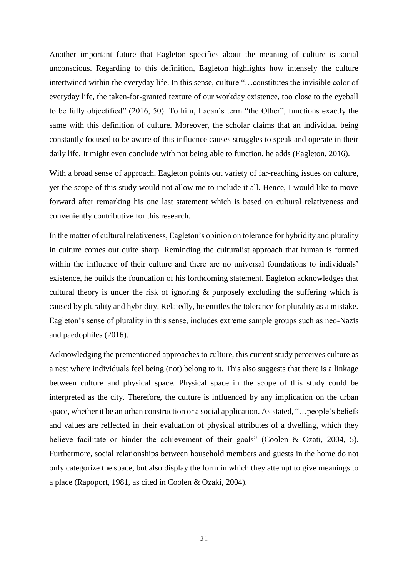Another important future that Eagleton specifies about the meaning of culture is social unconscious. Regarding to this definition, Eagleton highlights how intensely the culture intertwined within the everyday life. In this sense, culture "…constitutes the invisible color of everyday life, the taken-for-granted texture of our workday existence, too close to the eyeball to be fully objectified" (2016, 50). To him, Lacan's term "the Other", functions exactly the same with this definition of culture. Moreover, the scholar claims that an individual being constantly focused to be aware of this influence causes struggles to speak and operate in their daily life. It might even conclude with not being able to function, he adds (Eagleton, 2016).

With a broad sense of approach, Eagleton points out variety of far-reaching issues on culture, yet the scope of this study would not allow me to include it all. Hence, I would like to move forward after remarking his one last statement which is based on cultural relativeness and conveniently contributive for this research.

In the matter of cultural relativeness, Eagleton's opinion on tolerance for hybridity and plurality in culture comes out quite sharp. Reminding the culturalist approach that human is formed within the influence of their culture and there are no universal foundations to individuals' existence, he builds the foundation of his forthcoming statement. Eagleton acknowledges that cultural theory is under the risk of ignoring & purposely excluding the suffering which is caused by plurality and hybridity. Relatedly, he entitles the tolerance for plurality as a mistake. Eagleton's sense of plurality in this sense, includes extreme sample groups such as neo-Nazis and paedophiles (2016).

Acknowledging the prementioned approaches to culture, this current study perceives culture as a nest where individuals feel being (not) belong to it. This also suggests that there is a linkage between culture and physical space. Physical space in the scope of this study could be interpreted as the city. Therefore, the culture is influenced by any implication on the urban space, whether it be an urban construction or a social application. As stated, "…people's beliefs and values are reflected in their evaluation of physical attributes of a dwelling, which they believe facilitate or hinder the achievement of their goals" (Coolen & Ozati, 2004, 5). Furthermore, social relationships between household members and guests in the home do not only categorize the space, but also display the form in which they attempt to give meanings to a place (Rapoport, 1981, as cited in Coolen & Ozaki, 2004).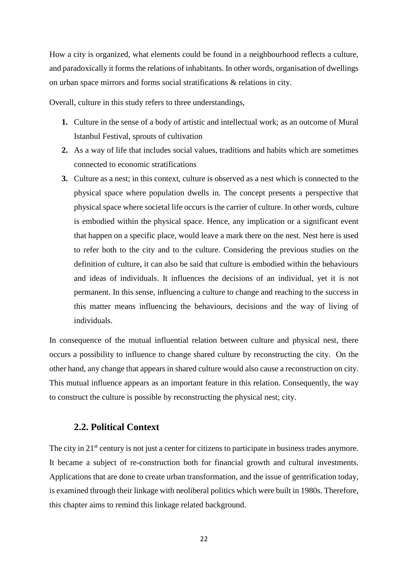How a city is organized, what elements could be found in a neighbourhood reflects a culture, and paradoxically it forms the relations of inhabitants. In other words, organisation of dwellings on urban space mirrors and forms social stratifications & relations in city.

Overall, culture in this study refers to three understandings,

- **1.** Culture in the sense of a body of artistic and intellectual work; as an outcome of Mural Istanbul Festival, sprouts of cultivation
- **2.** As a way of life that includes social values, traditions and habits which are sometimes connected to economic stratifications
- **3.** Culture as a nest; in this context, culture is observed as a nest which is connected to the physical space where population dwells in. The concept presents a perspective that physical space where societal life occurs is the carrier of culture. In other words, culture is embodied within the physical space. Hence, any implication or a significant event that happen on a specific place, would leave a mark there on the nest. Nest here is used to refer both to the city and to the culture. Considering the previous studies on the definition of culture, it can also be said that culture is embodied within the behaviours and ideas of individuals. It influences the decisions of an individual, yet it is not permanent. In this sense, influencing a culture to change and reaching to the success in this matter means influencing the behaviours, decisions and the way of living of individuals.

In consequence of the mutual influential relation between culture and physical nest, there occurs a possibility to influence to change shared culture by reconstructing the city. On the other hand, any change that appears in shared culture would also cause a reconstruction on city. This mutual influence appears as an important feature in this relation. Consequently, the way to construct the culture is possible by reconstructing the physical nest; city.

### **2.2. Political Context**

The city in 21<sup>st</sup> century is not just a center for citizens to participate in business trades anymore. It became a subject of re-construction both for financial growth and cultural investments. Applications that are done to create urban transformation, and the issue of gentrification today, is examined through their linkage with neoliberal politics which were built in 1980s. Therefore, this chapter aims to remind this linkage related background.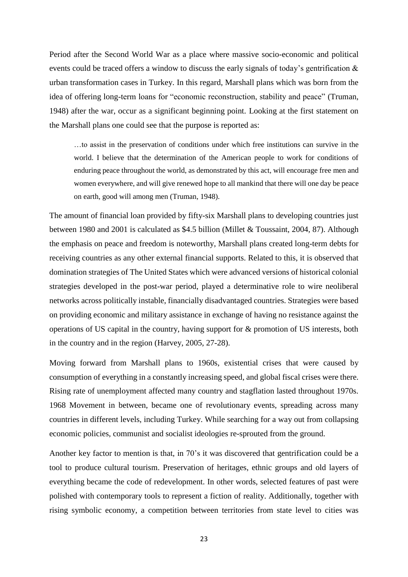Period after the Second World War as a place where massive socio-economic and political events could be traced offers a window to discuss the early signals of today's gentrification & urban transformation cases in Turkey. In this regard, Marshall plans which was born from the idea of offering long-term loans for "economic reconstruction, stability and peace" (Truman, 1948) after the war, occur as a significant beginning point. Looking at the first statement on the Marshall plans one could see that the purpose is reported as:

…to assist in the preservation of conditions under which free institutions can survive in the world. I believe that the determination of the American people to work for conditions of enduring peace throughout the world, as demonstrated by this act, will encourage free men and women everywhere, and will give renewed hope to all mankind that there will one day be peace on earth, good will among men (Truman, 1948).

The amount of financial loan provided by fifty-six Marshall plans to developing countries just between 1980 and 2001 is calculated as \$4.5 billion (Millet & Toussaint, 2004, 87). Although the emphasis on peace and freedom is noteworthy, Marshall plans created long-term debts for receiving countries as any other external financial supports. Related to this, it is observed that domination strategies of The United States which were advanced versions of historical colonial strategies developed in the post-war period, played a determinative role to wire neoliberal networks across politically instable, financially disadvantaged countries. Strategies were based on providing economic and military assistance in exchange of having no resistance against the operations of US capital in the country, having support for & promotion of US interests, both in the country and in the region (Harvey, 2005, 27-28).

Moving forward from Marshall plans to 1960s, existential crises that were caused by consumption of everything in a constantly increasing speed, and global fiscal crises were there. Rising rate of unemployment affected many country and stagflation lasted throughout 1970s. 1968 Movement in between, became one of revolutionary events, spreading across many countries in different levels, including Turkey. While searching for a way out from collapsing economic policies, communist and socialist ideologies re-sprouted from the ground.

Another key factor to mention is that, in 70's it was discovered that gentrification could be a tool to produce cultural tourism. Preservation of heritages, ethnic groups and old layers of everything became the code of redevelopment. In other words, selected features of past were polished with contemporary tools to represent a fiction of reality. Additionally, together with rising symbolic economy, a competition between territories from state level to cities was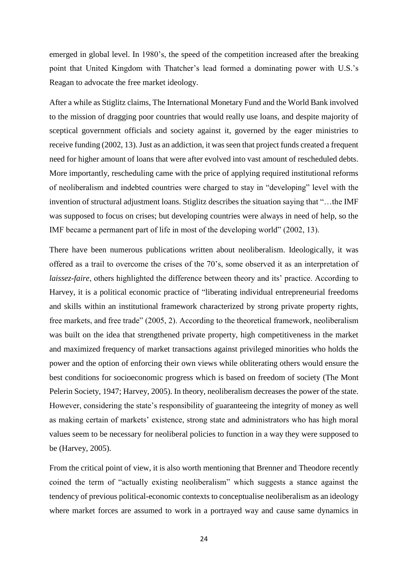emerged in global level. In 1980's, the speed of the competition increased after the breaking point that United Kingdom with Thatcher's lead formed a dominating power with U.S.'s Reagan to advocate the free market ideology.

After a while as Stiglitz claims, The International Monetary Fund and the World Bank involved to the mission of dragging poor countries that would really use loans, and despite majority of sceptical government officials and society against it, governed by the eager ministries to receive funding (2002, 13). Just as an addiction, it was seen that project funds created a frequent need for higher amount of loans that were after evolved into vast amount of rescheduled debts. More importantly, rescheduling came with the price of applying required institutional reforms of neoliberalism and indebted countries were charged to stay in "developing" level with the invention of structural adjustment loans. Stiglitz describes the situation saying that "…the IMF was supposed to focus on crises; but developing countries were always in need of help, so the IMF became a permanent part of life in most of the developing world" (2002, 13).

There have been numerous publications written about neoliberalism. Ideologically, it was offered as a trail to overcome the crises of the 70's, some observed it as an interpretation of *laissez-faire*, others highlighted the difference between theory and its' practice. According to Harvey, it is a political economic practice of "liberating individual entrepreneurial freedoms and skills within an institutional framework characterized by strong private property rights, free markets, and free trade" (2005, 2). According to the theoretical framework, neoliberalism was built on the idea that strengthened private property, high competitiveness in the market and maximized frequency of market transactions against privileged minorities who holds the power and the option of enforcing their own views while obliterating others would ensure the best conditions for socioeconomic progress which is based on freedom of society (The Mont Pelerin Society, 1947; Harvey, 2005). In theory, neoliberalism decreases the power of the state. However, considering the state's responsibility of guaranteeing the integrity of money as well as making certain of markets' existence, strong state and administrators who has high moral values seem to be necessary for neoliberal policies to function in a way they were supposed to be (Harvey, 2005).

From the critical point of view, it is also worth mentioning that Brenner and Theodore recently coined the term of "actually existing neoliberalism" which suggests a stance against the tendency of previous political-economic contexts to conceptualise neoliberalism as an ideology where market forces are assumed to work in a portrayed way and cause same dynamics in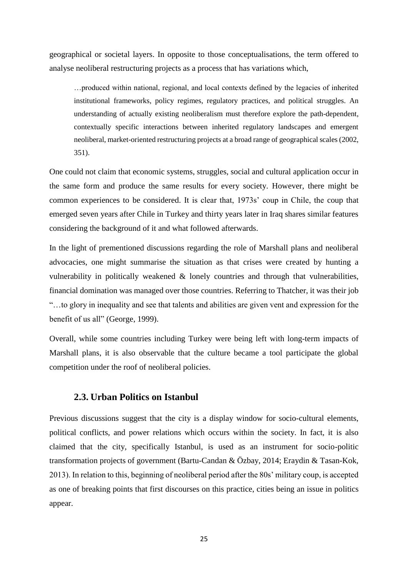geographical or societal layers. In opposite to those conceptualisations, the term offered to analyse neoliberal restructuring projects as a process that has variations which,

…produced within national, regional, and local contexts defined by the legacies of inherited institutional frameworks, policy regimes, regulatory practices, and political struggles. An understanding of actually existing neoliberalism must therefore explore the path-dependent, contextually specific interactions between inherited regulatory landscapes and emergent neoliberal, market-oriented restructuring projects at a broad range of geographical scales (2002, 351).

One could not claim that economic systems, struggles, social and cultural application occur in the same form and produce the same results for every society. However, there might be common experiences to be considered. It is clear that, 1973s' coup in Chile, the coup that emerged seven years after Chile in Turkey and thirty years later in Iraq shares similar features considering the background of it and what followed afterwards.

In the light of prementioned discussions regarding the role of Marshall plans and neoliberal advocacies, one might summarise the situation as that crises were created by hunting a vulnerability in politically weakened & lonely countries and through that vulnerabilities, financial domination was managed over those countries. Referring to Thatcher, it was their job "…to glory in inequality and see that talents and abilities are given vent and expression for the benefit of us all" (George, 1999).

Overall, while some countries including Turkey were being left with long-term impacts of Marshall plans, it is also observable that the culture became a tool participate the global competition under the roof of neoliberal policies.

### **2.3. Urban Politics on Istanbul**

Previous discussions suggest that the city is a display window for socio-cultural elements, political conflicts, and power relations which occurs within the society. In fact, it is also claimed that the city, specifically Istanbul, is used as an instrument for socio-politic transformation projects of government (Bartu-Candan & Özbay, 2014; Eraydin & Tasan-Kok, 2013). In relation to this, beginning of neoliberal period after the 80s' military coup, is accepted as one of breaking points that first discourses on this practice, cities being an issue in politics appear.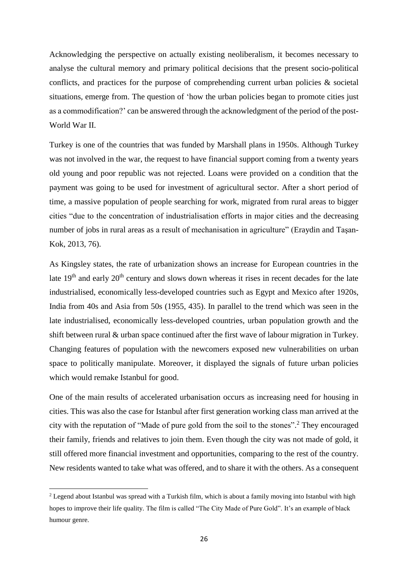Acknowledging the perspective on actually existing neoliberalism, it becomes necessary to analyse the cultural memory and primary political decisions that the present socio-political conflicts, and practices for the purpose of comprehending current urban policies & societal situations, emerge from. The question of 'how the urban policies began to promote cities just as a commodification?' can be answered through the acknowledgment of the period of the post-World War II.

Turkey is one of the countries that was funded by Marshall plans in 1950s. Although Turkey was not involved in the war, the request to have financial support coming from a twenty years old young and poor republic was not rejected. Loans were provided on a condition that the payment was going to be used for investment of agricultural sector. After a short period of time, a massive population of people searching for work, migrated from rural areas to bigger cities "due to the concentration of industrialisation efforts in major cities and the decreasing number of jobs in rural areas as a result of mechanisation in agriculture" (Eraydin and Taşan-Kok, 2013, 76).

As Kingsley states, the rate of urbanization shows an increase for European countries in the late 19<sup>th</sup> and early 20<sup>th</sup> century and slows down whereas it rises in recent decades for the late industrialised, economically less-developed countries such as Egypt and Mexico after 1920s, India from 40s and Asia from 50s (1955, 435). In parallel to the trend which was seen in the late industrialised, economically less-developed countries, urban population growth and the shift between rural & urban space continued after the first wave of labour migration in Turkey. Changing features of population with the newcomers exposed new vulnerabilities on urban space to politically manipulate. Moreover, it displayed the signals of future urban policies which would remake Istanbul for good.

One of the main results of accelerated urbanisation occurs as increasing need for housing in cities. This was also the case for Istanbul after first generation working class man arrived at the city with the reputation of "Made of pure gold from the soil to the stones". <sup>2</sup> They encouraged their family, friends and relatives to join them. Even though the city was not made of gold, it still offered more financial investment and opportunities, comparing to the rest of the country. New residents wanted to take what was offered, and to share it with the others. As a consequent

**.** 

<sup>&</sup>lt;sup>2</sup> Legend about Istanbul was spread with a Turkish film, which is about a family moving into Istanbul with high hopes to improve their life quality. The film is called "The City Made of Pure Gold". It's an example of black humour genre.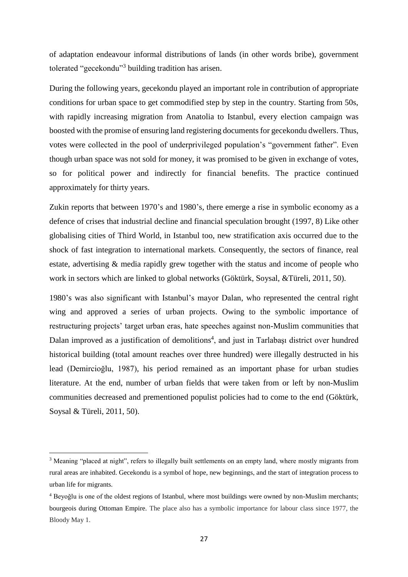of adaptation endeavour informal distributions of lands (in other words bribe), government tolerated "gecekondu"<sup>3</sup> building tradition has arisen.

During the following years, gecekondu played an important role in contribution of appropriate conditions for urban space to get commodified step by step in the country. Starting from 50s, with rapidly increasing migration from Anatolia to Istanbul, every election campaign was boosted with the promise of ensuring land registering documents for gecekondu dwellers. Thus, votes were collected in the pool of underprivileged population's "government father". Even though urban space was not sold for money, it was promised to be given in exchange of votes, so for political power and indirectly for financial benefits. The practice continued approximately for thirty years.

Zukin reports that between 1970's and 1980's, there emerge a rise in symbolic economy as a defence of crises that industrial decline and financial speculation brought (1997, 8) Like other globalising cities of Third World, in Istanbul too, new stratification axis occurred due to the shock of fast integration to international markets. Consequently, the sectors of finance, real estate, advertising & media rapidly grew together with the status and income of people who work in sectors which are linked to global networks (Göktürk, Soysal, &Türeli, 2011, 50).

1980's was also significant with Istanbul's mayor Dalan, who represented the central right wing and approved a series of urban projects. Owing to the symbolic importance of restructuring projects' target urban eras, hate speeches against non-Muslim communities that Dalan improved as a justification of demolitions<sup>4</sup>, and just in Tarlabaşı district over hundred historical building (total amount reaches over three hundred) were illegally destructed in his lead (Demircioğlu, 1987), his period remained as an important phase for urban studies literature. At the end, number of urban fields that were taken from or left by non-Muslim communities decreased and prementioned populist policies had to come to the end (Göktürk, Soysal & Türeli, 2011, 50).

 $\overline{a}$ 

<sup>&</sup>lt;sup>3</sup> Meaning "placed at night", refers to illegally built settlements on an empty land, where mostly migrants from rural areas are inhabited. Gecekondu is a symbol of hope, new beginnings, and the start of integration process to urban life for migrants.

<sup>4</sup> Beyoğlu is one of the oldest regions of Istanbul, where most buildings were owned by non-Muslim merchants; bourgeois during Ottoman Empire. The place also has a symbolic importance for labour class since 1977, the Bloody May 1.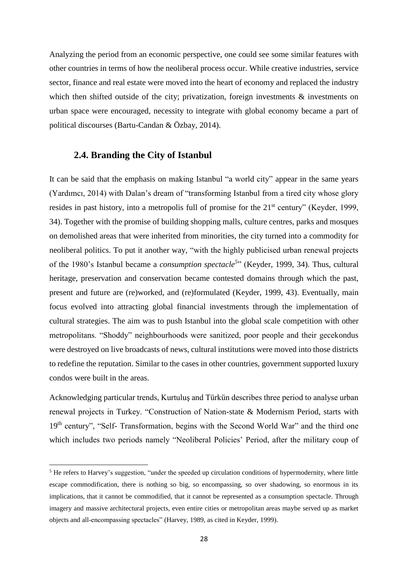Analyzing the period from an economic perspective, one could see some similar features with other countries in terms of how the neoliberal process occur. While creative industries, service sector, finance and real estate were moved into the heart of economy and replaced the industry which then shifted outside of the city; privatization, foreign investments & investments on urban space were encouraged, necessity to integrate with global economy became a part of political discourses (Bartu-Candan & Özbay, 2014).

# **2.4. Branding the City of Istanbul**

**.** 

It can be said that the emphasis on making Istanbul "a world city" appear in the same years (Yardımcı, 2014) with Dalan's dream of "transforming Istanbul from a tired city whose glory resides in past history, into a metropolis full of promise for the 21<sup>st</sup> century" (Keyder, 1999, 34). Together with the promise of building shopping malls, culture centres, parks and mosques on demolished areas that were inherited from minorities, the city turned into a commodity for neoliberal politics. To put it another way, "with the highly publicised urban renewal projects of the 1980's Istanbul became a *consumption spectacle<sup>5</sup>* " (Keyder, 1999, 34). Thus, cultural heritage, preservation and conservation became contested domains through which the past, present and future are (re)worked, and (re)formulated (Keyder, 1999, 43). Eventually, main focus evolved into attracting global financial investments through the implementation of cultural strategies. The aim was to push Istanbul into the global scale competition with other metropolitans. "Shoddy" neighbourhoods were sanitized, poor people and their gecekondus were destroyed on live broadcasts of news, cultural institutions were moved into those districts to redefine the reputation. Similar to the cases in other countries, government supported luxury condos were built in the areas.

Acknowledging particular trends, Kurtuluş and Türkün describes three period to analyse urban renewal projects in Turkey. "Construction of Nation-state & Modernism Period, starts with 19<sup>th</sup> century", "Self- Transformation, begins with the Second World War" and the third one which includes two periods namely "Neoliberal Policies' Period, after the military coup of

<sup>&</sup>lt;sup>5</sup> He refers to Harvey's suggestion, "under the speeded up circulation conditions of hypermodernity, where little escape commodification, there is nothing so big, so encompassing, so over shadowing, so enormous in its implications, that it cannot be commodified, that it cannot be represented as a consumption spectacle. Through imagery and massive architectural projects, even entire cities or metropolitan areas maybe served up as market objects and all-encompassing spectacles" (Harvey, 1989, as cited in Keyder, 1999).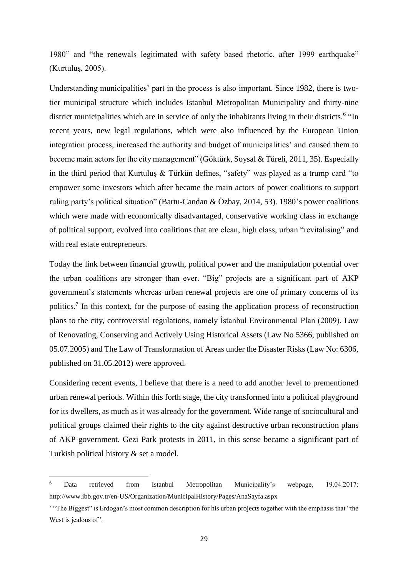1980" and "the renewals legitimated with safety based rhetoric, after 1999 earthquake" (Kurtuluş, 2005).

Understanding municipalities' part in the process is also important. Since 1982, there is twotier municipal structure which includes Istanbul Metropolitan Municipality and thirty-nine district municipalities which are in service of only the inhabitants living in their districts.<sup>6</sup> "In recent years, new legal regulations, which were also influenced by the European Union integration process, increased the authority and budget of municipalities' and caused them to become main actors for the city management" (Göktürk, Soysal & Türeli, 2011, 35). Especially in the third period that Kurtuluş & Türkün defines, "safety" was played as a trump card "to empower some investors which after became the main actors of power coalitions to support ruling party's political situation" (Bartu-Candan & Özbay, 2014, 53). 1980's power coalitions which were made with economically disadvantaged, conservative working class in exchange of political support, evolved into coalitions that are clean, high class, urban "revitalising" and with real estate entrepreneurs.

Today the link between financial growth, political power and the manipulation potential over the urban coalitions are stronger than ever. "Big" projects are a significant part of AKP government's statements whereas urban renewal projects are one of primary concerns of its politics.<sup>7</sup> In this context, for the purpose of easing the application process of reconstruction plans to the city, controversial regulations, namely İstanbul Environmental Plan (2009), Law of Renovating, Conserving and Actively Using Historical Assets (Law No 5366, published on 05.07.2005) and The Law of Transformation of Areas under the Disaster Risks (Law No: 6306, published on 31.05.2012) were approved.

Considering recent events, I believe that there is a need to add another level to prementioned urban renewal periods. Within this forth stage, the city transformed into a political playground for its dwellers, as much as it was already for the government. Wide range of sociocultural and political groups claimed their rights to the city against destructive urban reconstruction plans of AKP government. Gezi Park protests in 2011, in this sense became a significant part of Turkish political history & set a model.

**.** 

<sup>6</sup> Data retrieved from Istanbul Metropolitan Municipality's webpage, 19.04.2017: http://www.ibb.gov.tr/en-US/Organization/MunicipalHistory/Pages/AnaSayfa.aspx

<sup>&</sup>lt;sup>7</sup> "The Biggest" is Erdogan's most common description for his urban projects together with the emphasis that "the West is jealous of".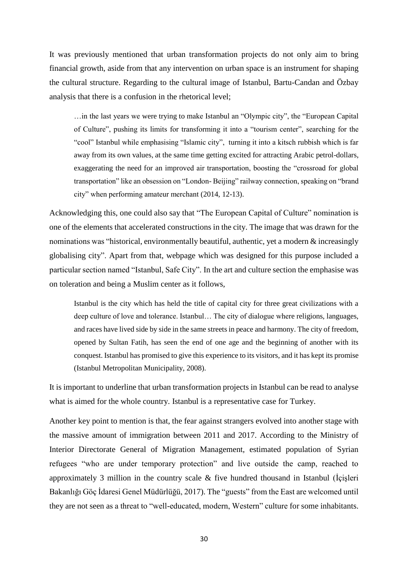It was previously mentioned that urban transformation projects do not only aim to bring financial growth, aside from that any intervention on urban space is an instrument for shaping the cultural structure. Regarding to the cultural image of Istanbul, Bartu-Candan and Özbay analysis that there is a confusion in the rhetorical level;

…in the last years we were trying to make Istanbul an "Olympic city", the "European Capital of Culture", pushing its limits for transforming it into a "tourism center", searching for the "cool" Istanbul while emphasising "Islamic city", turning it into a kitsch rubbish which is far away from its own values, at the same time getting excited for attracting Arabic petrol-dollars, exaggerating the need for an improved air transportation, boosting the "crossroad for global transportation" like an obsession on "London- Beijing" railway connection, speaking on "brand city" when performing amateur merchant (2014, 12-13).

Acknowledging this, one could also say that "The European Capital of Culture" nomination is one of the elements that accelerated constructions in the city. The image that was drawn for the nominations was "historical, environmentally beautiful, authentic, yet a modern & increasingly globalising city". Apart from that, webpage which was designed for this purpose included a particular section named "Istanbul, Safe City". In the art and culture section the emphasise was on toleration and being a Muslim center as it follows,

Istanbul is the city which has held the title of capital city for three great civilizations with a deep culture of love and tolerance. Istanbul… The city of dialogue where religions, languages, and races have lived side by side in the same streets in peace and harmony. The city of freedom, opened by Sultan Fatih, has seen the end of one age and the beginning of another with its conquest. Istanbul has promised to give this experience to its visitors, and it has kept its promise (Istanbul Metropolitan Municipality, 2008).

It is important to underline that urban transformation projects in Istanbul can be read to analyse what is aimed for the whole country. Istanbul is a representative case for Turkey.

Another key point to mention is that, the fear against strangers evolved into another stage with the massive amount of immigration between 2011 and 2017. According to the Ministry of Interior Directorate General of Migration Management, estimated population of Syrian refugees "who are under temporary protection" and live outside the camp, reached to approximately 3 million in the country scale & five hundred thousand in Istanbul (İçişleri Bakanlığı Göç İdaresi Genel Müdürlüğü, 2017). The "guests" from the East are welcomed until they are not seen as a threat to "well-educated, modern, Western" culture for some inhabitants.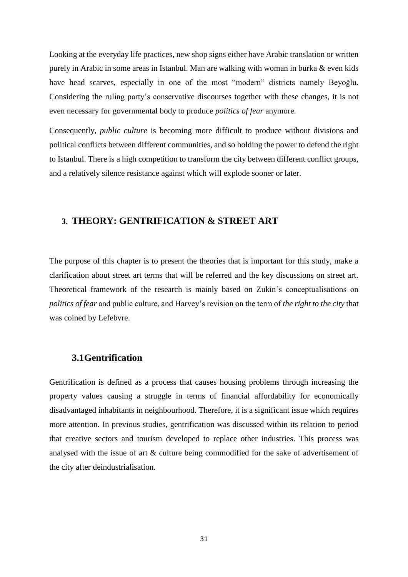Looking at the everyday life practices, new shop signs either have Arabic translation or written purely in Arabic in some areas in Istanbul. Man are walking with woman in burka & even kids have head scarves, especially in one of the most "modern" districts namely Beyoğlu. Considering the ruling party's conservative discourses together with these changes, it is not even necessary for governmental body to produce *politics of fear* anymore.

Consequently, *public culture* is becoming more difficult to produce without divisions and political conflicts between different communities, and so holding the power to defend the right to Istanbul. There is a high competition to transform the city between different conflict groups, and a relatively silence resistance against which will explode sooner or later.

# **3. THEORY: GENTRIFICATION & STREET ART**

The purpose of this chapter is to present the theories that is important for this study, make a clarification about street art terms that will be referred and the key discussions on street art. Theoretical framework of the research is mainly based on Zukin's conceptualisations on *politics of fear* and public culture, and Harvey's revision on the term of *the right to the city* that was coined by Lefebvre.

# **3.1Gentrification**

Gentrification is defined as a process that causes housing problems through increasing the property values causing a struggle in terms of financial affordability for economically disadvantaged inhabitants in neighbourhood. Therefore, it is a significant issue which requires more attention. In previous studies, gentrification was discussed within its relation to period that creative sectors and tourism developed to replace other industries. This process was analysed with the issue of art & culture being commodified for the sake of advertisement of the city after deindustrialisation.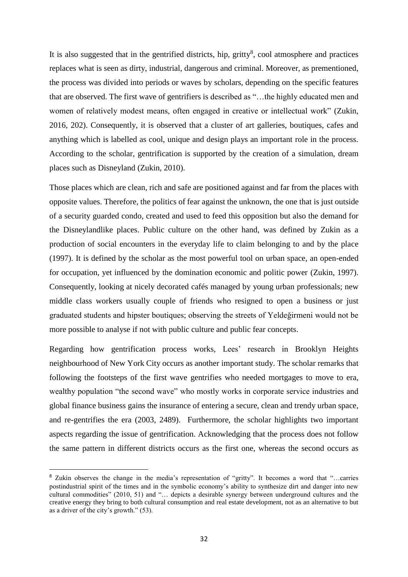It is also suggested that in the gentrified districts, hip, gritty<sup>8</sup>, cool atmosphere and practices replaces what is seen as dirty, industrial, dangerous and criminal. Moreover, as prementioned, the process was divided into periods or waves by scholars, depending on the specific features that are observed. The first wave of gentrifiers is described as "…the highly educated men and women of relatively modest means, often engaged in creative or intellectual work" (Zukin, 2016, 202). Consequently, it is observed that a cluster of art galleries, boutiques, cafes and anything which is labelled as cool, unique and design plays an important role in the process. According to the scholar, gentrification is supported by the creation of a simulation, dream places such as Disneyland (Zukin, 2010).

Those places which are clean, rich and safe are positioned against and far from the places with opposite values. Therefore, the politics of fear against the unknown, the one that is just outside of a security guarded condo, created and used to feed this opposition but also the demand for the Disneylandlike places. Public culture on the other hand, was defined by Zukin as a production of social encounters in the everyday life to claim belonging to and by the place (1997). It is defined by the scholar as the most powerful tool on urban space, an open-ended for occupation, yet influenced by the domination economic and politic power (Zukin, 1997). Consequently, looking at nicely decorated cafés managed by young urban professionals; new middle class workers usually couple of friends who resigned to open a business or just graduated students and hipster boutiques; observing the streets of Yeldeğirmeni would not be more possible to analyse if not with public culture and public fear concepts.

Regarding how gentrification process works, Lees' research in Brooklyn Heights neighbourhood of New York City occurs as another important study. The scholar remarks that following the footsteps of the first wave gentrifies who needed mortgages to move to era, wealthy population "the second wave" who mostly works in corporate service industries and global finance business gains the insurance of entering a secure, clean and trendy urban space, and re-gentrifies the era (2003, 2489). Furthermore, the scholar highlights two important aspects regarding the issue of gentrification. Acknowledging that the process does not follow the same pattern in different districts occurs as the first one, whereas the second occurs as

1

<sup>8</sup> Zukin observes the change in the media's representation of "gritty". It becomes a word that "…carries postindustrial spirit of the times and in the symbolic economy's ability to synthesize dirt and danger into new cultural commodities" (2010, 51) and "… depicts a desirable synergy between underground cultures and the creative energy they bring to both cultural consumption and real estate development, not as an alternative to but as a driver of the city's growth." (53).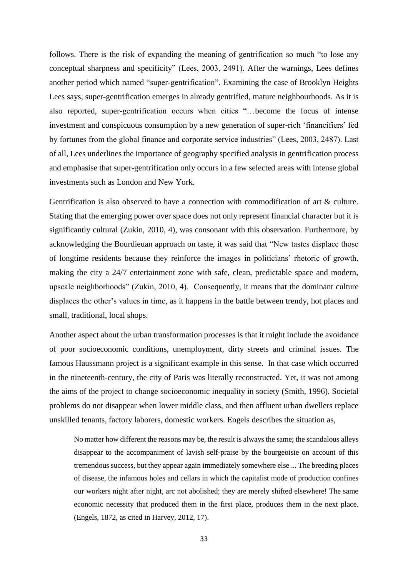follows. There is the risk of expanding the meaning of gentrification so much "to lose any conceptual sharpness and specificity" (Lees, 2003, 2491). After the warnings, Lees defines another period which named "super-gentrification". Examining the case of Brooklyn Heights Lees says, super-gentrification emerges in already gentrified, mature neighbourhoods. As it is also reported, super-gentrification occurs when cities "…become the focus of intense investment and conspicuous consumption by a new generation of super-rich 'financifiers' fed by fortunes from the global finance and corporate service industries" (Lees, 2003, 2487). Last of all, Lees underlines the importance of geography specified analysis in gentrification process and emphasise that super-gentrification only occurs in a few selected areas with intense global investments such as London and New York.

Gentrification is also observed to have a connection with commodification of art & culture. Stating that the emerging power over space does not only represent financial character but it is significantly cultural (Zukin, 2010, 4), was consonant with this observation. Furthermore, by acknowledging the Bourdieuan approach on taste, it was said that "New tastes displace those of longtime residents because they reinforce the images in politicians' rhetoric of growth, making the city a 24/7 entertainment zone with safe, clean, predictable space and modern, upscale neighborhoods" (Zukin, 2010, 4). Consequently, it means that the dominant culture displaces the other's values in time, as it happens in the battle between trendy, hot places and small, traditional, local shops.

Another aspect about the urban transformation processes is that it might include the avoidance of poor socioeconomic conditions, unemployment, dirty streets and criminal issues. The famous Haussmann project is a significant example in this sense. In that case which occurred in the nineteenth-century, the city of Paris was literally reconstructed. Yet, it was not among the aims of the project to change socioeconomic inequality in society (Smith, 1996). Societal problems do not disappear when lower middle class, and then affluent urban dwellers replace unskilled tenants, factory laborers, domestic workers. Engels describes the situation as,

No matter how different the reasons may be, the result is always the same; the scandalous alleys disappear to the accompaniment of lavish self-praise by the bourgeoisie on account of this tremendous success, but they appear again immediately somewhere else ... The breeding places of disease, the infamous holes and cellars in which the capitalist mode of production confines our workers night after night, arc not abolished; they are merely shifted elsewhere! The same economic necessity that produced them in the first place, produces them in the next place. (Engels, 1872, as cited in Harvey, 2012, 17).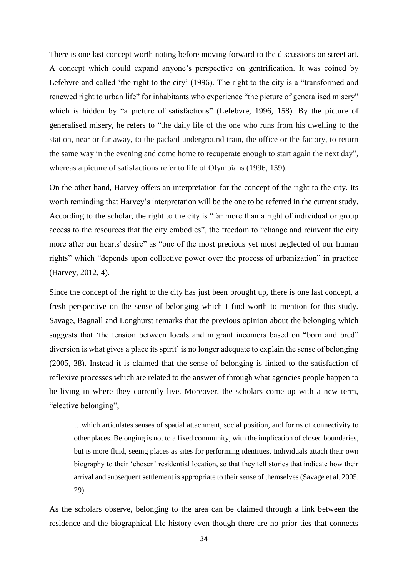There is one last concept worth noting before moving forward to the discussions on street art. A concept which could expand anyone's perspective on gentrification. It was coined by Lefebvre and called 'the right to the city' (1996). The right to the city is a "transformed and renewed right to urban life" for inhabitants who experience "the picture of generalised misery" which is hidden by "a picture of satisfactions" (Lefebvre, 1996, 158). By the picture of generalised misery, he refers to "the daily life of the one who runs from his dwelling to the station, near or far away, to the packed underground train, the office or the factory, to return the same way in the evening and come home to recuperate enough to start again the next day", whereas a picture of satisfactions refer to life of Olympians (1996, 159).

On the other hand, Harvey offers an interpretation for the concept of the right to the city. Its worth reminding that Harvey's interpretation will be the one to be referred in the current study. According to the scholar, the right to the city is "far more than a right of individual or group access to the resources that the city embodies", the freedom to "change and reinvent the city more after our hearts' desire" as "one of the most precious yet most neglected of our human rights" which "depends upon collective power over the process of urbanization" in practice (Harvey, 2012, 4).

Since the concept of the right to the city has just been brought up, there is one last concept, a fresh perspective on the sense of belonging which I find worth to mention for this study. Savage, Bagnall and Longhurst remarks that the previous opinion about the belonging which suggests that 'the tension between locals and migrant incomers based on "born and bred" diversion is what gives a place its spirit' is no longer adequate to explain the sense of belonging (2005, 38). Instead it is claimed that the sense of belonging is linked to the satisfaction of reflexive processes which are related to the answer of through what agencies people happen to be living in where they currently live. Moreover, the scholars come up with a new term, "elective belonging",

…which articulates senses of spatial attachment, social position, and forms of connectivity to other places. Belonging is not to a fixed community, with the implication of closed boundaries, but is more fluid, seeing places as sites for performing identities. Individuals attach their own biography to their 'chosen' residential location, so that they tell stories that indicate how their arrival and subsequent settlement is appropriate to their sense of themselves (Savage et al. 2005, 29).

As the scholars observe, belonging to the area can be claimed through a link between the residence and the biographical life history even though there are no prior ties that connects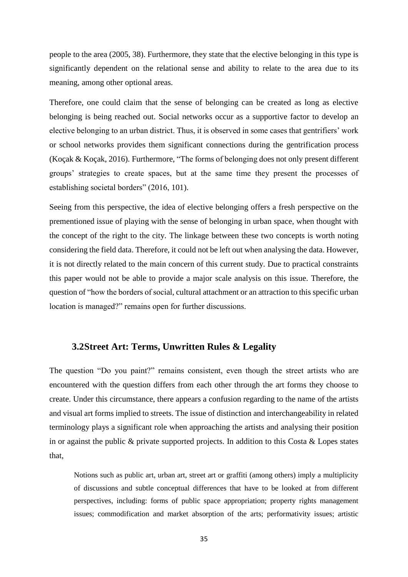people to the area (2005, 38). Furthermore, they state that the elective belonging in this type is significantly dependent on the relational sense and ability to relate to the area due to its meaning, among other optional areas.

Therefore, one could claim that the sense of belonging can be created as long as elective belonging is being reached out. Social networks occur as a supportive factor to develop an elective belonging to an urban district. Thus, it is observed in some cases that gentrifiers' work or school networks provides them significant connections during the gentrification process (Koçak & Koçak, 2016). Furthermore, "The forms of belonging does not only present different groups' strategies to create spaces, but at the same time they present the processes of establishing societal borders" (2016, 101).

Seeing from this perspective, the idea of elective belonging offers a fresh perspective on the prementioned issue of playing with the sense of belonging in urban space, when thought with the concept of the right to the city. The linkage between these two concepts is worth noting considering the field data. Therefore, it could not be left out when analysing the data. However, it is not directly related to the main concern of this current study. Due to practical constraints this paper would not be able to provide a major scale analysis on this issue. Therefore, the question of "how the borders of social, cultural attachment or an attraction to this specific urban location is managed?" remains open for further discussions.

# **3.2Street Art: Terms, Unwritten Rules & Legality**

The question "Do you paint?" remains consistent, even though the street artists who are encountered with the question differs from each other through the art forms they choose to create. Under this circumstance, there appears a confusion regarding to the name of the artists and visual art forms implied to streets. The issue of distinction and interchangeability in related terminology plays a significant role when approaching the artists and analysing their position in or against the public  $\&$  private supported projects. In addition to this Costa  $\&$  Lopes states that,

Notions such as public art, urban art, street art or graffiti (among others) imply a multiplicity of discussions and subtle conceptual differences that have to be looked at from different perspectives, including: forms of public space appropriation; property rights management issues; commodification and market absorption of the arts; performativity issues; artistic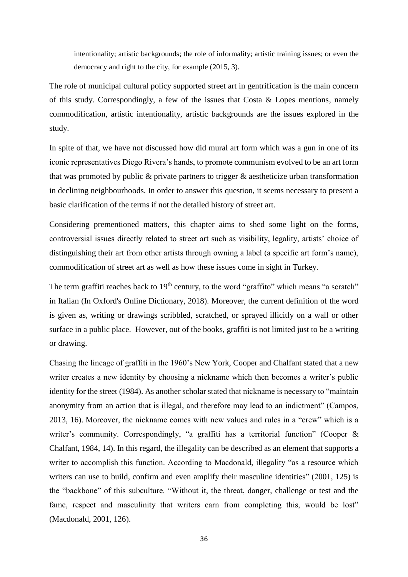intentionality; artistic backgrounds; the role of informality; artistic training issues; or even the democracy and right to the city, for example (2015, 3).

The role of municipal cultural policy supported street art in gentrification is the main concern of this study. Correspondingly, a few of the issues that Costa  $\&$  Lopes mentions, namely commodification, artistic intentionality, artistic backgrounds are the issues explored in the study.

In spite of that, we have not discussed how did mural art form which was a gun in one of its iconic representatives Diego Rivera's hands, to promote communism evolved to be an art form that was promoted by public & private partners to trigger & aestheticize urban transformation in declining neighbourhoods. In order to answer this question, it seems necessary to present a basic clarification of the terms if not the detailed history of street art.

Considering prementioned matters, this chapter aims to shed some light on the forms, controversial issues directly related to street art such as visibility, legality, artists' choice of distinguishing their art from other artists through owning a label (a specific art form's name), commodification of street art as well as how these issues come in sight in Turkey.

The term graffiti reaches back to  $19<sup>th</sup>$  century, to the word "graffito" which means "a scratch" in Italian (In Oxford's Online Dictionary, 2018). Moreover, the current definition of the word is given as, writing or drawings scribbled, scratched, or sprayed illicitly on a wall or other surface in a public place. However, out of the books, graffiti is not limited just to be a writing or drawing.

Chasing the lineage of graffiti in the 1960's New York, Cooper and Chalfant stated that a new writer creates a new identity by choosing a nickname which then becomes a writer's public identity for the street (1984). As another scholar stated that nickname is necessary to "maintain anonymity from an action that is illegal, and therefore may lead to an indictment" (Campos, 2013, 16). Moreover, the nickname comes with new values and rules in a "crew" which is a writer's community. Correspondingly, "a graffiti has a territorial function" (Cooper & Chalfant, 1984, 14). In this regard, the illegality can be described as an element that supports a writer to accomplish this function. According to Macdonald, illegality "as a resource which writers can use to build, confirm and even amplify their masculine identities" (2001, 125) is the "backbone" of this subculture. "Without it, the threat, danger, challenge or test and the fame, respect and masculinity that writers earn from completing this, would be lost" (Macdonald, 2001, 126).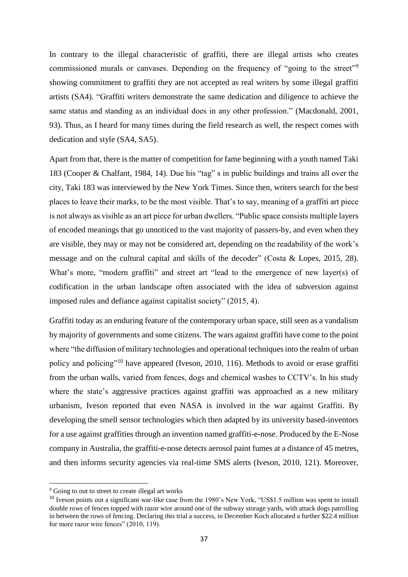In contrary to the illegal characteristic of graffiti, there are illegal artists who creates commissioned murals or canvases. Depending on the frequency of "going to the street"<sup>9</sup> showing commitment to graffiti they are not accepted as real writers by some illegal graffiti artists (SA4). "Graffiti writers demonstrate the same dedication and diligence to achieve the same status and standing as an individual does in any other profession." (Macdonald, 2001, 93). Thus, as I heard for many times during the field research as well, the respect comes with dedication and style (SA4, SA5).

Apart from that, there is the matter of competition for fame beginning with a youth named Taki 183 (Cooper & Chalfant, 1984, 14). Due his "tag" s in public buildings and trains all over the city, Taki 183 was interviewed by the New York Times. Since then, writers search for the best places to leave their marks, to be the most visible. That's to say, meaning of a graffiti art piece is not always as visible as an art piece for urban dwellers. "Public space consists multiple layers of encoded meanings that go unnoticed to the vast majority of passers-by, and even when they are visible, they may or may not be considered art, depending on the readability of the work's message and on the cultural capital and skills of the decoder" (Costa & Lopes, 2015, 28). What's more, "modern graffiti" and street art "lead to the emergence of new layer(s) of codification in the urban landscape often associated with the idea of subversion against imposed rules and defiance against capitalist society" (2015, 4).

Graffiti today as an enduring feature of the contemporary urban space, still seen as a vandalism by majority of governments and some citizens. The wars against graffiti have come to the point where "the diffusion of military technologies and operational techniques into the realm of urban policy and policing"<sup>10</sup> have appeared (Iveson, 2010, 116). Methods to avoid or erase graffiti from the urban walls, varied from fences, dogs and chemical washes to CCTV's. In his study where the state's aggressive practices against graffiti was approached as a new military urbanism, Iveson reported that even NASA is involved in the war against Graffiti. By developing the smell sensor technologies which then adapted by its university based-inventors for a use against graffities through an invention named graffiti-e-nose. Produced by the E-Nose company in Australia, the graffiti-e-nose detects aerosol paint fumes at a distance of 45 metres, and then informs security agencies via real-time SMS alerts (Iveson, 2010, 121). Moreover,

1

<sup>&</sup>lt;sup>9</sup> Going to out to street to create illegal art works

<sup>&</sup>lt;sup>10</sup> Iveson points out a significant war-like case from the 1980's New York, "US\$1.5 million was spent to install double rows of fences topped with razor wire around one of the subway storage yards, with attack dogs patrolling in between the rows of fencing. Declaring this trial a success, in December Koch allocated a further \$22.4 million for more razor wire fences"  $(2010, 119)$ .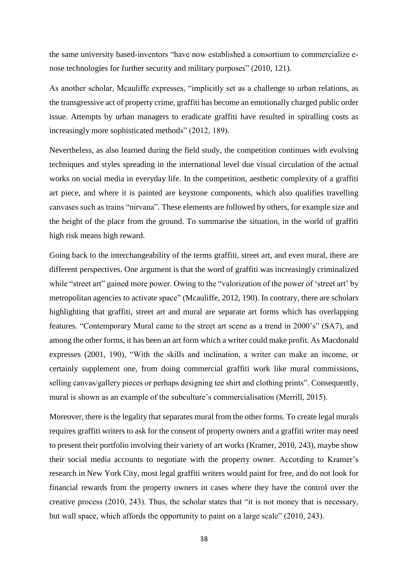the same university based-inventors "have now established a consortium to commercialize enose technologies for further security and military purposes" (2010, 121).

As another scholar, Mcauliffe expresses, "implicitly set as a challenge to urban relations, as the transgressive act of property crime, graffiti has become an emotionally charged public order issue. Attempts by urban managers to eradicate graffiti have resulted in spiralling costs as increasingly more sophisticated methods" (2012, 189).

Nevertheless, as also learned during the field study, the competition continues with evolving techniques and styles spreading in the international level due visual circulation of the actual works on social media in everyday life. In the competition, aesthetic complexity of a graffiti art piece, and where it is painted are keystone components, which also qualifies travelling canvases such as trains "nirvana". These elements are followed by others, for example size and the height of the place from the ground. To summarise the situation, in the world of graffiti high risk means high reward.

Going back to the interchangeability of the terms graffiti, street art, and even mural, there are different perspectives. One argument is that the word of graffiti was increasingly criminalized while "street art" gained more power. Owing to the "valorization of the power of 'street art' by metropolitan agencies to activate space" (Mcauliffe, 2012, 190). In contrary, there are scholars highlighting that graffiti, street art and mural are separate art forms which has overlapping features. "Contemporary Mural came to the street art scene as a trend in 2000's" (SA7), and among the other forms, it has been an art form which a writer could make profit. As Macdonald expresses (2001, 190), "With the skills and inclination, a writer can make an income, or certainly supplement one, from doing commercial graffiti work like mural commissions, selling canvas/gallery pieces or perhaps designing tee shirt and clothing prints". Consequently, mural is shown as an example of the subculture's commercialisation (Merrill, 2015).

Moreover, there is the legality that separates mural from the other forms. To create legal murals requires graffiti writers to ask for the consent of property owners and a graffiti writer may need to present their portfolio involving their variety of art works (Kramer, 2010, 243), maybe show their social media accounts to negotiate with the property owner. According to Kramer's research in New York City, most legal graffiti writers would paint for free, and do not look for financial rewards from the property owners in cases where they have the control over the creative process (2010, 243). Thus, the scholar states that "it is not money that is necessary, but wall space, which affords the opportunity to paint on a large scale" (2010, 243).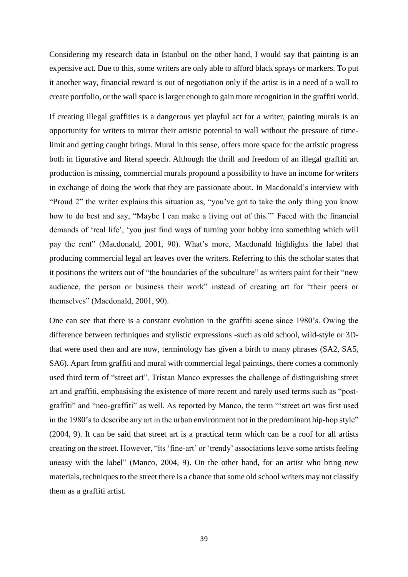Considering my research data in Istanbul on the other hand, I would say that painting is an expensive act. Due to this, some writers are only able to afford black sprays or markers. To put it another way, financial reward is out of negotiation only if the artist is in a need of a wall to create portfolio, or the wall space is larger enough to gain more recognition in the graffiti world.

If creating illegal graffities is a dangerous yet playful act for a writer, painting murals is an opportunity for writers to mirror their artistic potential to wall without the pressure of timelimit and getting caught brings. Mural in this sense, offers more space for the artistic progress both in figurative and literal speech. Although the thrill and freedom of an illegal graffiti art production is missing, commercial murals propound a possibility to have an income for writers in exchange of doing the work that they are passionate about. In Macdonald's interview with "Proud 2" the writer explains this situation as, "you've got to take the only thing you know how to do best and say, "Maybe I can make a living out of this."' Faced with the financial demands of 'real life', 'you just find ways of turning your hobby into something which will pay the rent" (Macdonald, 2001, 90). What's more, Macdonald highlights the label that producing commercial legal art leaves over the writers. Referring to this the scholar states that it positions the writers out of "the boundaries of the subculture" as writers paint for their "new audience, the person or business their work" instead of creating art for "their peers or themselves" (Macdonald, 2001, 90).

One can see that there is a constant evolution in the graffiti scene since 1980's. Owing the difference between techniques and stylistic expressions -such as old school, wild-style or 3Dthat were used then and are now, terminology has given a birth to many phrases (SA2, SA5, SA6). Apart from graffiti and mural with commercial legal paintings, there comes a commonly used third term of "street art". Tristan Manco expresses the challenge of distinguishing street art and graffiti, emphasising the existence of more recent and rarely used terms such as "postgraffiti" and "neo-graffiti" as well. As reported by Manco, the term "'street art was first used in the 1980's to describe any art in the urban environment not in the predominant hip-hop style" (2004, 9). It can be said that street art is a practical term which can be a roof for all artists creating on the street. However, "its 'fine-art' or 'trendy' associations leave some artists feeling uneasy with the label" (Manco, 2004, 9). On the other hand, for an artist who bring new materials, techniques to the street there is a chance that some old school writers may not classify them as a graffiti artist.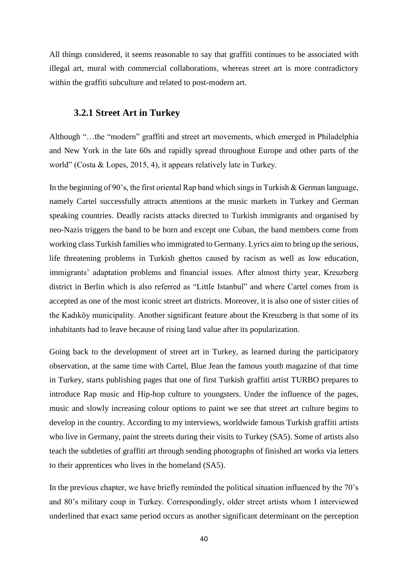All things considered, it seems reasonable to say that graffiti continues to be associated with illegal art, mural with commercial collaborations, whereas street art is more contradictory within the graffiti subculture and related to post-modern art.

## **3.2.1 Street Art in Turkey**

Although "…the "modern" graffiti and street art movements, which emerged in Philadelphia and New York in the late 60s and rapidly spread throughout Europe and other parts of the world" (Costa & Lopes, 2015, 4), it appears relatively late in Turkey.

In the beginning of 90's, the first oriental Rap band which sings in Turkish & German language, namely Cartel successfully attracts attentions at the music markets in Turkey and German speaking countries. Deadly racists attacks directed to Turkish immigrants and organised by neo-Nazis triggers the band to be born and except one Cuban, the band members come from working class Turkish families who immigrated to Germany. Lyrics aim to bring up the serious, life threatening problems in Turkish ghettos caused by racism as well as low education, immigrants' adaptation problems and financial issues. After almost thirty year, Kreuzberg district in Berlin which is also referred as "Little Istanbul" and where Cartel comes from is accepted as one of the most iconic street art districts. Moreover, it is also one of sister cities of the Kadıköy municipality. Another significant feature about the Kreuzberg is that some of its inhabitants had to leave because of rising land value after its popularization.

Going back to the development of street art in Turkey, as learned during the participatory observation, at the same time with Cartel, Blue Jean the famous youth magazine of that time in Turkey, starts publishing pages that one of first Turkish graffiti artist TURBO prepares to introduce Rap music and Hip-hop culture to youngsters. Under the influence of the pages, music and slowly increasing colour options to paint we see that street art culture begins to develop in the country. According to my interviews, worldwide famous Turkish graffiti artists who live in Germany, paint the streets during their visits to Turkey (SA5). Some of artists also teach the subtleties of graffiti art through sending photographs of finished art works via letters to their apprentices who lives in the homeland (SA5).

In the previous chapter, we have briefly reminded the political situation influenced by the 70's and 80's military coup in Turkey. Correspondingly, older street artists whom I interviewed underlined that exact same period occurs as another significant determinant on the perception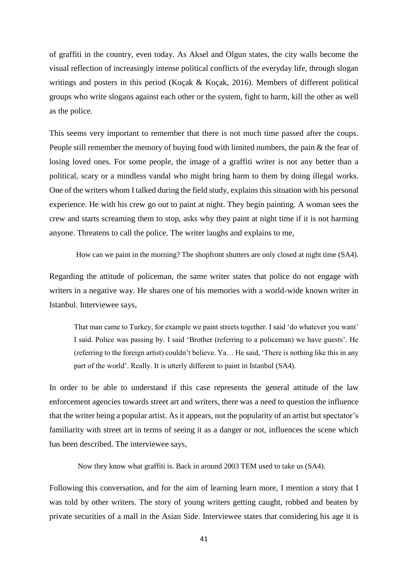of graffiti in the country, even today. As Aksel and Olgun states, the city walls become the visual reflection of increasingly intense political conflicts of the everyday life, through slogan writings and posters in this period (Koçak & Koçak, 2016). Members of different political groups who write slogans against each other or the system, fight to harm, kill the other as well as the police.

This seems very important to remember that there is not much time passed after the coups. People still remember the memory of buying food with limited numbers, the pain & the fear of losing loved ones. For some people, the image of a graffiti writer is not any better than a political, scary or a mindless vandal who might bring harm to them by doing illegal works. One of the writers whom I talked during the field study, explains this situation with his personal experience. He with his crew go out to paint at night. They begin painting. A woman sees the crew and starts screaming them to stop, asks why they paint at night time if it is not harming anyone. Threatens to call the police. The writer laughs and explains to me,

How can we paint in the morning? The shopfront shutters are only closed at night time (SA4).

Regarding the attitude of policeman, the same writer states that police do not engage with writers in a negative way. He shares one of his memories with a world-wide known writer in Istanbul. Interviewee says,

That man came to Turkey, for example we paint streets together. I said 'do whatever you want' I said. Police was passing by. I said 'Brother (referring to a policeman) we have guests'. He (referring to the foreign artist) couldn't believe. Ya… He said, 'There is nothing like this in any part of the world'. Really. It is utterly different to paint in Istanbul (SA4).

In order to be able to understand if this case represents the general attitude of the law enforcement agencies towards street art and writers, there was a need to question the influence that the writer being a popular artist. As it appears, not the popularity of an artist but spectator's familiarity with street art in terms of seeing it as a danger or not, influences the scene which has been described. The interviewee says,

Now they know what graffiti is. Back in around 2003 TEM used to take us (SA4).

Following this conversation, and for the aim of learning learn more, I mention a story that I was told by other writers. The story of young writers getting caught, robbed and beaten by private securities of a mall in the Asian Side. Interviewee states that considering his age it is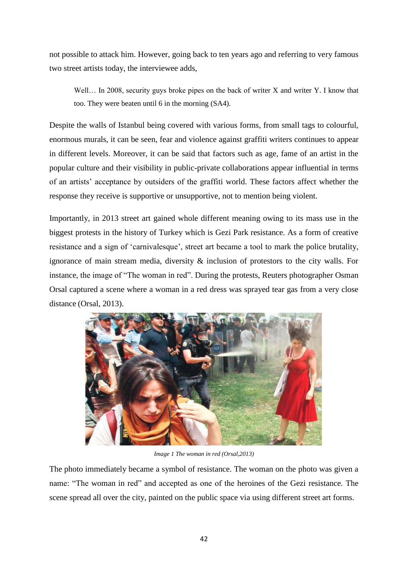not possible to attack him. However, going back to ten years ago and referring to very famous two street artists today, the interviewee adds,

Well... In 2008, security guys broke pipes on the back of writer X and writer Y. I know that too. They were beaten until 6 in the morning (SA4).

Despite the walls of Istanbul being covered with various forms, from small tags to colourful, enormous murals, it can be seen, fear and violence against graffiti writers continues to appear in different levels. Moreover, it can be said that factors such as age, fame of an artist in the popular culture and their visibility in public-private collaborations appear influential in terms of an artists' acceptance by outsiders of the graffiti world. These factors affect whether the response they receive is supportive or unsupportive, not to mention being violent.

Importantly, in 2013 street art gained whole different meaning owing to its mass use in the biggest protests in the history of Turkey which is Gezi Park resistance. As a form of creative resistance and a sign of 'carnivalesque', street art became a tool to mark the police brutality, ignorance of main stream media, diversity & inclusion of protestors to the city walls. For instance, the image of "The woman in red". During the protests, Reuters photographer Osman Orsal captured a scene where a woman in a red dress was sprayed tear gas from a very close distance (Orsal, 2013).



*Image 1 The woman in red (Orsal,2013)*

The photo immediately became a symbol of resistance. The woman on the photo was given a name: "The woman in red" and accepted as one of the heroines of the Gezi resistance. The scene spread all over the city, painted on the public space via using different street art forms.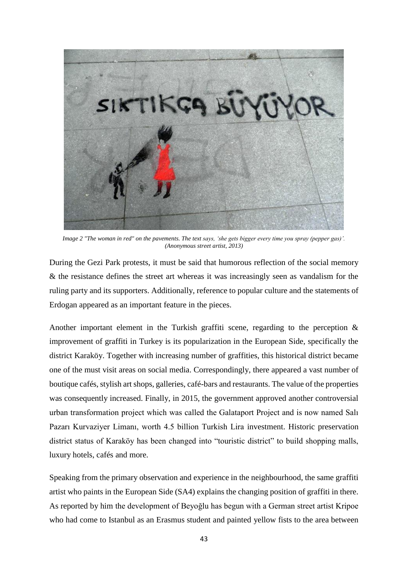

*Image 2 "The woman in red" on the pavements. The text says, 'she gets bigger every time you spray (pepper gas)'. (Anonymous street artist, 2013)*

During the Gezi Park protests, it must be said that humorous reflection of the social memory & the resistance defines the street art whereas it was increasingly seen as vandalism for the ruling party and its supporters. Additionally, reference to popular culture and the statements of Erdogan appeared as an important feature in the pieces.

Another important element in the Turkish graffiti scene, regarding to the perception & improvement of graffiti in Turkey is its popularization in the European Side, specifically the district Karaköy. Together with increasing number of graffities, this historical district became one of the must visit areas on social media. Correspondingly, there appeared a vast number of boutique cafés, stylish art shops, galleries, café-bars and restaurants. The value of the properties was consequently increased. Finally, in 2015, the government approved another controversial urban transformation project which was called the Galataport Project and is now named Salı Pazarı Kurvaziyer Limanı, worth 4.5 billion Turkish Lira investment. Historic preservation district status of Karaköy has been changed into "touristic district" to build shopping malls, luxury hotels, cafés and more.

Speaking from the primary observation and experience in the neighbourhood, the same graffiti artist who paints in the European Side (SA4) explains the changing position of graffiti in there. As reported by him the development of Beyoğlu has begun with a German street artist Kripoe who had come to Istanbul as an Erasmus student and painted yellow fists to the area between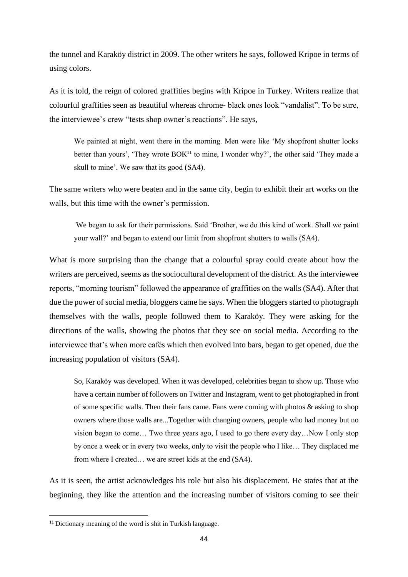the tunnel and Karaköy district in 2009. The other writers he says, followed Kripoe in terms of using colors.

As it is told, the reign of colored graffities begins with Kripoe in Turkey. Writers realize that colourful graffities seen as beautiful whereas chrome- black ones look "vandalist". To be sure, the interviewee's crew "tests shop owner's reactions". He says,

We painted at night, went there in the morning. Men were like 'My shopfront shutter looks better than yours', 'They wrote BOK<sup>11</sup> to mine, I wonder why?', the other said 'They made a skull to mine'. We saw that its good (SA4).

The same writers who were beaten and in the same city, begin to exhibit their art works on the walls, but this time with the owner's permission.

We began to ask for their permissions. Said 'Brother, we do this kind of work. Shall we paint your wall?' and began to extend our limit from shopfront shutters to walls (SA4).

What is more surprising than the change that a colourful spray could create about how the writers are perceived, seems as the sociocultural development of the district. As the interviewee reports, "morning tourism" followed the appearance of graffities on the walls (SA4). After that due the power of social media, bloggers came he says. When the bloggers started to photograph themselves with the walls, people followed them to Karaköy. They were asking for the directions of the walls, showing the photos that they see on social media. According to the interviewee that's when more cafés which then evolved into bars, began to get opened, due the increasing population of visitors (SA4).

So, Karaköy was developed. When it was developed, celebrities began to show up. Those who have a certain number of followers on Twitter and Instagram, went to get photographed in front of some specific walls. Then their fans came. Fans were coming with photos & asking to shop owners where those walls are...Together with changing owners, people who had money but no vision began to come… Two three years ago, I used to go there every day…Now I only stop by once a week or in every two weeks, only to visit the people who I like… They displaced me from where I created… we are street kids at the end (SA4).

As it is seen, the artist acknowledges his role but also his displacement. He states that at the beginning, they like the attention and the increasing number of visitors coming to see their

**.** 

<sup>&</sup>lt;sup>11</sup> Dictionary meaning of the word is shit in Turkish language.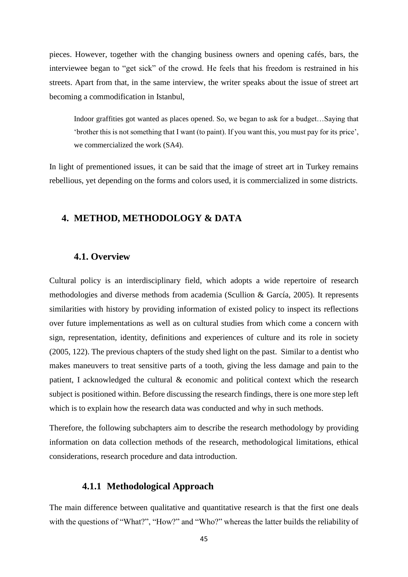pieces. However, together with the changing business owners and opening cafés, bars, the interviewee began to "get sick" of the crowd. He feels that his freedom is restrained in his streets. Apart from that, in the same interview, the writer speaks about the issue of street art becoming a commodification in Istanbul,

Indoor graffities got wanted as places opened. So, we began to ask for a budget…Saying that 'brother this is not something that I want (to paint). If you want this, you must pay for its price', we commercialized the work (SA4).

In light of prementioned issues, it can be said that the image of street art in Turkey remains rebellious, yet depending on the forms and colors used, it is commercialized in some districts.

# **4. METHOD, METHODOLOGY & DATA**

## **4.1. Overview**

Cultural policy is an interdisciplinary field, which adopts a wide repertoire of research methodologies and diverse methods from academia (Scullion & García, 2005). It represents similarities with history by providing information of existed policy to inspect its reflections over future implementations as well as on cultural studies from which come a concern with sign, representation, identity, definitions and experiences of culture and its role in society (2005, 122). The previous chapters of the study shed light on the past. Similar to a dentist who makes maneuvers to treat sensitive parts of a tooth, giving the less damage and pain to the patient, I acknowledged the cultural & economic and political context which the research subject is positioned within. Before discussing the research findings, there is one more step left which is to explain how the research data was conducted and why in such methods.

Therefore, the following subchapters aim to describe the research methodology by providing information on data collection methods of the research, methodological limitations, ethical considerations, research procedure and data introduction.

### **4.1.1 Methodological Approach**

The main difference between qualitative and quantitative research is that the first one deals with the questions of "What?", "How?" and "Who?" whereas the latter builds the reliability of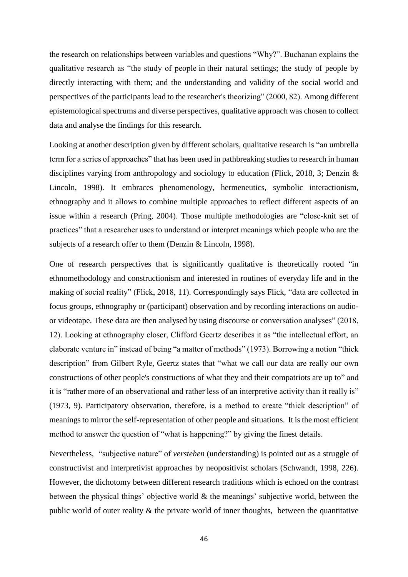the research on relationships between variables and questions "Why?". Buchanan explains the qualitative research as "the study of people in their natural settings; the study of people by directly interacting with them; and the understanding and validity of the social world and perspectives of the participants lead to the researcher's theorizing" (2000, 82). Among different epistemological spectrums and diverse perspectives, qualitative approach was chosen to collect data and analyse the findings for this research.

Looking at another description given by different scholars, qualitative research is "an umbrella term for a series of approaches" that has been used in pathbreaking studies to research in human disciplines varying from anthropology and sociology to education (Flick, 2018, 3; Denzin & Lincoln, 1998). It embraces phenomenology, hermeneutics, symbolic interactionism, ethnography and it allows to combine multiple approaches to reflect different aspects of an issue within a research (Pring, 2004). Those multiple methodologies are "close-knit set of practices" that a researcher uses to understand or interpret meanings which people who are the subjects of a research offer to them (Denzin & Lincoln, 1998).

One of research perspectives that is significantly qualitative is theoretically rooted "in ethnomethodology and constructionism and interested in routines of everyday life and in the making of social reality" (Flick, 2018, 11). Correspondingly says Flick, "data are collected in focus groups, ethnography or (participant) observation and by recording interactions on audioor videotape. These data are then analysed by using discourse or conversation analyses" (2018, 12). Looking at ethnography closer, Clifford Geertz describes it as "the intellectual effort, an elaborate venture in" instead of being "a matter of methods" (1973). Borrowing a notion "thick description" from Gilbert Ryle, Geertz states that "what we call our data are really our own constructions of other people's constructions of what they and their compatriots are up to" and it is "rather more of an observational and rather less of an interpretive activity than it really is" (1973, 9). Participatory observation, therefore, is a method to create "thick description" of meanings to mirror the self-representation of other people and situations. It is the most efficient method to answer the question of "what is happening?" by giving the finest details.

Nevertheless, "subjective nature" of *verstehen* (understanding) is pointed out as a struggle of constructivist and interpretivist approaches by neopositivist scholars (Schwandt, 1998, 226). However, the dichotomy between different research traditions which is echoed on the contrast between the physical things' objective world & the meanings' subjective world, between the public world of outer reality & the private world of inner thoughts, between the quantitative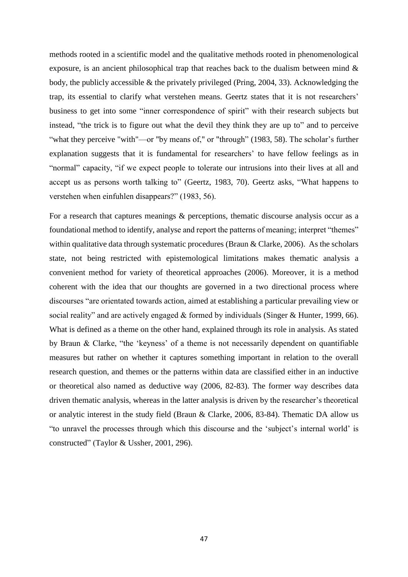methods rooted in a scientific model and the qualitative methods rooted in phenomenological exposure, is an ancient philosophical trap that reaches back to the dualism between mind & body, the publicly accessible & the privately privileged (Pring, 2004, 33). Acknowledging the trap, its essential to clarify what verstehen means. Geertz states that it is not researchers' business to get into some "inner correspondence of spirit" with their research subjects but instead, "the trick is to figure out what the devil they think they are up to" and to perceive "what they perceive "with"—or "by means of," or "through" (1983, 58). The scholar's further explanation suggests that it is fundamental for researchers' to have fellow feelings as in "normal" capacity, "if we expect people to tolerate our intrusions into their lives at all and accept us as persons worth talking to" (Geertz, 1983, 70). Geertz asks, "What happens to verstehen when einfuhlen disappears?" (1983, 56).

For a research that captures meanings & perceptions, thematic discourse analysis occur as a foundational method to identify, analyse and report the patterns of meaning; interpret "themes" within qualitative data through systematic procedures (Braun & Clarke, 2006). As the scholars state, not being restricted with epistemological limitations makes thematic analysis a convenient method for variety of theoretical approaches (2006). Moreover, it is a method coherent with the idea that our thoughts are governed in a two directional process where discourses "are orientated towards action, aimed at establishing a particular prevailing view or social reality" and are actively engaged & formed by individuals (Singer & Hunter, 1999, 66). What is defined as a theme on the other hand, explained through its role in analysis. As stated by Braun & Clarke, "the 'keyness' of a theme is not necessarily dependent on quantifiable measures but rather on whether it captures something important in relation to the overall research question, and themes or the patterns within data are classified either in an inductive or theoretical also named as deductive way (2006, 82-83). The former way describes data driven thematic analysis, whereas in the latter analysis is driven by the researcher's theoretical or analytic interest in the study field (Braun & Clarke, 2006, 83-84). Thematic DA allow us "to unravel the processes through which this discourse and the 'subject's internal world' is constructed" (Taylor & Ussher, 2001, 296).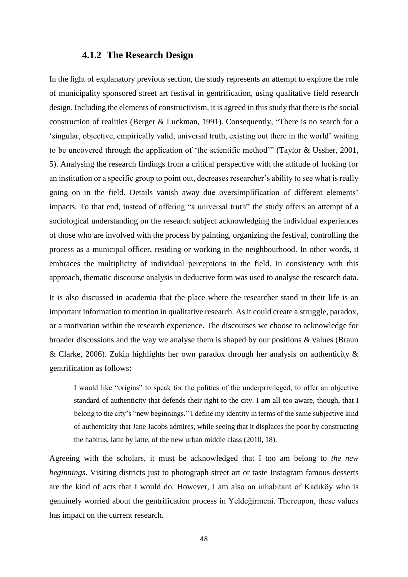#### **4.1.2 The Research Design**

In the light of explanatory previous section, the study represents an attempt to explore the role of municipality sponsored street art festival in gentrification, using qualitative field research design. Including the elements of constructivism, it is agreed in this study that there is the social construction of realities (Berger & Luckman, 1991). Consequently, "There is no search for a 'singular, objective, empirically valid, universal truth, existing out there in the world' waiting to be uncovered through the application of 'the scientific method'" (Taylor & Ussher, 2001, 5). Analysing the research findings from a critical perspective with the attitude of looking for an institution or a specific group to point out, decreases researcher's ability to see what is really going on in the field. Details vanish away due oversimplification of different elements' impacts. To that end, instead of offering "a universal truth" the study offers an attempt of a sociological understanding on the research subject acknowledging the individual experiences of those who are involved with the process by painting, organizing the festival, controlling the process as a municipal officer, residing or working in the neighbourhood. In other words, it embraces the multiplicity of individual perceptions in the field. In consistency with this approach, thematic discourse analysis in deductive form was used to analyse the research data.

It is also discussed in academia that the place where the researcher stand in their life is an important information to mention in qualitative research. As it could create a struggle, paradox, or a motivation within the research experience. The discourses we choose to acknowledge for broader discussions and the way we analyse them is shaped by our positions & values (Braun & Clarke, 2006). Zukin highlights her own paradox through her analysis on authenticity & gentrification as follows:

I would like "origins" to speak for the politics of the underprivileged, to offer an objective standard of authenticity that defends their right to the city. I am all too aware, though, that I belong to the city's "new beginnings." I define my identity in terms of the same subjective kind of authenticity that Jane Jacobs admires, while seeing that it displaces the poor by constructing the habitus, latte by latte, of the new urban middle class (2010, 18).

Agreeing with the scholars, it must be acknowledged that I too am belong to *the new beginnings*. Visiting districts just to photograph street art or taste Instagram famous desserts are the kind of acts that I would do. However, I am also an inhabitant of Kadıköy who is genuinely worried about the gentrification process in Yeldeğirmeni. Thereupon, these values has impact on the current research.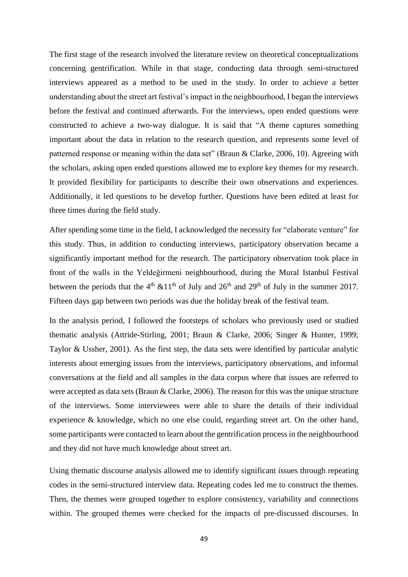The first stage of the research involved the literature review on theoretical conceptualizations concerning gentrification. While in that stage, conducting data through semi-structured interviews appeared as a method to be used in the study. In order to achieve a better understanding about the street art festival's impact in the neighbourhood, I began the interviews before the festival and continued afterwards. For the interviews, open ended questions were constructed to achieve a two-way dialogue. It is said that "A theme captures something important about the data in relation to the research question, and represents some level of patterned response or meaning within the data set" (Braun & Clarke, 2006, 10). Agreeing with the scholars, asking open ended questions allowed me to explore key themes for my research. It provided flexibility for participants to describe their own observations and experiences. Additionally, it led questions to be develop further. Questions have been edited at least for three times during the field study.

After spending some time in the field, I acknowledged the necessity for "elaborate venture" for this study. Thus, in addition to conducting interviews, participatory observation became a significantly important method for the research. The participatory observation took place in front of the walls in the Yeldeğirmeni neighbourhood, during the Mural Istanbul Festival between the periods that the  $4<sup>th</sup>$  &11<sup>th</sup> of July and  $26<sup>th</sup>$  and  $29<sup>th</sup>$  of July in the summer 2017. Fifteen days gap between two periods was due the holiday break of the festival team.

In the analysis period, I followed the footsteps of scholars who previously used or studied thematic analysis (Attride-Stirling, 2001; Braun & Clarke, 2006; Singer & Hunter, 1999; Taylor & Ussher, 2001). As the first step, the data sets were identified by particular analytic interests about emerging issues from the interviews, participatory observations, and informal conversations at the field and all samples in the data corpus where that issues are referred to were accepted as data sets (Braun & Clarke, 2006). The reason for this was the unique structure of the interviews. Some interviewees were able to share the details of their individual experience & knowledge, which no one else could, regarding street art. On the other hand, some participants were contacted to learn about the gentrification process in the neighbourhood and they did not have much knowledge about street art.

Using thematic discourse analysis allowed me to identify significant issues through repeating codes in the semi-structured interview data. Repeating codes led me to construct the themes. Then, the themes were grouped together to explore consistency, variability and connections within. The grouped themes were checked for the impacts of pre-discussed discourses. In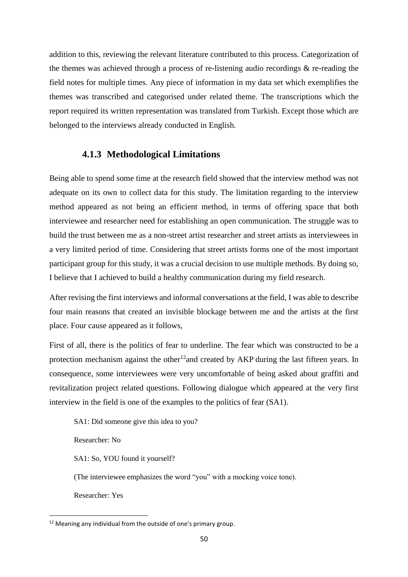addition to this, reviewing the relevant literature contributed to this process. Categorization of the themes was achieved through a process of re-listening audio recordings & re-reading the field notes for multiple times. Any piece of information in my data set which exemplifies the themes was transcribed and categorised under related theme. The transcriptions which the report required its written representation was translated from Turkish. Except those which are belonged to the interviews already conducted in English.

# **4.1.3 Methodological Limitations**

Being able to spend some time at the research field showed that the interview method was not adequate on its own to collect data for this study. The limitation regarding to the interview method appeared as not being an efficient method, in terms of offering space that both interviewee and researcher need for establishing an open communication. The struggle was to build the trust between me as a non-street artist researcher and street artists as interviewees in a very limited period of time. Considering that street artists forms one of the most important participant group for this study, it was a crucial decision to use multiple methods. By doing so, I believe that I achieved to build a healthy communication during my field research.

After revising the first interviews and informal conversations at the field, I was able to describe four main reasons that created an invisible blockage between me and the artists at the first place. Four cause appeared as it follows,

First of all, there is the politics of fear to underline. The fear which was constructed to be a protection mechanism against the other<sup>12</sup>and created by AKP during the last fifteen years. In consequence, some interviewees were very uncomfortable of being asked about graffiti and revitalization project related questions. Following dialogue which appeared at the very first interview in the field is one of the examples to the politics of fear (SA1).

SA1: Did someone give this idea to you?

Researcher: No

SA1: So, YOU found it yourself?

(The interviewee emphasizes the word "you" with a mocking voice tone).

Researcher: Yes

**.** 

 $12$  Meaning any individual from the outside of one's primary group.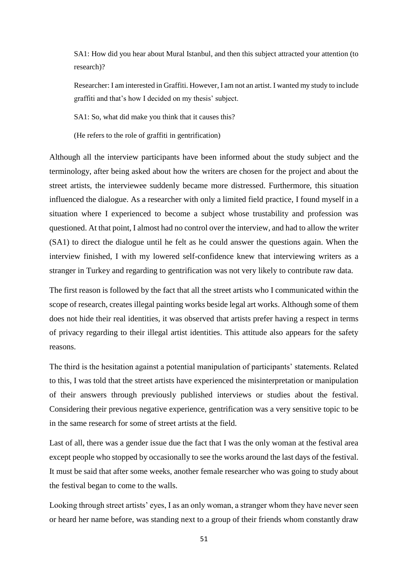SA1: How did you hear about Mural Istanbul, and then this subject attracted your attention (to research)?

Researcher: I am interested in Graffiti. However, I am not an artist. I wanted my study to include graffiti and that's how I decided on my thesis' subject.

SA1: So, what did make you think that it causes this?

(He refers to the role of graffiti in gentrification)

Although all the interview participants have been informed about the study subject and the terminology, after being asked about how the writers are chosen for the project and about the street artists, the interviewee suddenly became more distressed. Furthermore, this situation influenced the dialogue. As a researcher with only a limited field practice, I found myself in a situation where I experienced to become a subject whose trustability and profession was questioned. At that point, I almost had no control over the interview, and had to allow the writer (SA1) to direct the dialogue until he felt as he could answer the questions again. When the interview finished, I with my lowered self-confidence knew that interviewing writers as a stranger in Turkey and regarding to gentrification was not very likely to contribute raw data.

The first reason is followed by the fact that all the street artists who I communicated within the scope of research, creates illegal painting works beside legal art works. Although some of them does not hide their real identities, it was observed that artists prefer having a respect in terms of privacy regarding to their illegal artist identities. This attitude also appears for the safety reasons.

The third is the hesitation against a potential manipulation of participants' statements. Related to this, I was told that the street artists have experienced the misinterpretation or manipulation of their answers through previously published interviews or studies about the festival. Considering their previous negative experience, gentrification was a very sensitive topic to be in the same research for some of street artists at the field.

Last of all, there was a gender issue due the fact that I was the only woman at the festival area except people who stopped by occasionally to see the works around the last days of the festival. It must be said that after some weeks, another female researcher who was going to study about the festival began to come to the walls.

Looking through street artists' eyes, I as an only woman, a stranger whom they have never seen or heard her name before, was standing next to a group of their friends whom constantly draw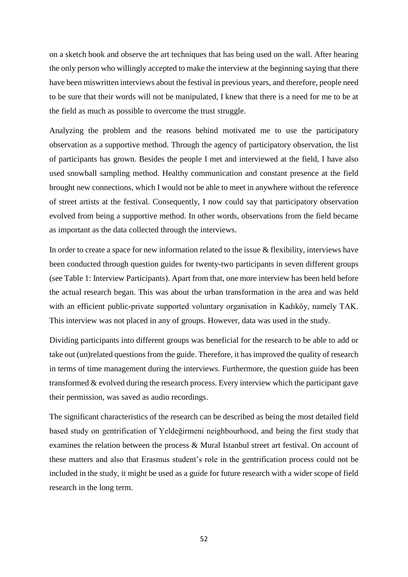on a sketch book and observe the art techniques that has being used on the wall. After hearing the only person who willingly accepted to make the interview at the beginning saying that there have been miswritten interviews about the festival in previous years, and therefore, people need to be sure that their words will not be manipulated, I knew that there is a need for me to be at the field as much as possible to overcome the trust struggle.

Analyzing the problem and the reasons behind motivated me to use the participatory observation as a supportive method. Through the agency of participatory observation, the list of participants has grown. Besides the people I met and interviewed at the field, I have also used snowball sampling method. Healthy communication and constant presence at the field brought new connections, which I would not be able to meet in anywhere without the reference of street artists at the festival. Consequently, I now could say that participatory observation evolved from being a supportive method. In other words, observations from the field became as important as the data collected through the interviews.

In order to create a space for new information related to the issue & flexibility, interviews have been conducted through question guides for twenty-two participants in seven different groups (see Table 1: Interview Participants). Apart from that, one more interview has been held before the actual research began. This was about the urban transformation in the area and was held with an efficient public-private supported voluntary organisation in Kadıköy, namely TAK. This interview was not placed in any of groups. However, data was used in the study.

Dividing participants into different groups was beneficial for the research to be able to add or take out (un)related questions from the guide. Therefore, it has improved the quality of research in terms of time management during the interviews. Furthermore, the question guide has been transformed & evolved during the research process. Every interview which the participant gave their permission, was saved as audio recordings.

The significant characteristics of the research can be described as being the most detailed field based study on gentrification of Yeldeğirmeni neighbourhood, and being the first study that examines the relation between the process & Mural Istanbul street art festival. On account of these matters and also that Erasmus student's role in the gentrification process could not be included in the study, it might be used as a guide for future research with a wider scope of field research in the long term.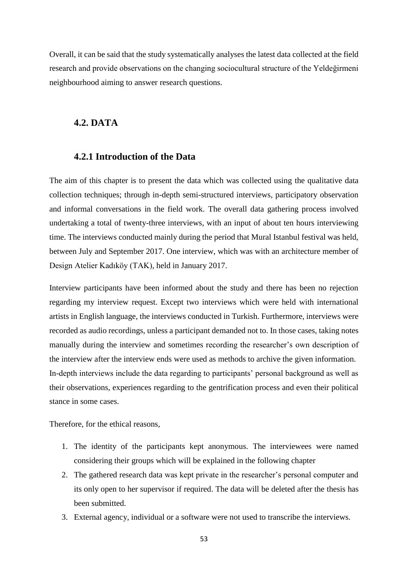Overall, it can be said that the study systematically analyses the latest data collected at the field research and provide observations on the changing sociocultural structure of the Yeldeğirmeni neighbourhood aiming to answer research questions.

### **4.2. DATA**

# **4.2.1 Introduction of the Data**

The aim of this chapter is to present the data which was collected using the qualitative data collection techniques; through in-depth semi-structured interviews, participatory observation and informal conversations in the field work. The overall data gathering process involved undertaking a total of twenty-three interviews, with an input of about ten hours interviewing time. The interviews conducted mainly during the period that Mural Istanbul festival was held, between July and September 2017. One interview, which was with an architecture member of Design Atelier Kadıköy (TAK), held in January 2017.

Interview participants have been informed about the study and there has been no rejection regarding my interview request. Except two interviews which were held with international artists in English language, the interviews conducted in Turkish. Furthermore, interviews were recorded as audio recordings, unless a participant demanded not to. In those cases, taking notes manually during the interview and sometimes recording the researcher's own description of the interview after the interview ends were used as methods to archive the given information. In-depth interviews include the data regarding to participants' personal background as well as their observations, experiences regarding to the gentrification process and even their political stance in some cases.

Therefore, for the ethical reasons,

- 1. The identity of the participants kept anonymous. The interviewees were named considering their groups which will be explained in the following chapter
- 2. The gathered research data was kept private in the researcher's personal computer and its only open to her supervisor if required. The data will be deleted after the thesis has been submitted.
- 3. External agency, individual or a software were not used to transcribe the interviews.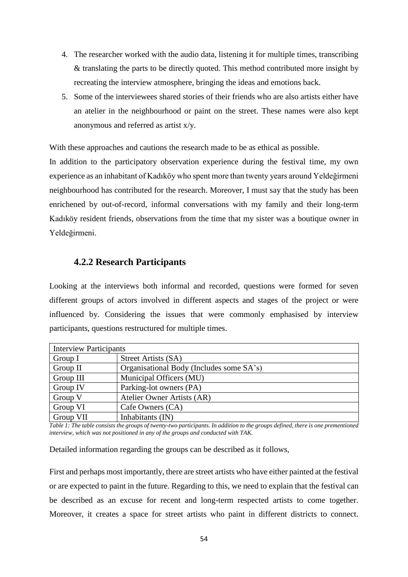- 4. The researcher worked with the audio data, listening it for multiple times, transcribing & translating the parts to be directly quoted. This method contributed more insight by recreating the interview atmosphere, bringing the ideas and emotions back.
- 5. Some of the interviewees shared stories of their friends who are also artists either have an atelier in the neighbourhood or paint on the street. These names were also kept anonymous and referred as artist x/y.

With these approaches and cautions the research made to be as ethical as possible.

In addition to the participatory observation experience during the festival time, my own experience as an inhabitant of Kadıköy who spent more than twenty years around Yeldeğirmeni neighbourhood has contributed for the research. Moreover, I must say that the study has been enrichened by out-of-record, informal conversations with my family and their long-term Kadıköy resident friends, observations from the time that my sister was a boutique owner in Yeldeğirmeni.

# **4.2.2 Research Participants**

Looking at the interviews both informal and recorded, questions were formed for seven different groups of actors involved in different aspects and stages of the project or were influenced by. Considering the issues that were commonly emphasised by interview participants, questions restructured for multiple times.

| <b>Interview Participants</b> |                                          |
|-------------------------------|------------------------------------------|
| Group I                       | Street Artists (SA)                      |
| Group II                      | Organisational Body (Includes some SA's) |
| Group III                     | Municipal Officers (MU)                  |
| Group IV                      | Parking-lot owners (PA)                  |
| Group V                       | Atelier Owner Artists (AR)               |
| Group VI                      | Cafe Owners (CA)                         |
| Group VII                     | Inhabitants (IN)                         |

*Table 1: The table consists the groups of twenty-two participants. In addition to the groups defined, there is one prementioned interview, which was not positioned in any of the groups and conducted with TAK.*

Detailed information regarding the groups can be described as it follows,

First and perhaps most importantly, there are street artists who have either painted at the festival or are expected to paint in the future. Regarding to this, we need to explain that the festival can be described as an excuse for recent and long-term respected artists to come together. Moreover, it creates a space for street artists who paint in different districts to connect.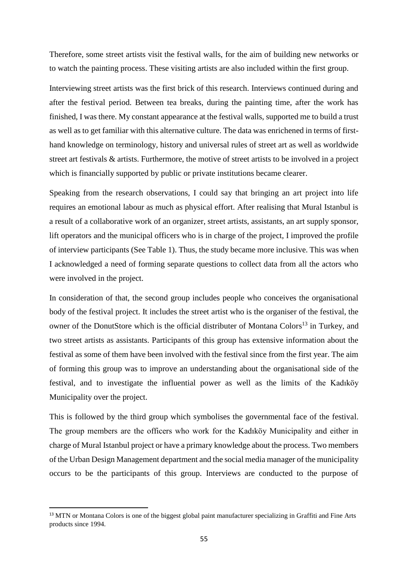Therefore, some street artists visit the festival walls, for the aim of building new networks or to watch the painting process. These visiting artists are also included within the first group.

Interviewing street artists was the first brick of this research. Interviews continued during and after the festival period. Between tea breaks, during the painting time, after the work has finished, I was there. My constant appearance at the festival walls, supported me to build a trust as well as to get familiar with this alternative culture. The data was enrichened in terms of firsthand knowledge on terminology, history and universal rules of street art as well as worldwide street art festivals & artists. Furthermore, the motive of street artists to be involved in a project which is financially supported by public or private institutions became clearer.

Speaking from the research observations, I could say that bringing an art project into life requires an emotional labour as much as physical effort. After realising that Mural Istanbul is a result of a collaborative work of an organizer, street artists, assistants, an art supply sponsor, lift operators and the municipal officers who is in charge of the project, I improved the profile of interview participants (See Table 1). Thus, the study became more inclusive. This was when I acknowledged a need of forming separate questions to collect data from all the actors who were involved in the project.

In consideration of that, the second group includes people who conceives the organisational body of the festival project. It includes the street artist who is the organiser of the festival, the owner of the DonutStore which is the official distributer of Montana Colors<sup>13</sup> in Turkey, and two street artists as assistants. Participants of this group has extensive information about the festival as some of them have been involved with the festival since from the first year. The aim of forming this group was to improve an understanding about the organisational side of the festival, and to investigate the influential power as well as the limits of the Kadıköy Municipality over the project.

This is followed by the third group which symbolises the governmental face of the festival. The group members are the officers who work for the Kadıköy Municipality and either in charge of Mural Istanbul project or have a primary knowledge about the process. Two members of the Urban Design Management department and the social media manager of the municipality occurs to be the participants of this group. Interviews are conducted to the purpose of

1

<sup>&</sup>lt;sup>13</sup> MTN or Montana Colors is one of the biggest global paint manufacturer specializing in Graffiti and Fine Arts products since 1994.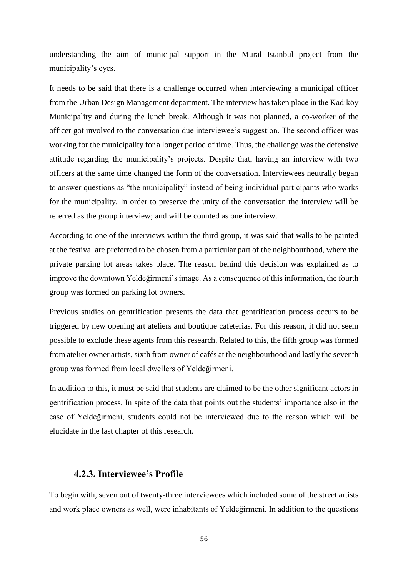understanding the aim of municipal support in the Mural Istanbul project from the municipality's eyes.

It needs to be said that there is a challenge occurred when interviewing a municipal officer from the Urban Design Management department. The interview has taken place in the Kadıköy Municipality and during the lunch break. Although it was not planned, a co-worker of the officer got involved to the conversation due interviewee's suggestion. The second officer was working for the municipality for a longer period of time. Thus, the challenge was the defensive attitude regarding the municipality's projects. Despite that, having an interview with two officers at the same time changed the form of the conversation. Interviewees neutrally began to answer questions as "the municipality" instead of being individual participants who works for the municipality. In order to preserve the unity of the conversation the interview will be referred as the group interview; and will be counted as one interview.

According to one of the interviews within the third group, it was said that walls to be painted at the festival are preferred to be chosen from a particular part of the neighbourhood, where the private parking lot areas takes place. The reason behind this decision was explained as to improve the downtown Yeldeğirmeni's image. As a consequence of this information, the fourth group was formed on parking lot owners.

Previous studies on gentrification presents the data that gentrification process occurs to be triggered by new opening art ateliers and boutique cafeterias. For this reason, it did not seem possible to exclude these agents from this research. Related to this, the fifth group was formed from atelier owner artists, sixth from owner of cafés at the neighbourhood and lastly the seventh group was formed from local dwellers of Yeldeğirmeni.

In addition to this, it must be said that students are claimed to be the other significant actors in gentrification process. In spite of the data that points out the students' importance also in the case of Yeldeğirmeni, students could not be interviewed due to the reason which will be elucidate in the last chapter of this research.

### **4.2.3. Interviewee's Profile**

To begin with, seven out of twenty-three interviewees which included some of the street artists and work place owners as well, were inhabitants of Yeldeğirmeni. In addition to the questions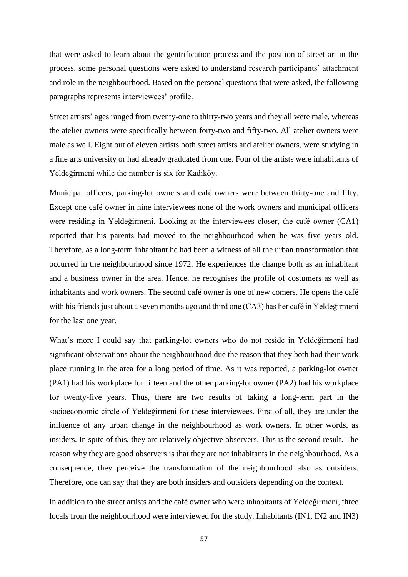that were asked to learn about the gentrification process and the position of street art in the process, some personal questions were asked to understand research participants' attachment and role in the neighbourhood. Based on the personal questions that were asked, the following paragraphs represents interviewees' profile.

Street artists' ages ranged from twenty-one to thirty-two years and they all were male, whereas the atelier owners were specifically between forty-two and fifty-two. All atelier owners were male as well. Eight out of eleven artists both street artists and atelier owners, were studying in a fine arts university or had already graduated from one. Four of the artists were inhabitants of Yeldeğirmeni while the number is six for Kadıköy.

Municipal officers, parking-lot owners and café owners were between thirty-one and fifty. Except one café owner in nine interviewees none of the work owners and municipal officers were residing in Yeldeğirmeni. Looking at the interviewees closer, the café owner (CA1) reported that his parents had moved to the neighbourhood when he was five years old. Therefore, as a long-term inhabitant he had been a witness of all the urban transformation that occurred in the neighbourhood since 1972. He experiences the change both as an inhabitant and a business owner in the area. Hence, he recognises the profile of costumers as well as inhabitants and work owners. The second café owner is one of new comers. He opens the café with his friends just about a seven months ago and third one (CA3) has her café in Yeldeğirmeni for the last one year.

What's more I could say that parking-lot owners who do not reside in Yeldeğirmeni had significant observations about the neighbourhood due the reason that they both had their work place running in the area for a long period of time. As it was reported, a parking-lot owner (PA1) had his workplace for fifteen and the other parking-lot owner (PA2) had his workplace for twenty-five years. Thus, there are two results of taking a long-term part in the socioeconomic circle of Yeldeğirmeni for these interviewees. First of all, they are under the influence of any urban change in the neighbourhood as work owners. In other words, as insiders. In spite of this, they are relatively objective observers. This is the second result. The reason why they are good observers is that they are not inhabitants in the neighbourhood. As a consequence, they perceive the transformation of the neighbourhood also as outsiders. Therefore, one can say that they are both insiders and outsiders depending on the context.

In addition to the street artists and the café owner who were inhabitants of Yeldeğirmeni, three locals from the neighbourhood were interviewed for the study. Inhabitants (IN1, IN2 and IN3)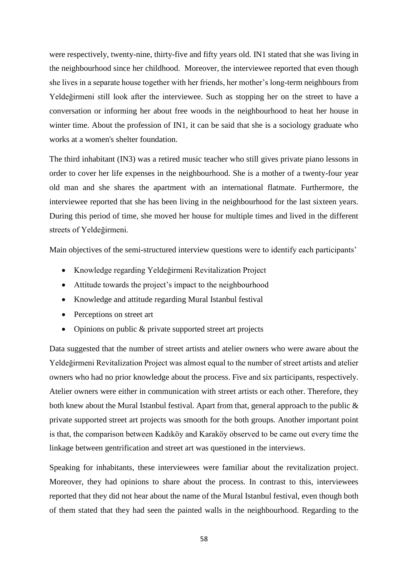were respectively, twenty-nine, thirty-five and fifty years old. IN1 stated that she was living in the neighbourhood since her childhood. Moreover, the interviewee reported that even though she lives in a separate house together with her friends, her mother's long-term neighbours from Yeldeğirmeni still look after the interviewee. Such as stopping her on the street to have a conversation or informing her about free woods in the neighbourhood to heat her house in winter time. About the profession of IN1, it can be said that she is a sociology graduate who works at a women's shelter foundation.

The third inhabitant (IN3) was a retired music teacher who still gives private piano lessons in order to cover her life expenses in the neighbourhood. She is a mother of a twenty-four year old man and she shares the apartment with an international flatmate. Furthermore, the interviewee reported that she has been living in the neighbourhood for the last sixteen years. During this period of time, she moved her house for multiple times and lived in the different streets of Yeldeğirmeni.

Main objectives of the semi-structured interview questions were to identify each participants'

- Knowledge regarding Yeldeğirmeni Revitalization Project
- Attitude towards the project's impact to the neighbourhood
- Knowledge and attitude regarding Mural Istanbul festival
- Perceptions on street art
- Opinions on public & private supported street art projects

Data suggested that the number of street artists and atelier owners who were aware about the Yeldeğirmeni Revitalization Project was almost equal to the number of street artists and atelier owners who had no prior knowledge about the process. Five and six participants, respectively. Atelier owners were either in communication with street artists or each other. Therefore, they both knew about the Mural Istanbul festival. Apart from that, general approach to the public  $\&$ private supported street art projects was smooth for the both groups. Another important point is that, the comparison between Kadıköy and Karaköy observed to be came out every time the linkage between gentrification and street art was questioned in the interviews.

Speaking for inhabitants, these interviewees were familiar about the revitalization project. Moreover, they had opinions to share about the process. In contrast to this, interviewees reported that they did not hear about the name of the Mural Istanbul festival, even though both of them stated that they had seen the painted walls in the neighbourhood. Regarding to the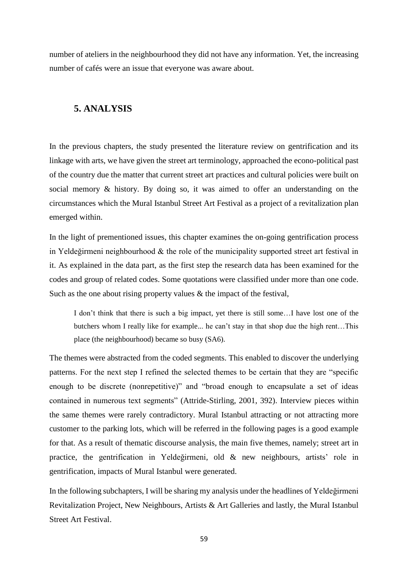number of ateliers in the neighbourhood they did not have any information. Yet, the increasing number of cafés were an issue that everyone was aware about.

# **5. ANALYSIS**

In the previous chapters, the study presented the literature review on gentrification and its linkage with arts, we have given the street art terminology, approached the econo-political past of the country due the matter that current street art practices and cultural policies were built on social memory & history. By doing so, it was aimed to offer an understanding on the circumstances which the Mural Istanbul Street Art Festival as a project of a revitalization plan emerged within.

In the light of prementioned issues, this chapter examines the on-going gentrification process in Yeldeğirmeni neighbourhood & the role of the municipality supported street art festival in it. As explained in the data part, as the first step the research data has been examined for the codes and group of related codes. Some quotations were classified under more than one code. Such as the one about rising property values  $\&$  the impact of the festival,

I don't think that there is such a big impact, yet there is still some…I have lost one of the butchers whom I really like for example... he can't stay in that shop due the high rent…This place (the neighbourhood) became so busy (SA6).

The themes were abstracted from the coded segments. This enabled to discover the underlying patterns. For the next step I refined the selected themes to be certain that they are "specific enough to be discrete (nonrepetitive)" and "broad enough to encapsulate a set of ideas contained in numerous text segments" (Attride-Stirling, 2001, 392). Interview pieces within the same themes were rarely contradictory. Mural Istanbul attracting or not attracting more customer to the parking lots, which will be referred in the following pages is a good example for that. As a result of thematic discourse analysis, the main five themes, namely; street art in practice, the gentrification in Yeldeğirmeni, old & new neighbours, artists' role in gentrification, impacts of Mural Istanbul were generated.

In the following subchapters, I will be sharing my analysis under the headlines of Yeldeğirmeni Revitalization Project, New Neighbours, Artists & Art Galleries and lastly, the Mural Istanbul Street Art Festival.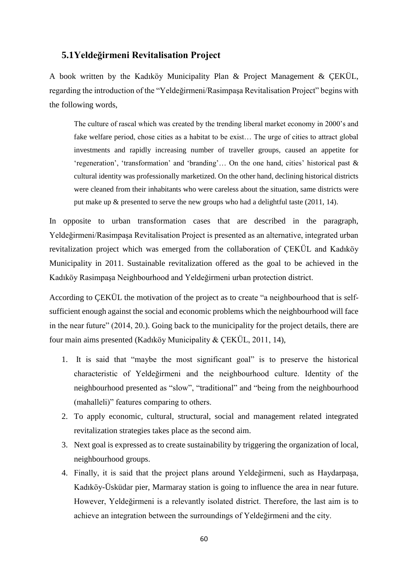# **5.1Yeldeğirmeni Revitalisation Project**

A book written by the Kadıköy Municipality Plan & Project Management & ÇEKÜL, regarding the introduction of the "Yeldeğirmeni/Rasimpaşa Revitalisation Project" begins with the following words,

The culture of rascal which was created by the trending liberal market economy in 2000's and fake welfare period, chose cities as a habitat to be exist… The urge of cities to attract global investments and rapidly increasing number of traveller groups, caused an appetite for 'regeneration', 'transformation' and 'branding'… On the one hand, cities' historical past & cultural identity was professionally marketized. On the other hand, declining historical districts were cleaned from their inhabitants who were careless about the situation, same districts were put make up & presented to serve the new groups who had a delightful taste (2011, 14).

In opposite to urban transformation cases that are described in the paragraph, Yeldeğirmeni/Rasimpaşa Revitalisation Project is presented as an alternative, integrated urban revitalization project which was emerged from the collaboration of ÇEKÜL and Kadıköy Municipality in 2011. Sustainable revitalization offered as the goal to be achieved in the Kadıköy Rasimpaşa Neighbourhood and Yeldeğirmeni urban protection district.

According to ÇEKÜL the motivation of the project as to create "a neighbourhood that is selfsufficient enough against the social and economic problems which the neighbourhood will face in the near future" (2014, 20.). Going back to the municipality for the project details, there are four main aims presented (Kadıköy Municipality & ÇEKÜL, 2011, 14),

- 1. It is said that "maybe the most significant goal" is to preserve the historical characteristic of Yeldeğirmeni and the neighbourhood culture. Identity of the neighbourhood presented as "slow", "traditional" and "being from the neighbourhood (mahalleli)" features comparing to others.
- 2. To apply economic, cultural, structural, social and management related integrated revitalization strategies takes place as the second aim.
- 3. Next goal is expressed as to create sustainability by triggering the organization of local, neighbourhood groups.
- 4. Finally, it is said that the project plans around Yeldeğirmeni, such as Haydarpaşa, Kadıköy-Üsküdar pier, Marmaray station is going to influence the area in near future. However, Yeldeğirmeni is a relevantly isolated district. Therefore, the last aim is to achieve an integration between the surroundings of Yeldeğirmeni and the city.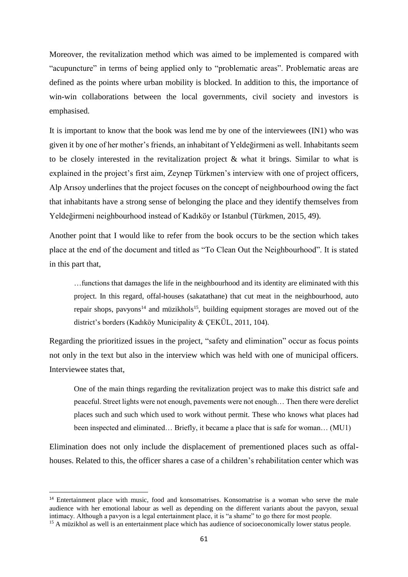Moreover, the revitalization method which was aimed to be implemented is compared with "acupuncture" in terms of being applied only to "problematic areas". Problematic areas are defined as the points where urban mobility is blocked. In addition to this, the importance of win-win collaborations between the local governments, civil society and investors is emphasised.

It is important to know that the book was lend me by one of the interviewees (IN1) who was given it by one of her mother's friends, an inhabitant of Yeldeğirmeni as well. Inhabitants seem to be closely interested in the revitalization project & what it brings. Similar to what is explained in the project's first aim, Zeynep Türkmen's interview with one of project officers, Alp Arısoy underlines that the project focuses on the concept of neighbourhood owing the fact that inhabitants have a strong sense of belonging the place and they identify themselves from Yeldeğirmeni neighbourhood instead of Kadıköy or Istanbul (Türkmen, 2015, 49).

Another point that I would like to refer from the book occurs to be the section which takes place at the end of the document and titled as "To Clean Out the Neighbourhood". It is stated in this part that,

…functions that damages the life in the neighbourhood and its identity are eliminated with this project. In this regard, offal-houses (sakatathane) that cut meat in the neighbourhood, auto repair shops, pavyons<sup>14</sup> and müzikhols<sup>15</sup>, building equipment storages are moved out of the district's borders (Kadıköy Municipality & ÇEKÜL, 2011, 104).

Regarding the prioritized issues in the project, "safety and elimination" occur as focus points not only in the text but also in the interview which was held with one of municipal officers. Interviewee states that,

One of the main things regarding the revitalization project was to make this district safe and peaceful. Street lights were not enough, pavements were not enough… Then there were derelict places such and such which used to work without permit. These who knows what places had been inspected and eliminated… Briefly, it became a place that is safe for woman… (MU1)

Elimination does not only include the displacement of prementioned places such as offalhouses. Related to this, the officer shares a case of a children's rehabilitation center which was

1

<sup>&</sup>lt;sup>14</sup> Entertainment place with music, food and konsomatrises. Konsomatrise is a woman who serve the male audience with her emotional labour as well as depending on the different variants about the pavyon, sexual intimacy. Although a pavyon is a legal entertainment place, it is "a shame" to go there for most people.

<sup>&</sup>lt;sup>15</sup> A müzikhol as well is an entertainment place which has audience of socioeconomically lower status people.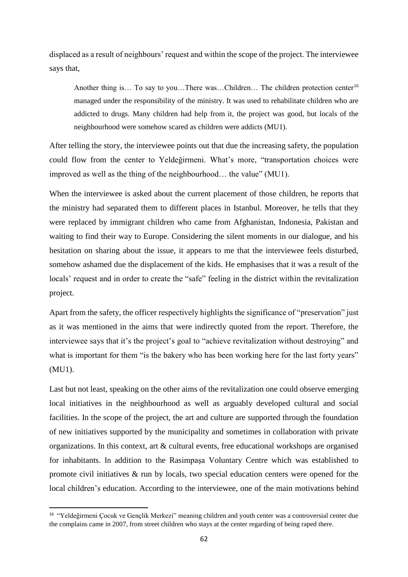displaced as a result of neighbours' request and within the scope of the project. The interviewee says that,

Another thing is... To say to you...There was...Children... The children protection center<sup>16</sup> managed under the responsibility of the ministry. It was used to rehabilitate children who are addicted to drugs. Many children had help from it, the project was good, but locals of the neighbourhood were somehow scared as children were addicts (MU1).

After telling the story, the interviewee points out that due the increasing safety, the population could flow from the center to Yeldeğirmeni. What's more, "transportation choices were improved as well as the thing of the neighbourhood… the value" (MU1).

When the interviewee is asked about the current placement of those children, he reports that the ministry had separated them to different places in Istanbul. Moreover, he tells that they were replaced by immigrant children who came from Afghanistan, Indonesia, Pakistan and waiting to find their way to Europe. Considering the silent moments in our dialogue, and his hesitation on sharing about the issue, it appears to me that the interviewee feels disturbed, somehow ashamed due the displacement of the kids. He emphasises that it was a result of the locals' request and in order to create the "safe" feeling in the district within the revitalization project.

Apart from the safety, the officer respectively highlights the significance of "preservation" just as it was mentioned in the aims that were indirectly quoted from the report. Therefore, the interviewee says that it's the project's goal to "achieve revitalization without destroying" and what is important for them "is the bakery who has been working here for the last forty years" (MU1).

Last but not least, speaking on the other aims of the revitalization one could observe emerging local initiatives in the neighbourhood as well as arguably developed cultural and social facilities. In the scope of the project, the art and culture are supported through the foundation of new initiatives supported by the municipality and sometimes in collaboration with private organizations. In this context, art & cultural events, free educational workshops are organised for inhabitants. In addition to the Rasimpaşa Voluntary Centre which was established to promote civil initiatives & run by locals, two special education centers were opened for the local children's education. According to the interviewee, one of the main motivations behind

1

<sup>&</sup>lt;sup>16</sup> "Yeldeğirmeni Çocuk ve Gençlik Merkezi" meaning children and youth center was a controversial center due the complains came in 2007, from street children who stays at the center regarding of being raped there.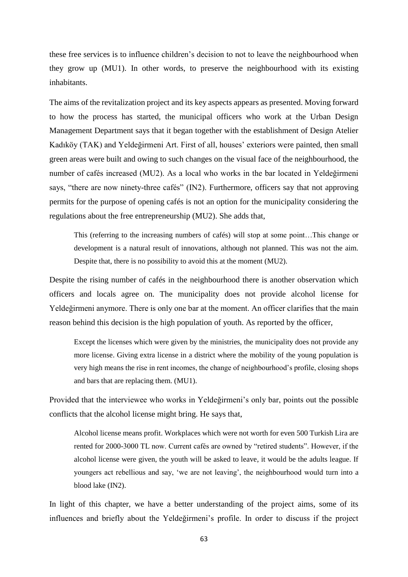these free services is to influence children's decision to not to leave the neighbourhood when they grow up (MU1). In other words, to preserve the neighbourhood with its existing inhabitants.

The aims of the revitalization project and its key aspects appears as presented. Moving forward to how the process has started, the municipal officers who work at the Urban Design Management Department says that it began together with the establishment of Design Atelier Kadıköy (TAK) and Yeldeğirmeni Art. First of all, houses' exteriors were painted, then small green areas were built and owing to such changes on the visual face of the neighbourhood, the number of cafés increased (MU2). As a local who works in the bar located in Yeldeğirmeni says, "there are now ninety-three cafés" (IN2). Furthermore, officers say that not approving permits for the purpose of opening cafés is not an option for the municipality considering the regulations about the free entrepreneurship (MU2). She adds that,

This (referring to the increasing numbers of cafés) will stop at some point…This change or development is a natural result of innovations, although not planned. This was not the aim. Despite that, there is no possibility to avoid this at the moment (MU2).

Despite the rising number of cafés in the neighbourhood there is another observation which officers and locals agree on. The municipality does not provide alcohol license for Yeldeğirmeni anymore. There is only one bar at the moment. An officer clarifies that the main reason behind this decision is the high population of youth. As reported by the officer,

Except the licenses which were given by the ministries, the municipality does not provide any more license. Giving extra license in a district where the mobility of the young population is very high means the rise in rent incomes, the change of neighbourhood's profile, closing shops and bars that are replacing them. (MU1).

Provided that the interviewee who works in Yeldeğirmeni's only bar, points out the possible conflicts that the alcohol license might bring. He says that,

Alcohol license means profit. Workplaces which were not worth for even 500 Turkish Lira are rented for 2000-3000 TL now. Current cafés are owned by "retired students". However, if the alcohol license were given, the youth will be asked to leave, it would be the adults league. If youngers act rebellious and say, 'we are not leaving', the neighbourhood would turn into a blood lake (IN2).

In light of this chapter, we have a better understanding of the project aims, some of its influences and briefly about the Yeldeğirmeni's profile. In order to discuss if the project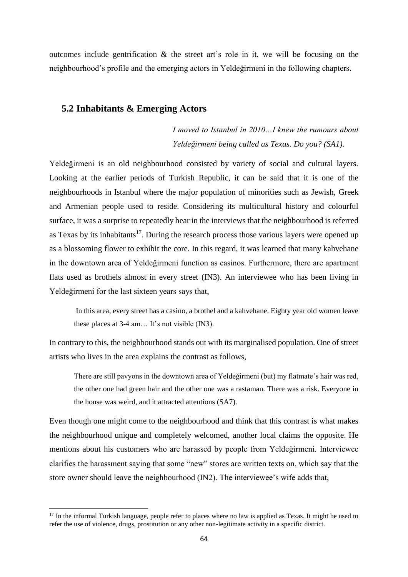outcomes include gentrification & the street art's role in it, we will be focusing on the neighbourhood's profile and the emerging actors in Yeldeğirmeni in the following chapters.

## **5.2 Inhabitants & Emerging Actors**

*I moved to Istanbul in 2010…I knew the rumours about Yeldeğirmeni being called as Texas. Do you? (SA1).*

Yeldeğirmeni is an old neighbourhood consisted by variety of social and cultural layers. Looking at the earlier periods of Turkish Republic, it can be said that it is one of the neighbourhoods in Istanbul where the major population of minorities such as Jewish, Greek and Armenian people used to reside. Considering its multicultural history and colourful surface, it was a surprise to repeatedly hear in the interviews that the neighbourhood is referred as Texas by its inhabitants<sup>17</sup>. During the research process those various layers were opened up as a blossoming flower to exhibit the core. In this regard, it was learned that many kahvehane in the downtown area of Yeldeğirmeni function as casinos. Furthermore, there are apartment flats used as brothels almost in every street (IN3). An interviewee who has been living in Yeldeğirmeni for the last sixteen years says that,

In this area, every street has a casino, a brothel and a kahvehane. Eighty year old women leave these places at 3-4 am… It's not visible (IN3).

In contrary to this, the neighbourhood stands out with its marginalised population. One of street artists who lives in the area explains the contrast as follows,

There are still pavyons in the downtown area of Yeldeğirmeni (but) my flatmate's hair was red, the other one had green hair and the other one was a rastaman. There was a risk. Everyone in the house was weird, and it attracted attentions (SA7).

Even though one might come to the neighbourhood and think that this contrast is what makes the neighbourhood unique and completely welcomed, another local claims the opposite. He mentions about his customers who are harassed by people from Yeldeğirmeni. Interviewee clarifies the harassment saying that some "new" stores are written texts on, which say that the store owner should leave the neighbourhood (IN2). The interviewee's wife adds that,

1

 $17$  In the informal Turkish language, people refer to places where no law is applied as Texas. It might be used to refer the use of violence, drugs, prostitution or any other non-legitimate activity in a specific district.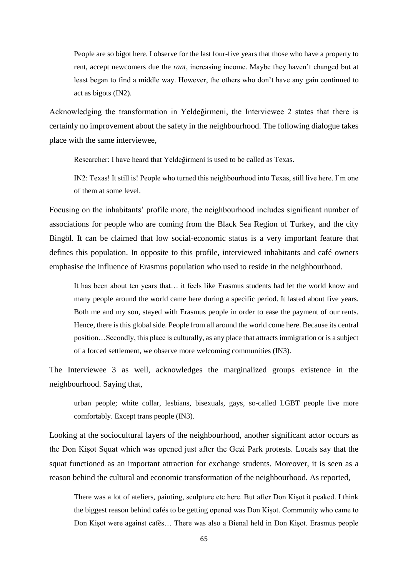People are so bigot here. I observe for the last four-five years that those who have a property to rent, accept newcomers due the *rant*, increasing income. Maybe they haven't changed but at least began to find a middle way. However, the others who don't have any gain continued to act as bigots (IN2).

Acknowledging the transformation in Yeldeğirmeni, the Interviewee 2 states that there is certainly no improvement about the safety in the neighbourhood. The following dialogue takes place with the same interviewee,

Researcher: I have heard that Yeldeğirmeni is used to be called as Texas.

IN2: Texas! It still is! People who turned this neighbourhood into Texas, still live here. I'm one of them at some level.

Focusing on the inhabitants' profile more, the neighbourhood includes significant number of associations for people who are coming from the Black Sea Region of Turkey, and the city Bingöl. It can be claimed that low social-economic status is a very important feature that defines this population. In opposite to this profile, interviewed inhabitants and café owners emphasise the influence of Erasmus population who used to reside in the neighbourhood.

It has been about ten years that… it feels like Erasmus students had let the world know and many people around the world came here during a specific period. It lasted about five years. Both me and my son, stayed with Erasmus people in order to ease the payment of our rents. Hence, there is this global side. People from all around the world come here. Because its central position…Secondly, this place is culturally, as any place that attracts immigration or is a subject of a forced settlement, we observe more welcoming communities (IN3).

The Interviewee 3 as well, acknowledges the marginalized groups existence in the neighbourhood. Saying that,

urban people; white collar, lesbians, bisexuals, gays, so-called LGBT people live more comfortably. Except trans people (IN3).

Looking at the sociocultural layers of the neighbourhood, another significant actor occurs as the Don Kişot Squat which was opened just after the Gezi Park protests. Locals say that the squat functioned as an important attraction for exchange students. Moreover, it is seen as a reason behind the cultural and economic transformation of the neighbourhood. As reported,

There was a lot of ateliers, painting, sculpture etc here. But after Don Kişot it peaked. I think the biggest reason behind cafés to be getting opened was Don Kişot. Community who came to Don Kişot were against cafés… There was also a Bienal held in Don Kişot. Erasmus people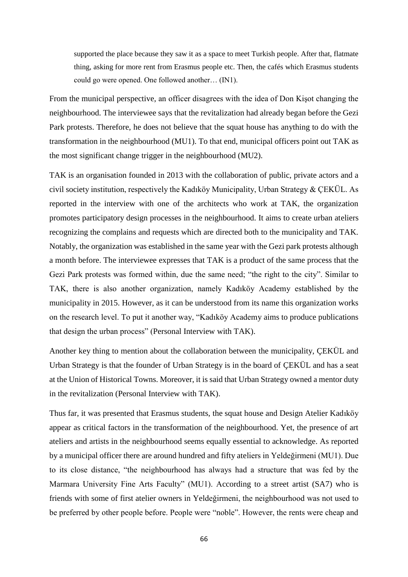supported the place because they saw it as a space to meet Turkish people. After that, flatmate thing, asking for more rent from Erasmus people etc. Then, the cafés which Erasmus students could go were opened. One followed another… (IN1).

From the municipal perspective, an officer disagrees with the idea of Don Kişot changing the neighbourhood. The interviewee says that the revitalization had already began before the Gezi Park protests. Therefore, he does not believe that the squat house has anything to do with the transformation in the neighbourhood (MU1). To that end, municipal officers point out TAK as the most significant change trigger in the neighbourhood (MU2).

TAK is an organisation founded in 2013 with the collaboration of public, private actors and a civil society institution, respectively the Kadıköy Municipality, Urban Strategy & ÇEKÜL. As reported in the interview with one of the architects who work at TAK, the organization promotes participatory design processes in the neighbourhood. It aims to create urban ateliers recognizing the complains and requests which are directed both to the municipality and TAK. Notably, the organization was established in the same year with the Gezi park protests although a month before. The interviewee expresses that TAK is a product of the same process that the Gezi Park protests was formed within, due the same need; "the right to the city". Similar to TAK, there is also another organization, namely Kadıköy Academy established by the municipality in 2015. However, as it can be understood from its name this organization works on the research level. To put it another way, "Kadıköy Academy aims to produce publications that design the urban process" (Personal Interview with TAK).

Another key thing to mention about the collaboration between the municipality, ÇEKÜL and Urban Strategy is that the founder of Urban Strategy is in the board of ÇEKÜL and has a seat at the Union of Historical Towns. Moreover, it is said that Urban Strategy owned a mentor duty in the revitalization (Personal Interview with TAK).

Thus far, it was presented that Erasmus students, the squat house and Design Atelier Kadıköy appear as critical factors in the transformation of the neighbourhood. Yet, the presence of art ateliers and artists in the neighbourhood seems equally essential to acknowledge. As reported by a municipal officer there are around hundred and fifty ateliers in Yeldeğirmeni (MU1). Due to its close distance, "the neighbourhood has always had a structure that was fed by the Marmara University Fine Arts Faculty" (MU1). According to a street artist (SA7) who is friends with some of first atelier owners in Yeldeğirmeni, the neighbourhood was not used to be preferred by other people before. People were "noble". However, the rents were cheap and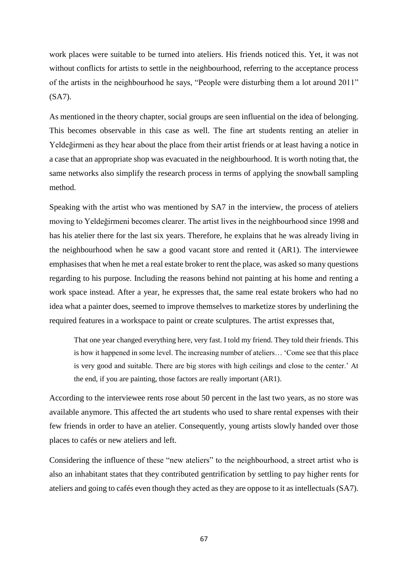work places were suitable to be turned into ateliers. His friends noticed this. Yet, it was not without conflicts for artists to settle in the neighbourhood, referring to the acceptance process of the artists in the neighbourhood he says, "People were disturbing them a lot around 2011" (SA7).

As mentioned in the theory chapter, social groups are seen influential on the idea of belonging. This becomes observable in this case as well. The fine art students renting an atelier in Yeldeğirmeni as they hear about the place from their artist friends or at least having a notice in a case that an appropriate shop was evacuated in the neighbourhood. It is worth noting that, the same networks also simplify the research process in terms of applying the snowball sampling method.

Speaking with the artist who was mentioned by SA7 in the interview, the process of ateliers moving to Yeldeğirmeni becomes clearer. The artist lives in the neighbourhood since 1998 and has his atelier there for the last six years. Therefore, he explains that he was already living in the neighbourhood when he saw a good vacant store and rented it (AR1). The interviewee emphasises that when he met a real estate broker to rent the place, was asked so many questions regarding to his purpose. Including the reasons behind not painting at his home and renting a work space instead. After a year, he expresses that, the same real estate brokers who had no idea what a painter does, seemed to improve themselves to marketize stores by underlining the required features in a workspace to paint or create sculptures. The artist expresses that,

That one year changed everything here, very fast. I told my friend. They told their friends. This is how it happened in some level. The increasing number of ateliers… 'Come see that this place is very good and suitable. There are big stores with high ceilings and close to the center.' At the end, if you are painting, those factors are really important (AR1).

According to the interviewee rents rose about 50 percent in the last two years, as no store was available anymore. This affected the art students who used to share rental expenses with their few friends in order to have an atelier. Consequently, young artists slowly handed over those places to cafés or new ateliers and left.

Considering the influence of these "new ateliers" to the neighbourhood, a street artist who is also an inhabitant states that they contributed gentrification by settling to pay higher rents for ateliers and going to cafés even though they acted as they are oppose to it as intellectuals (SA7).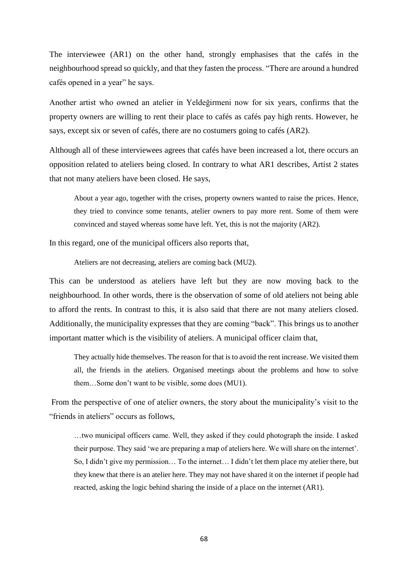The interviewee (AR1) on the other hand, strongly emphasises that the cafés in the neighbourhood spread so quickly, and that they fasten the process. "There are around a hundred cafés opened in a year" he says.

Another artist who owned an atelier in Yeldeğirmeni now for six years, confirms that the property owners are willing to rent their place to cafés as cafés pay high rents. However, he says, except six or seven of cafés, there are no costumers going to cafés (AR2).

Although all of these interviewees agrees that cafés have been increased a lot, there occurs an opposition related to ateliers being closed. In contrary to what AR1 describes, Artist 2 states that not many ateliers have been closed. He says,

About a year ago, together with the crises, property owners wanted to raise the prices. Hence, they tried to convince some tenants, atelier owners to pay more rent. Some of them were convinced and stayed whereas some have left. Yet, this is not the majority (AR2).

In this regard, one of the municipal officers also reports that,

Ateliers are not decreasing, ateliers are coming back (MU2).

This can be understood as ateliers have left but they are now moving back to the neighbourhood. In other words, there is the observation of some of old ateliers not being able to afford the rents. In contrast to this, it is also said that there are not many ateliers closed. Additionally, the municipality expresses that they are coming "back". This brings us to another important matter which is the visibility of ateliers. A municipal officer claim that,

They actually hide themselves. The reason for that is to avoid the rent increase. We visited them all, the friends in the ateliers. Organised meetings about the problems and how to solve them…Some don't want to be visible, some does (MU1).

From the perspective of one of atelier owners, the story about the municipality's visit to the "friends in ateliers" occurs as follows,

…two municipal officers came. Well, they asked if they could photograph the inside. I asked their purpose. They said 'we are preparing a map of ateliers here. We will share on the internet'. So, I didn't give my permission… To the internet… I didn't let them place my atelier there, but they knew that there is an atelier here. They may not have shared it on the internet if people had reacted, asking the logic behind sharing the inside of a place on the internet (AR1).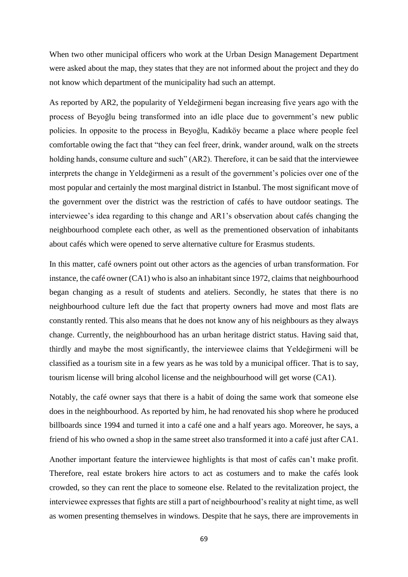When two other municipal officers who work at the Urban Design Management Department were asked about the map, they states that they are not informed about the project and they do not know which department of the municipality had such an attempt.

As reported by AR2, the popularity of Yeldeğirmeni began increasing five years ago with the process of Beyoğlu being transformed into an idle place due to government's new public policies. In opposite to the process in Beyoğlu, Kadıköy became a place where people feel comfortable owing the fact that "they can feel freer, drink, wander around, walk on the streets holding hands, consume culture and such" (AR2). Therefore, it can be said that the interviewee interprets the change in Yeldeğirmeni as a result of the government's policies over one of the most popular and certainly the most marginal district in Istanbul. The most significant move of the government over the district was the restriction of cafés to have outdoor seatings. The interviewee's idea regarding to this change and AR1's observation about cafés changing the neighbourhood complete each other, as well as the prementioned observation of inhabitants about cafés which were opened to serve alternative culture for Erasmus students.

In this matter, café owners point out other actors as the agencies of urban transformation. For instance, the café owner (CA1) who is also an inhabitant since 1972, claims that neighbourhood began changing as a result of students and ateliers. Secondly, he states that there is no neighbourhood culture left due the fact that property owners had move and most flats are constantly rented. This also means that he does not know any of his neighbours as they always change. Currently, the neighbourhood has an urban heritage district status. Having said that, thirdly and maybe the most significantly, the interviewee claims that Yeldeğirmeni will be classified as a tourism site in a few years as he was told by a municipal officer. That is to say, tourism license will bring alcohol license and the neighbourhood will get worse (CA1).

Notably, the café owner says that there is a habit of doing the same work that someone else does in the neighbourhood. As reported by him, he had renovated his shop where he produced billboards since 1994 and turned it into a café one and a half years ago. Moreover, he says, a friend of his who owned a shop in the same street also transformed it into a café just after CA1.

Another important feature the interviewee highlights is that most of cafés can't make profit. Therefore, real estate brokers hire actors to act as costumers and to make the cafés look crowded, so they can rent the place to someone else. Related to the revitalization project, the interviewee expresses that fights are still a part of neighbourhood's reality at night time, as well as women presenting themselves in windows. Despite that he says, there are improvements in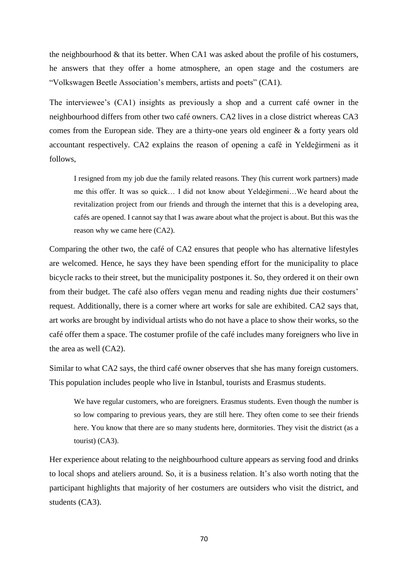the neighbourhood & that its better. When CA1 was asked about the profile of his costumers, he answers that they offer a home atmosphere, an open stage and the costumers are "Volkswagen Beetle Association's members, artists and poets" (CA1).

The interviewee's (CA1) insights as previously a shop and a current café owner in the neighbourhood differs from other two café owners. CA2 lives in a close district whereas CA3 comes from the European side. They are a thirty-one years old engineer & a forty years old accountant respectively. CA2 explains the reason of opening a café in Yeldeğirmeni as it follows,

I resigned from my job due the family related reasons. They (his current work partners) made me this offer. It was so quick… I did not know about Yeldeğirmeni…We heard about the revitalization project from our friends and through the internet that this is a developing area, cafés are opened. I cannot say that I was aware about what the project is about. But this was the reason why we came here (CA2).

Comparing the other two, the café of CA2 ensures that people who has alternative lifestyles are welcomed. Hence, he says they have been spending effort for the municipality to place bicycle racks to their street, but the municipality postpones it. So, they ordered it on their own from their budget. The café also offers vegan menu and reading nights due their costumers' request. Additionally, there is a corner where art works for sale are exhibited. CA2 says that, art works are brought by individual artists who do not have a place to show their works, so the café offer them a space. The costumer profile of the café includes many foreigners who live in the area as well (CA2).

Similar to what CA2 says, the third café owner observes that she has many foreign customers. This population includes people who live in Istanbul, tourists and Erasmus students.

We have regular customers, who are foreigners. Erasmus students. Even though the number is so low comparing to previous years, they are still here. They often come to see their friends here. You know that there are so many students here, dormitories. They visit the district (as a tourist) (CA3).

Her experience about relating to the neighbourhood culture appears as serving food and drinks to local shops and ateliers around. So, it is a business relation. It's also worth noting that the participant highlights that majority of her costumers are outsiders who visit the district, and students (CA3).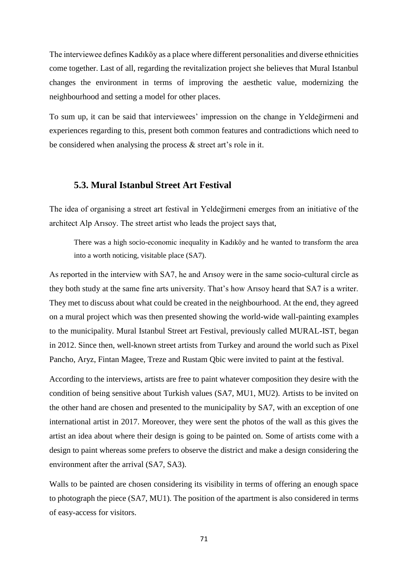The interviewee defines Kadıköy as a place where different personalities and diverse ethnicities come together. Last of all, regarding the revitalization project she believes that Mural Istanbul changes the environment in terms of improving the aesthetic value, modernizing the neighbourhood and setting a model for other places.

To sum up, it can be said that interviewees' impression on the change in Yeldeğirmeni and experiences regarding to this, present both common features and contradictions which need to be considered when analysing the process & street art's role in it.

# **5.3. Mural Istanbul Street Art Festival**

The idea of organising a street art festival in Yeldeğirmeni emerges from an initiative of the architect Alp Arısoy. The street artist who leads the project says that,

There was a high socio-economic inequality in Kadıköy and he wanted to transform the area into a worth noticing, visitable place (SA7).

As reported in the interview with SA7, he and Arısoy were in the same socio-cultural circle as they both study at the same fine arts university. That's how Arısoy heard that SA7 is a writer. They met to discuss about what could be created in the neighbourhood. At the end, they agreed on a mural project which was then presented showing the world-wide wall-painting examples to the municipality. Mural Istanbul Street art Festival, previously called MURAL-IST, began in 2012. Since then, well-known street artists from Turkey and around the world such as Pixel Pancho, Aryz, Fintan Magee, Treze and Rustam Qbic were invited to paint at the festival.

According to the interviews, artists are free to paint whatever composition they desire with the condition of being sensitive about Turkish values (SA7, MU1, MU2). Artists to be invited on the other hand are chosen and presented to the municipality by SA7, with an exception of one international artist in 2017. Moreover, they were sent the photos of the wall as this gives the artist an idea about where their design is going to be painted on. Some of artists come with a design to paint whereas some prefers to observe the district and make a design considering the environment after the arrival (SA7, SA3).

Walls to be painted are chosen considering its visibility in terms of offering an enough space to photograph the piece (SA7, MU1). The position of the apartment is also considered in terms of easy-access for visitors.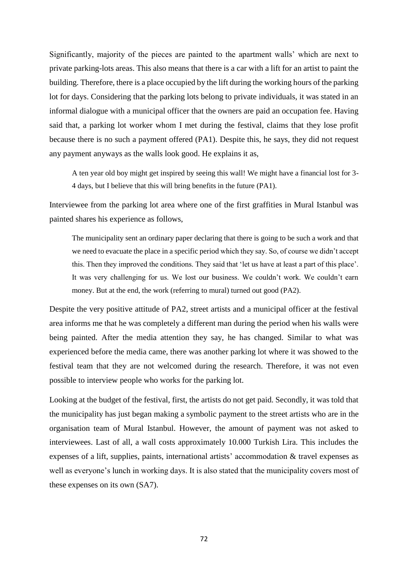Significantly, majority of the pieces are painted to the apartment walls' which are next to private parking-lots areas. This also means that there is a car with a lift for an artist to paint the building. Therefore, there is a place occupied by the lift during the working hours of the parking lot for days. Considering that the parking lots belong to private individuals, it was stated in an informal dialogue with a municipal officer that the owners are paid an occupation fee. Having said that, a parking lot worker whom I met during the festival, claims that they lose profit because there is no such a payment offered (PA1). Despite this, he says, they did not request any payment anyways as the walls look good. He explains it as,

A ten year old boy might get inspired by seeing this wall! We might have a financial lost for 3- 4 days, but I believe that this will bring benefits in the future (PA1).

Interviewee from the parking lot area where one of the first graffities in Mural Istanbul was painted shares his experience as follows,

The municipality sent an ordinary paper declaring that there is going to be such a work and that we need to evacuate the place in a specific period which they say. So, of course we didn't accept this. Then they improved the conditions. They said that 'let us have at least a part of this place'. It was very challenging for us. We lost our business. We couldn't work. We couldn't earn money. But at the end, the work (referring to mural) turned out good (PA2).

Despite the very positive attitude of PA2, street artists and a municipal officer at the festival area informs me that he was completely a different man during the period when his walls were being painted. After the media attention they say, he has changed. Similar to what was experienced before the media came, there was another parking lot where it was showed to the festival team that they are not welcomed during the research. Therefore, it was not even possible to interview people who works for the parking lot.

Looking at the budget of the festival, first, the artists do not get paid. Secondly, it was told that the municipality has just began making a symbolic payment to the street artists who are in the organisation team of Mural Istanbul. However, the amount of payment was not asked to interviewees. Last of all, a wall costs approximately 10.000 Turkish Lira. This includes the expenses of a lift, supplies, paints, international artists' accommodation & travel expenses as well as everyone's lunch in working days. It is also stated that the municipality covers most of these expenses on its own (SA7).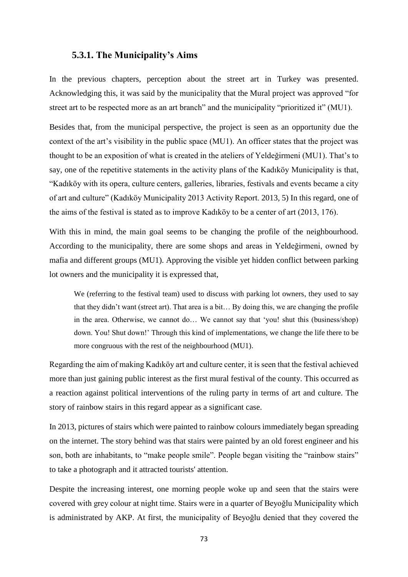#### **5.3.1. The Municipality's Aims**

In the previous chapters, perception about the street art in Turkey was presented. Acknowledging this, it was said by the municipality that the Mural project was approved "for street art to be respected more as an art branch" and the municipality "prioritized it" (MU1).

Besides that, from the municipal perspective, the project is seen as an opportunity due the context of the art's visibility in the public space (MU1). An officer states that the project was thought to be an exposition of what is created in the ateliers of Yeldeğirmeni (MU1). That's to say, one of the repetitive statements in the activity plans of the Kadıköy Municipality is that, "Kadıköy with its opera, culture centers, galleries, libraries, festivals and events became a city of art and culture" (Kadıköy Municipality 2013 Activity Report. 2013, 5) In this regard, one of the aims of the festival is stated as to improve Kadıköy to be a center of art (2013, 176).

With this in mind, the main goal seems to be changing the profile of the neighbourhood. According to the municipality, there are some shops and areas in Yeldeğirmeni, owned by mafia and different groups (MU1). Approving the visible yet hidden conflict between parking lot owners and the municipality it is expressed that,

We (referring to the festival team) used to discuss with parking lot owners, they used to say that they didn't want (street art). That area is a bit… By doing this, we are changing the profile in the area. Otherwise, we cannot do… We cannot say that 'you! shut this (business/shop) down. You! Shut down!' Through this kind of implementations, we change the life there to be more congruous with the rest of the neighbourhood (MU1).

Regarding the aim of making Kadıköy art and culture center, it is seen that the festival achieved more than just gaining public interest as the first mural festival of the county. This occurred as a reaction against political interventions of the ruling party in terms of art and culture. The story of rainbow stairs in this regard appear as a significant case.

In 2013, pictures of stairs which were painted to rainbow colours immediately began spreading on the internet. The story behind was that stairs were painted by an old forest engineer and his son, both are inhabitants, to "make people smile". People began visiting the "rainbow stairs" to take a photograph and it attracted tourists' attention.

Despite the increasing interest, one morning people woke up and seen that the stairs were covered with grey colour at night time. Stairs were in a quarter of Beyoğlu Municipality which is administrated by AKP. At first, the municipality of Beyoğlu denied that they covered the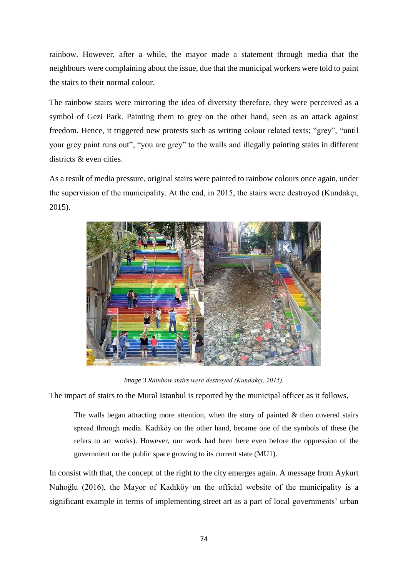rainbow. However, after a while, the mayor made a statement through media that the neighbours were complaining about the issue, due that the municipal workers were told to paint the stairs to their normal colour.

The rainbow stairs were mirroring the idea of diversity therefore, they were perceived as a symbol of Gezi Park. Painting them to grey on the other hand, seen as an attack against freedom. Hence, it triggered new protests such as writing colour related texts; "grey", "until your grey paint runs out", "you are grey" to the walls and illegally painting stairs in different districts & even cities.

As a result of media pressure, original stairs were painted to rainbow colours once again, under the supervision of the municipality. At the end, in 2015, the stairs were destroyed (Kundakçı, 2015).



*Image 3 Rainbow stairs were destroyed (Kundakçı, 2015).*

The impact of stairs to the Mural Istanbul is reported by the municipal officer as it follows,

The walls began attracting more attention, when the story of painted  $\&$  then covered stairs spread through media. Kadıköy on the other hand, became one of the symbols of these (he refers to art works). However, our work had been here even before the oppression of the government on the public space growing to its current state (MU1).

In consist with that, the concept of the right to the city emerges again. A message from Aykurt Nuhoğlu (2016), the Mayor of Kadıköy on the official website of the municipality is a significant example in terms of implementing street art as a part of local governments' urban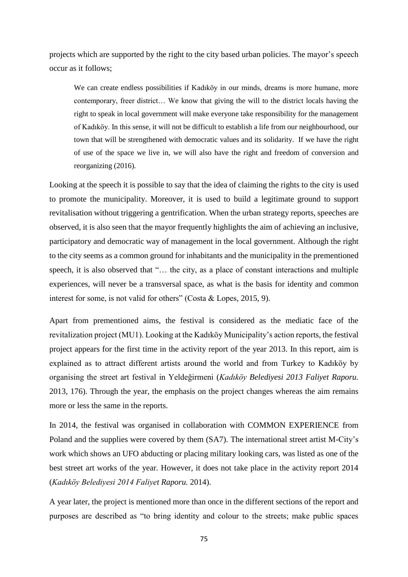projects which are supported by the right to the city based urban policies. The mayor's speech occur as it follows;

We can create endless possibilities if Kadıköy in our minds, dreams is more humane, more contemporary, freer district… We know that giving the will to the district locals having the right to speak in local government will make everyone take responsibility for the management of Kadıköy. In this sense, it will not be difficult to establish a life from our neighbourhood, our town that will be strengthened with democratic values and its solidarity. If we have the right of use of the space we live in, we will also have the right and freedom of conversion and reorganizing (2016).

Looking at the speech it is possible to say that the idea of claiming the rights to the city is used to promote the municipality. Moreover, it is used to build a legitimate ground to support revitalisation without triggering a gentrification. When the urban strategy reports, speeches are observed, it is also seen that the mayor frequently highlights the aim of achieving an inclusive, participatory and democratic way of management in the local government. Although the right to the city seems as a common ground for inhabitants and the municipality in the prementioned speech, it is also observed that "... the city, as a place of constant interactions and multiple experiences, will never be a transversal space, as what is the basis for identity and common interest for some, is not valid for others" (Costa & Lopes, 2015, 9).

Apart from prementioned aims, the festival is considered as the mediatic face of the revitalization project (MU1). Looking at the Kadıköy Municipality's action reports, the festival project appears for the first time in the activity report of the year 2013. In this report, aim is explained as to attract different artists around the world and from Turkey to Kadıköy by organising the street art festival in Yeldeğirmeni (*Kadıköy Belediyesi 2013 Faliyet Raporu.* 2013, 176). Through the year, the emphasis on the project changes whereas the aim remains more or less the same in the reports.

In 2014, the festival was organised in collaboration with COMMON EXPERIENCE from Poland and the supplies were covered by them (SA7). The international street artist M-City's work which shows an UFO abducting or placing military looking cars, was listed as one of the best street art works of the year. However, it does not take place in the activity report 2014 (*Kadıköy Belediyesi 2014 Faliyet Raporu.* 2014).

A year later, the project is mentioned more than once in the different sections of the report and purposes are described as "to bring identity and colour to the streets; make public spaces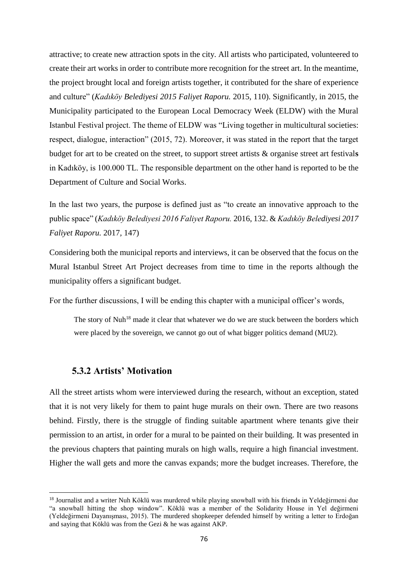attractive; to create new attraction spots in the city. All artists who participated, volunteered to create their art works in order to contribute more recognition for the street art. In the meantime, the project brought local and foreign artists together, it contributed for the share of experience and culture" (*Kadıköy Belediyesi 2015 Faliyet Raporu.* 2015, 110). Significantly, in 2015, the Municipality participated to the European Local Democracy Week (ELDW) with the Mural Istanbul Festival project. The theme of ELDW was "Living together in multicultural societies: respect, dialogue, interaction" (2015, 72). Moreover, it was stated in the report that the target budget for art to be created on the street, to support street artists & organise street art festival**s**  in Kadıköy, is 100.000 TL. The responsible department on the other hand is reported to be the Department of Culture and Social Works.

In the last two years, the purpose is defined just as "to create an innovative approach to the public space" (*Kadıköy Belediyesi 2016 Faliyet Raporu.* 2016, 132. & *Kadıköy Belediyesi 2017 Faliyet Raporu.* 2017*,* 147)

Considering both the municipal reports and interviews, it can be observed that the focus on the Mural Istanbul Street Art Project decreases from time to time in the reports although the municipality offers a significant budget.

For the further discussions, I will be ending this chapter with a municipal officer's words,

The story of Nuh<sup>18</sup> made it clear that whatever we do we are stuck between the borders which were placed by the sovereign, we cannot go out of what bigger politics demand (MU2).

# **5.3.2 Artists' Motivation**

1

All the street artists whom were interviewed during the research, without an exception, stated that it is not very likely for them to paint huge murals on their own. There are two reasons behind. Firstly, there is the struggle of finding suitable apartment where tenants give their permission to an artist, in order for a mural to be painted on their building. It was presented in the previous chapters that painting murals on high walls, require a high financial investment. Higher the wall gets and more the canvas expands; more the budget increases. Therefore, the

<sup>18</sup> Journalist and a writer Nuh Köklü was murdered while playing snowball with his friends in Yeldeğirmeni due "a snowball hitting the shop window". Köklü was a member of the Solidarity House in Yel değirmeni (Yeldeğirmeni Dayanışması, 2015). The murdered shopkeeper defended himself by writing a letter to Erdoğan and saying that Köklü was from the Gezi & he was against AKP.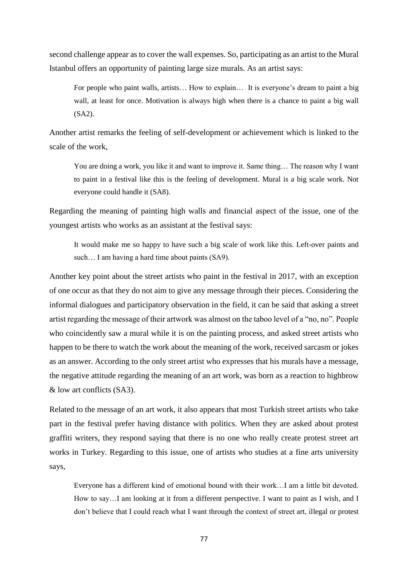second challenge appear as to cover the wall expenses. So, participating as an artist to the Mural Istanbul offers an opportunity of painting large size murals. As an artist says:

For people who paint walls, artists... How to explain... It is everyone's dream to paint a big wall, at least for once. Motivation is always high when there is a chance to paint a big wall (SA2).

Another artist remarks the feeling of self-development or achievement which is linked to the scale of the work,

You are doing a work, you like it and want to improve it. Same thing… The reason why I want to paint in a festival like this is the feeling of development. Mural is a big scale work. Not everyone could handle it (SA8).

Regarding the meaning of painting high walls and financial aspect of the issue, one of the youngest artists who works as an assistant at the festival says:

It would make me so happy to have such a big scale of work like this. Left-over paints and such... I am having a hard time about paints (SA9).

Another key point about the street artists who paint in the festival in 2017, with an exception of one occur as that they do not aim to give any message through their pieces. Considering the informal dialogues and participatory observation in the field, it can be said that asking a street artist regarding the message of their artwork was almost on the taboo level of a "no, no". People who coincidently saw a mural while it is on the painting process, and asked street artists who happen to be there to watch the work about the meaning of the work, received sarcasm or jokes as an answer. According to the only street artist who expresses that his murals have a message, the negative attitude regarding the meaning of an art work, was born as a reaction to highbrow & low art conflicts (SA3).

Related to the message of an art work, it also appears that most Turkish street artists who take part in the festival prefer having distance with politics. When they are asked about protest graffiti writers, they respond saying that there is no one who really create protest street art works in Turkey. Regarding to this issue, one of artists who studies at a fine arts university says,

Everyone has a different kind of emotional bound with their work…I am a little bit devoted. How to say…I am looking at it from a different perspective. I want to paint as I wish, and I don't believe that I could reach what I want through the context of street art, illegal or protest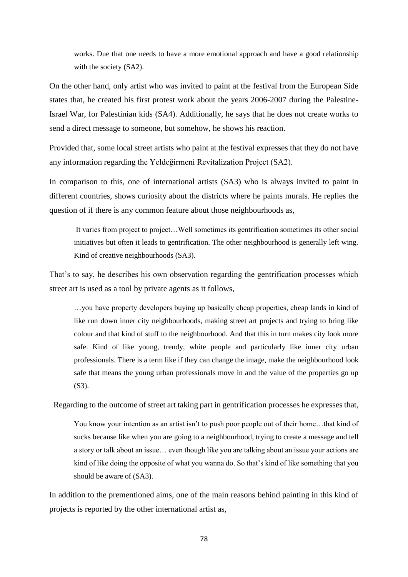works. Due that one needs to have a more emotional approach and have a good relationship with the society (SA2).

On the other hand, only artist who was invited to paint at the festival from the European Side states that, he created his first protest work about the years 2006-2007 during the Palestine-Israel War, for Palestinian kids (SA4). Additionally, he says that he does not create works to send a direct message to someone, but somehow, he shows his reaction.

Provided that, some local street artists who paint at the festival expresses that they do not have any information regarding the Yeldeğirmeni Revitalization Project (SA2).

In comparison to this, one of international artists (SA3) who is always invited to paint in different countries, shows curiosity about the districts where he paints murals. He replies the question of if there is any common feature about those neighbourhoods as,

It varies from project to project…Well sometimes its gentrification sometimes its other social initiatives but often it leads to gentrification. The other neighbourhood is generally left wing. Kind of creative neighbourhoods (SA3).

That's to say, he describes his own observation regarding the gentrification processes which street art is used as a tool by private agents as it follows,

…you have property developers buying up basically cheap properties, cheap lands in kind of like run down inner city neighbourhoods, making street art projects and trying to bring like colour and that kind of stuff to the neighbourhood. And that this in turn makes city look more safe. Kind of like young, trendy, white people and particularly like inner city urban professionals. There is a term like if they can change the image, make the neighbourhood look safe that means the young urban professionals move in and the value of the properties go up (S3).

Regarding to the outcome of street art taking part in gentrification processes he expresses that,

You know your intention as an artist isn't to push poor people out of their home…that kind of sucks because like when you are going to a neighbourhood, trying to create a message and tell a story or talk about an issue… even though like you are talking about an issue your actions are kind of like doing the opposite of what you wanna do. So that's kind of like something that you should be aware of (SA3).

In addition to the prementioned aims, one of the main reasons behind painting in this kind of projects is reported by the other international artist as,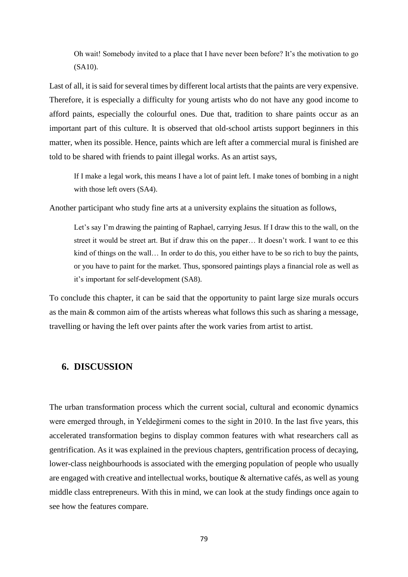Oh wait! Somebody invited to a place that I have never been before? It's the motivation to go (SA10).

Last of all, it is said for several times by different local artists that the paints are very expensive. Therefore, it is especially a difficulty for young artists who do not have any good income to afford paints, especially the colourful ones. Due that, tradition to share paints occur as an important part of this culture. It is observed that old-school artists support beginners in this matter, when its possible. Hence, paints which are left after a commercial mural is finished are told to be shared with friends to paint illegal works. As an artist says,

If I make a legal work, this means I have a lot of paint left. I make tones of bombing in a night with those left overs (SA4).

Another participant who study fine arts at a university explains the situation as follows,

Let's say I'm drawing the painting of Raphael, carrying Jesus. If I draw this to the wall, on the street it would be street art. But if draw this on the paper… It doesn't work. I want to ee this kind of things on the wall... In order to do this, you either have to be so rich to buy the paints, or you have to paint for the market. Thus, sponsored paintings plays a financial role as well as it's important for self-development (SA8).

To conclude this chapter, it can be said that the opportunity to paint large size murals occurs as the main & common aim of the artists whereas what follows this such as sharing a message, travelling or having the left over paints after the work varies from artist to artist.

## **6. DISCUSSION**

The urban transformation process which the current social, cultural and economic dynamics were emerged through, in Yeldeğirmeni comes to the sight in 2010. In the last five years, this accelerated transformation begins to display common features with what researchers call as gentrification. As it was explained in the previous chapters, gentrification process of decaying, lower-class neighbourhoods is associated with the emerging population of people who usually are engaged with creative and intellectual works, boutique & alternative cafés, as well as young middle class entrepreneurs. With this in mind, we can look at the study findings once again to see how the features compare.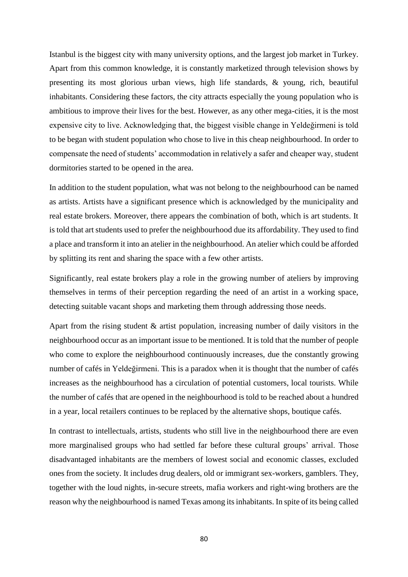Istanbul is the biggest city with many university options, and the largest job market in Turkey. Apart from this common knowledge, it is constantly marketized through television shows by presenting its most glorious urban views, high life standards, & young, rich, beautiful inhabitants. Considering these factors, the city attracts especially the young population who is ambitious to improve their lives for the best. However, as any other mega-cities, it is the most expensive city to live. Acknowledging that, the biggest visible change in Yeldeğirmeni is told to be began with student population who chose to live in this cheap neighbourhood. In order to compensate the need of students' accommodation in relatively a safer and cheaper way, student dormitories started to be opened in the area.

In addition to the student population, what was not belong to the neighbourhood can be named as artists. Artists have a significant presence which is acknowledged by the municipality and real estate brokers. Moreover, there appears the combination of both, which is art students. It is told that art students used to prefer the neighbourhood due its affordability. They used to find a place and transform it into an atelier in the neighbourhood. An atelier which could be afforded by splitting its rent and sharing the space with a few other artists.

Significantly, real estate brokers play a role in the growing number of ateliers by improving themselves in terms of their perception regarding the need of an artist in a working space, detecting suitable vacant shops and marketing them through addressing those needs.

Apart from the rising student & artist population, increasing number of daily visitors in the neighbourhood occur as an important issue to be mentioned. It is told that the number of people who come to explore the neighbourhood continuously increases, due the constantly growing number of cafés in Yeldeğirmeni. This is a paradox when it is thought that the number of cafés increases as the neighbourhood has a circulation of potential customers, local tourists. While the number of cafés that are opened in the neighbourhood is told to be reached about a hundred in a year, local retailers continues to be replaced by the alternative shops, boutique cafés.

In contrast to intellectuals, artists, students who still live in the neighbourhood there are even more marginalised groups who had settled far before these cultural groups' arrival. Those disadvantaged inhabitants are the members of lowest social and economic classes, excluded ones from the society. It includes drug dealers, old or immigrant sex-workers, gamblers. They, together with the loud nights, in-secure streets, mafia workers and right-wing brothers are the reason why the neighbourhood is named Texas among its inhabitants. In spite of its being called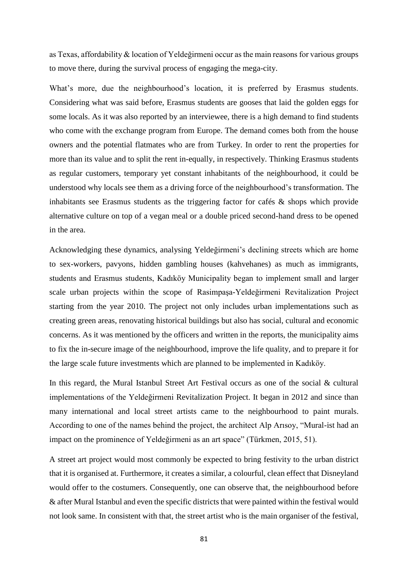as Texas, affordability & location of Yeldeğirmeni occur as the main reasons for various groups to move there, during the survival process of engaging the mega-city.

What's more, due the neighbourhood's location, it is preferred by Erasmus students. Considering what was said before, Erasmus students are gooses that laid the golden eggs for some locals. As it was also reported by an interviewee, there is a high demand to find students who come with the exchange program from Europe. The demand comes both from the house owners and the potential flatmates who are from Turkey. In order to rent the properties for more than its value and to split the rent in-equally, in respectively. Thinking Erasmus students as regular customers, temporary yet constant inhabitants of the neighbourhood, it could be understood why locals see them as a driving force of the neighbourhood's transformation. The inhabitants see Erasmus students as the triggering factor for cafés & shops which provide alternative culture on top of a vegan meal or a double priced second-hand dress to be opened in the area.

Acknowledging these dynamics, analysing Yeldeğirmeni's declining streets which are home to sex-workers, pavyons, hidden gambling houses (kahvehanes) as much as immigrants, students and Erasmus students, Kadıköy Municipality began to implement small and larger scale urban projects within the scope of Rasimpaşa-Yeldeğirmeni Revitalization Project starting from the year 2010. The project not only includes urban implementations such as creating green areas, renovating historical buildings but also has social, cultural and economic concerns. As it was mentioned by the officers and written in the reports, the municipality aims to fix the in-secure image of the neighbourhood, improve the life quality, and to prepare it for the large scale future investments which are planned to be implemented in Kadıköy.

In this regard, the Mural Istanbul Street Art Festival occurs as one of the social & cultural implementations of the Yeldeğirmeni Revitalization Project. It began in 2012 and since than many international and local street artists came to the neighbourhood to paint murals. According to one of the names behind the project, the architect Alp Arısoy, "Mural-ist had an impact on the prominence of Yeldeğirmeni as an art space" (Türkmen, 2015, 51).

A street art project would most commonly be expected to bring festivity to the urban district that it is organised at. Furthermore, it creates a similar, a colourful, clean effect that Disneyland would offer to the costumers. Consequently, one can observe that, the neighbourhood before & after Mural Istanbul and even the specific districts that were painted within the festival would not look same. In consistent with that, the street artist who is the main organiser of the festival,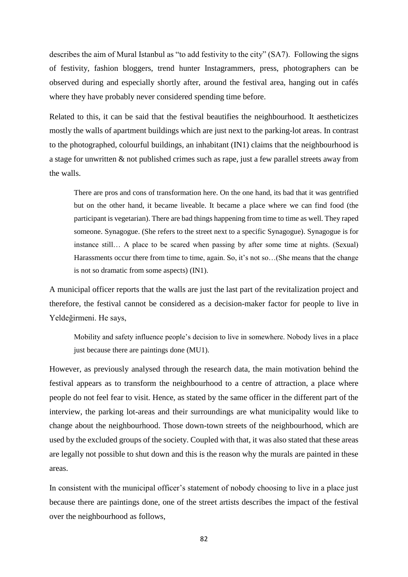describes the aim of Mural Istanbul as "to add festivity to the city" (SA7). Following the signs of festivity, fashion bloggers, trend hunter Instagrammers, press, photographers can be observed during and especially shortly after, around the festival area, hanging out in cafés where they have probably never considered spending time before.

Related to this, it can be said that the festival beautifies the neighbourhood. It aestheticizes mostly the walls of apartment buildings which are just next to the parking-lot areas. In contrast to the photographed, colourful buildings, an inhabitant (IN1) claims that the neighbourhood is a stage for unwritten & not published crimes such as rape, just a few parallel streets away from the walls.

There are pros and cons of transformation here. On the one hand, its bad that it was gentrified but on the other hand, it became liveable. It became a place where we can find food (the participant is vegetarian). There are bad things happening from time to time as well. They raped someone. Synagogue. (She refers to the street next to a specific Synagogue). Synagogue is for instance still… A place to be scared when passing by after some time at nights. (Sexual) Harassments occur there from time to time, again. So, it's not so…(She means that the change is not so dramatic from some aspects) (IN1).

A municipal officer reports that the walls are just the last part of the revitalization project and therefore, the festival cannot be considered as a decision-maker factor for people to live in Yeldeğirmeni. He says,

Mobility and safety influence people's decision to live in somewhere. Nobody lives in a place just because there are paintings done (MU1).

However, as previously analysed through the research data, the main motivation behind the festival appears as to transform the neighbourhood to a centre of attraction, a place where people do not feel fear to visit. Hence, as stated by the same officer in the different part of the interview, the parking lot-areas and their surroundings are what municipality would like to change about the neighbourhood. Those down-town streets of the neighbourhood, which are used by the excluded groups of the society. Coupled with that, it was also stated that these areas are legally not possible to shut down and this is the reason why the murals are painted in these areas.

In consistent with the municipal officer's statement of nobody choosing to live in a place just because there are paintings done, one of the street artists describes the impact of the festival over the neighbourhood as follows,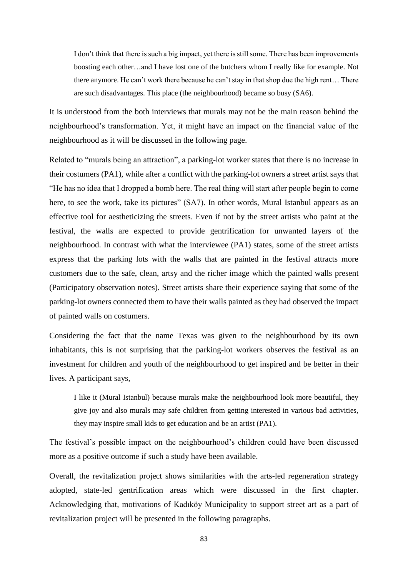I don't think that there is such a big impact, yet there is still some. There has been improvements boosting each other…and I have lost one of the butchers whom I really like for example. Not there anymore. He can't work there because he can't stay in that shop due the high rent… There are such disadvantages. This place (the neighbourhood) became so busy (SA6).

It is understood from the both interviews that murals may not be the main reason behind the neighbourhood's transformation. Yet, it might have an impact on the financial value of the neighbourhood as it will be discussed in the following page.

Related to "murals being an attraction", a parking-lot worker states that there is no increase in their costumers (PA1), while after a conflict with the parking-lot owners a street artist says that "He has no idea that I dropped a bomb here. The real thing will start after people begin to come here, to see the work, take its pictures" (SA7). In other words, Mural Istanbul appears as an effective tool for aestheticizing the streets. Even if not by the street artists who paint at the festival, the walls are expected to provide gentrification for unwanted layers of the neighbourhood. In contrast with what the interviewee (PA1) states, some of the street artists express that the parking lots with the walls that are painted in the festival attracts more customers due to the safe, clean, artsy and the richer image which the painted walls present (Participatory observation notes). Street artists share their experience saying that some of the parking-lot owners connected them to have their walls painted as they had observed the impact of painted walls on costumers.

Considering the fact that the name Texas was given to the neighbourhood by its own inhabitants, this is not surprising that the parking-lot workers observes the festival as an investment for children and youth of the neighbourhood to get inspired and be better in their lives. A participant says,

I like it (Mural Istanbul) because murals make the neighbourhood look more beautiful, they give joy and also murals may safe children from getting interested in various bad activities, they may inspire small kids to get education and be an artist (PA1).

The festival's possible impact on the neighbourhood's children could have been discussed more as a positive outcome if such a study have been available.

Overall, the revitalization project shows similarities with the arts-led regeneration strategy adopted, state-led gentrification areas which were discussed in the first chapter. Acknowledging that, motivations of Kadıköy Municipality to support street art as a part of revitalization project will be presented in the following paragraphs.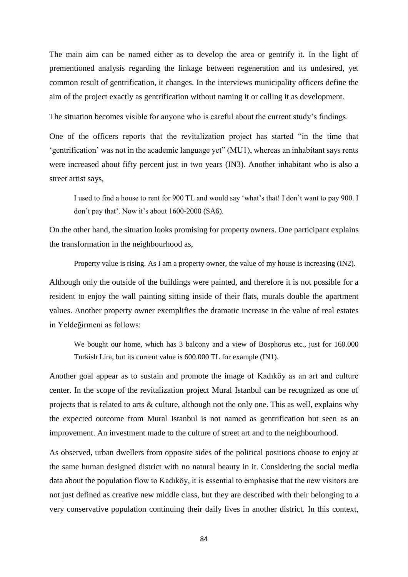The main aim can be named either as to develop the area or gentrify it. In the light of prementioned analysis regarding the linkage between regeneration and its undesired, yet common result of gentrification, it changes. In the interviews municipality officers define the aim of the project exactly as gentrification without naming it or calling it as development.

The situation becomes visible for anyone who is careful about the current study's findings.

One of the officers reports that the revitalization project has started "in the time that 'gentrification' was not in the academic language yet" (MU1), whereas an inhabitant says rents were increased about fifty percent just in two years (IN3). Another inhabitant who is also a street artist says,

I used to find a house to rent for 900 TL and would say 'what's that! I don't want to pay 900. I don't pay that'. Now it's about 1600-2000 (SA6).

On the other hand, the situation looks promising for property owners. One participant explains the transformation in the neighbourhood as,

Property value is rising. As I am a property owner, the value of my house is increasing (IN2).

Although only the outside of the buildings were painted, and therefore it is not possible for a resident to enjoy the wall painting sitting inside of their flats, murals double the apartment values. Another property owner exemplifies the dramatic increase in the value of real estates in Yeldeğirmeni as follows:

We bought our home, which has 3 balcony and a view of Bosphorus etc., just for 160.000 Turkish Lira, but its current value is 600.000 TL for example (IN1).

Another goal appear as to sustain and promote the image of Kadıköy as an art and culture center. In the scope of the revitalization project Mural Istanbul can be recognized as one of projects that is related to arts & culture, although not the only one. This as well, explains why the expected outcome from Mural Istanbul is not named as gentrification but seen as an improvement. An investment made to the culture of street art and to the neighbourhood.

As observed, urban dwellers from opposite sides of the political positions choose to enjoy at the same human designed district with no natural beauty in it. Considering the social media data about the population flow to Kadıköy, it is essential to emphasise that the new visitors are not just defined as creative new middle class, but they are described with their belonging to a very conservative population continuing their daily lives in another district. In this context,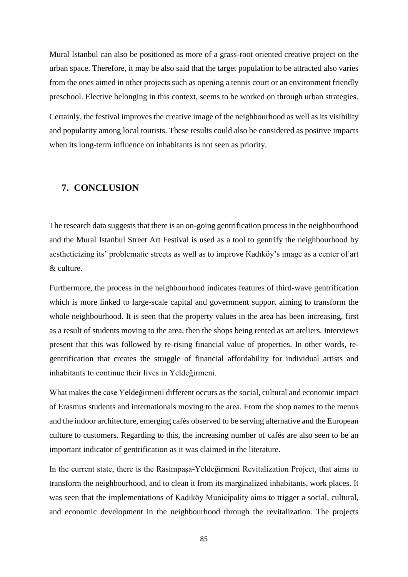Mural Istanbul can also be positioned as more of a grass-root oriented creative project on the urban space. Therefore, it may be also said that the target population to be attracted also varies from the ones aimed in other projects such as opening a tennis court or an environment friendly preschool. Elective belonging in this context, seems to be worked on through urban strategies.

Certainly, the festival improves the creative image of the neighbourhood as well as its visibility and popularity among local tourists. These results could also be considered as positive impacts when its long-term influence on inhabitants is not seen as priority.

# **7. CONCLUSION**

The research data suggests that there is an on-going gentrification process in the neighbourhood and the Mural Istanbul Street Art Festival is used as a tool to gentrify the neighbourhood by aestheticizing its' problematic streets as well as to improve Kadıköy's image as a center of art & culture.

Furthermore, the process in the neighbourhood indicates features of third-wave gentrification which is more linked to large-scale capital and government support aiming to transform the whole neighbourhood. It is seen that the property values in the area has been increasing, first as a result of students moving to the area, then the shops being rented as art ateliers. Interviews present that this was followed by re-rising financial value of properties. In other words, regentrification that creates the struggle of financial affordability for individual artists and inhabitants to continue their lives in Yeldeğirmeni.

What makes the case Yeldeğirmeni different occurs as the social, cultural and economic impact of Erasmus students and internationals moving to the area. From the shop names to the menus and the indoor architecture, emerging cafés observed to be serving alternative and the European culture to customers. Regarding to this, the increasing number of cafés are also seen to be an important indicator of gentrification as it was claimed in the literature.

In the current state, there is the Rasimpaşa-Yeldeğirmeni Revitalization Project, that aims to transform the neighbourhood, and to clean it from its marginalized inhabitants, work places. It was seen that the implementations of Kadıköy Municipality aims to trigger a social, cultural, and economic development in the neighbourhood through the revitalization. The projects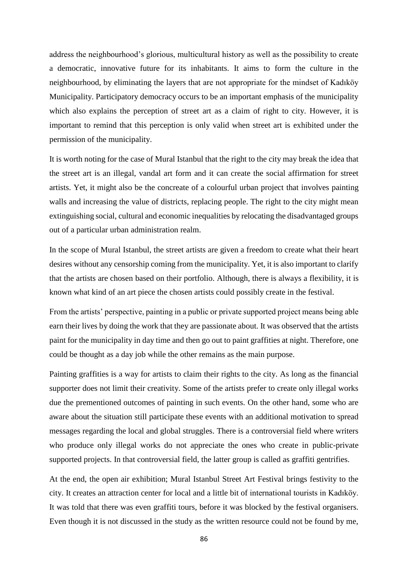address the neighbourhood's glorious, multicultural history as well as the possibility to create a democratic, innovative future for its inhabitants. It aims to form the culture in the neighbourhood, by eliminating the layers that are not appropriate for the mindset of Kadıköy Municipality. Participatory democracy occurs to be an important emphasis of the municipality which also explains the perception of street art as a claim of right to city. However, it is important to remind that this perception is only valid when street art is exhibited under the permission of the municipality.

It is worth noting for the case of Mural Istanbul that the right to the city may break the idea that the street art is an illegal, vandal art form and it can create the social affirmation for street artists. Yet, it might also be the concreate of a colourful urban project that involves painting walls and increasing the value of districts, replacing people. The right to the city might mean extinguishing social, cultural and economic inequalities by relocating the disadvantaged groups out of a particular urban administration realm.

In the scope of Mural Istanbul, the street artists are given a freedom to create what their heart desires without any censorship coming from the municipality. Yet, it is also important to clarify that the artists are chosen based on their portfolio. Although, there is always a flexibility, it is known what kind of an art piece the chosen artists could possibly create in the festival.

From the artists' perspective, painting in a public or private supported project means being able earn their lives by doing the work that they are passionate about. It was observed that the artists paint for the municipality in day time and then go out to paint graffities at night. Therefore, one could be thought as a day job while the other remains as the main purpose.

Painting graffities is a way for artists to claim their rights to the city. As long as the financial supporter does not limit their creativity. Some of the artists prefer to create only illegal works due the prementioned outcomes of painting in such events. On the other hand, some who are aware about the situation still participate these events with an additional motivation to spread messages regarding the local and global struggles. There is a controversial field where writers who produce only illegal works do not appreciate the ones who create in public-private supported projects. In that controversial field, the latter group is called as graffiti gentrifies.

At the end, the open air exhibition; Mural Istanbul Street Art Festival brings festivity to the city. It creates an attraction center for local and a little bit of international tourists in Kadıköy. It was told that there was even graffiti tours, before it was blocked by the festival organisers. Even though it is not discussed in the study as the written resource could not be found by me,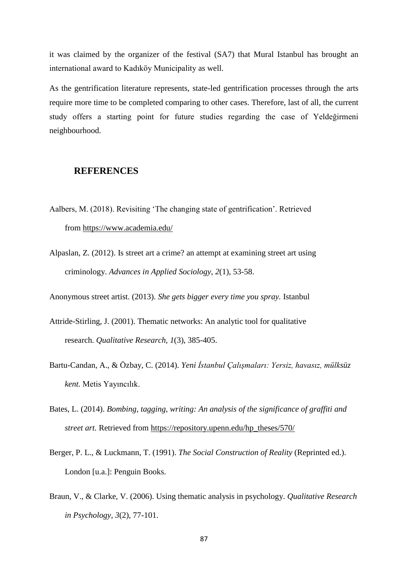it was claimed by the organizer of the festival (SA7) that Mural Istanbul has brought an international award to Kadıköy Municipality as well.

As the gentrification literature represents, state-led gentrification processes through the arts require more time to be completed comparing to other cases. Therefore, last of all, the current study offers a starting point for future studies regarding the case of Yeldeğirmeni neighbourhood.

# **REFERENCES**

- Aalbers, M. (2018). Revisiting 'The changing state of gentrification'. Retrieved from <https://www.academia.edu/>
- Alpaslan, Z. (2012). Is street art a crime? an attempt at examining street art using criminology. *Advances in Applied Sociology, 2*(1), 53-58.

Anonymous street artist. (2013). *She gets bigger every time you spray.* Istanbul

- Attride-Stirling, J. (2001). Thematic networks: An analytic tool for qualitative research. *Qualitative Research, 1*(3), 385-405.
- Bartu-Candan, A., & Özbay, C. (2014). *Yeni İstanbul Çalışmaları: Yersiz, havasız, mülksüz kent.* Metis Yayıncılık.
- Bates, L. (2014). *Bombing, tagging, writing: An analysis of the significance of graffiti and street art.* Retrieved from [https://repository.upenn.edu/hp\\_theses/570/](https://repository.upenn.edu/hp_theses/570/)
- Berger, P. L., & Luckmann, T. (1991). *The Social Construction of Reality* (Reprinted ed.). London [u.a.]: Penguin Books.
- Braun, V., & Clarke, V. (2006). Using thematic analysis in psychology. *Qualitative Research in Psychology, 3*(2), 77-101.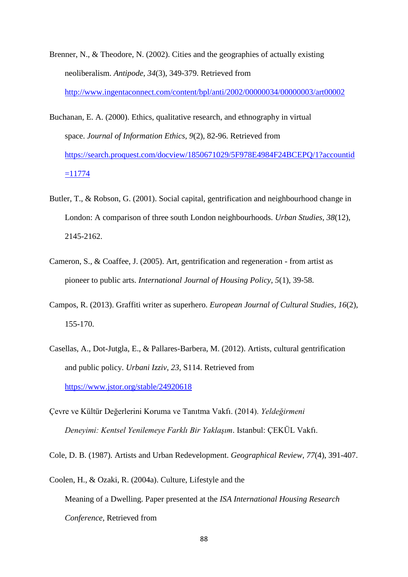- Brenner, N., & Theodore, N. (2002). Cities and the geographies of actually existing neoliberalism. *Antipode, 34*(3), 349-379. Retrieved from <http://www.ingentaconnect.com/content/bpl/anti/2002/00000034/00000003/art00002>
- Buchanan, E. A. (2000). Ethics, qualitative research, and ethnography in virtual space. *Journal of Information Ethics, 9*(2), 82-96. Retrieved from [https://search.proquest.com/docview/1850671029/5F978E4984F24BCEPQ/1?accountid](https://search.proquest.com/docview/1850671029/5F978E4984F24BCEPQ/1?accountid=11774)  $=11774$
- Butler, T., & Robson, G. (2001). Social capital, gentrification and neighbourhood change in London: A comparison of three south London neighbourhoods. *Urban Studies, 38*(12), 2145-2162.
- Cameron, S., & Coaffee, J. (2005). Art, gentrification and regeneration from artist as pioneer to public arts. *International Journal of Housing Policy, 5*(1), 39-58.
- Campos, R. (2013). Graffiti writer as superhero. *European Journal of Cultural Studies, 16*(2), 155-170.
- Casellas, A., Dot-Jutgla, E., & Pallares-Barbera, M. (2012). Artists, cultural gentrification and public policy. *Urbani Izziv, 23*, S114. Retrieved from <https://www.jstor.org/stable/24920618>
- Çevre ve Kültür Değerlerini Koruma ve Tanıtma Vakfı. (2014). *Yeldeğirmeni Deneyimi: Kentsel Yenilemeye Farklı Bir Yaklaşım*. Istanbul: ÇEKÜL Vakfı.

Cole, D. B. (1987). Artists and Urban Redevelopment. *Geographical Review, 77*(4), 391-407.

Coolen, H., & Ozaki, R. (2004a). Culture, Lifestyle and the

Meaning of a Dwelling. Paper presented at the *ISA International Housing Research Conference,* Retrieved from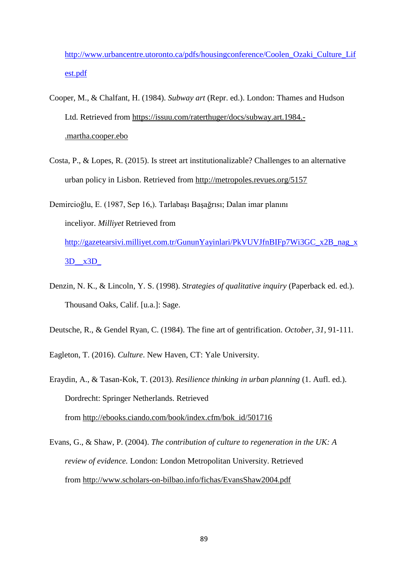[http://www.urbancentre.utoronto.ca/pdfs/housingconference/Coolen\\_Ozaki\\_Culture\\_Lif](http://www.urbancentre.utoronto.ca/pdfs/housingconference/Coolen_Ozaki_Culture_Lifest.pdf) [est.pdf](http://www.urbancentre.utoronto.ca/pdfs/housingconference/Coolen_Ozaki_Culture_Lifest.pdf)

- Cooper, M., & Chalfant, H. (1984). *Subway art* (Repr. ed.). London: Thames and Hudson Ltd. Retrieved from [https://issuu.com/raterthuger/docs/subway.art.1984.-](https://issuu.com/raterthuger/docs/subway.art.1984.-.martha.cooper.ebo) [.martha.cooper.ebo](https://issuu.com/raterthuger/docs/subway.art.1984.-.martha.cooper.ebo)
- Costa, P., & Lopes, R. (2015). Is street art institutionalizable? Challenges to an alternative urban policy in Lisbon. Retrieved from <http://metropoles.revues.org/5157>
- Demircioğlu, E. (1987, Sep 16,). Tarlabaşı Başağrısı; Dalan imar planını inceliyor. *Milliyet* Retrieved from [http://gazetearsivi.milliyet.com.tr/GununYayinlari/PkVUVJfnBIFp7Wi3GC\\_x2B\\_nag\\_x](http://gazetearsivi.milliyet.com.tr/GununYayinlari/PkVUVJfnBIFp7Wi3GC_x2B_nag_x3D__x3D_) [3D\\_\\_x3D\\_](http://gazetearsivi.milliyet.com.tr/GununYayinlari/PkVUVJfnBIFp7Wi3GC_x2B_nag_x3D__x3D_)
- Denzin, N. K., & Lincoln, Y. S. (1998). *Strategies of qualitative inquiry* (Paperback ed. ed.). Thousand Oaks, Calif. [u.a.]: Sage.
- Deutsche, R., & Gendel Ryan, C. (1984). The fine art of gentrification. *October, 31*, 91-111.
- Eagleton, T. (2016). *Culture*. New Haven, CT: Yale University.

Eraydin, A., & Tasan-Kok, T. (2013). *Resilience thinking in urban planning* (1. Aufl. ed.). Dordrecht: Springer Netherlands. Retrieved from [http://ebooks.ciando.com/book/index.cfm/bok\\_id/501716](http://ebooks.ciando.com/book/index.cfm/bok_id/501716)

Evans, G., & Shaw, P. (2004). *The contribution of culture to regeneration in the UK: A review of evidence.* London: London Metropolitan University. Retrieved from <http://www.scholars-on-bilbao.info/fichas/EvansShaw2004.pdf>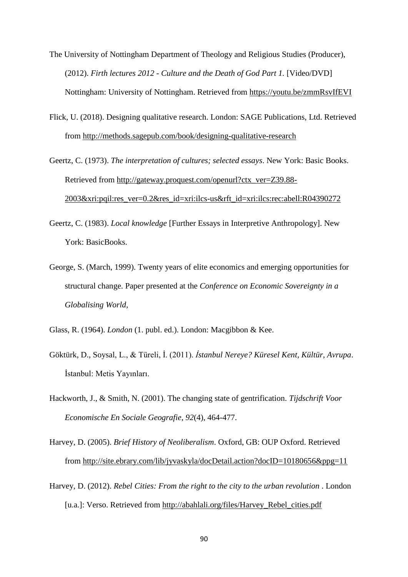- The University of Nottingham Department of Theology and Religious Studies (Producer), (2012). *Firth lectures 2012 - Culture and the Death of God Part 1.* [Video/DVD] Nottingham: University of Nottingham. Retrieved from <https://youtu.be/zmmRsvIfEVI>
- Flick, U. (2018). Designing qualitative research. London: SAGE Publications, Ltd. Retrieved from <http://methods.sagepub.com/book/designing-qualitative-research>

Geertz, C. (1973). *The interpretation of cultures; selected essays*. New York: Basic Books. Retrieved from [http://gateway.proquest.com/openurl?ctx\\_ver=Z39.88-](http://gateway.proquest.com/openurl?ctx_ver=Z39.88-2003&xri:pqil:res_ver=0.2&res_id=xri:ilcs-us&rft_id=xri:ilcs:rec:abell:R04390272) [2003&xri:pqil:res\\_ver=0.2&res\\_id=xri:ilcs-us&rft\\_id=xri:ilcs:rec:abell:R04390272](http://gateway.proquest.com/openurl?ctx_ver=Z39.88-2003&xri:pqil:res_ver=0.2&res_id=xri:ilcs-us&rft_id=xri:ilcs:rec:abell:R04390272)

- Geertz, C. (1983). *Local knowledge* [Further Essays in Interpretive Anthropology]. New York: BasicBooks.
- George, S. (March, 1999). Twenty years of elite economics and emerging opportunities for structural change. Paper presented at the *Conference on Economic Sovereignty in a Globalising World,*
- Glass, R. (1964). *London* (1. publ. ed.). London: Macgibbon & Kee.
- Göktürk, D., Soysal, L., & Türeli, İ. (2011). *İstanbul Nereye? Küresel Kent, Kültür, Avrupa*. İstanbul: Metis Yayınları.
- Hackworth, J., & Smith, N. (2001). The changing state of gentrification. *Tijdschrift Voor Economische En Sociale Geografie, 92*(4), 464-477.

Harvey, D. (2005). *Brief History of Neoliberalism*. Oxford, GB: OUP Oxford. Retrieved from <http://site.ebrary.com/lib/jyvaskyla/docDetail.action?docID=10180656&ppg=11>

Harvey, D. (2012). *Rebel Cities: From the right to the city to the urban revolution* . London [u.a.]: Verso. Retrieved from [http://abahlali.org/files/Harvey\\_Rebel\\_cities.pdf](http://abahlali.org/files/Harvey_Rebel_cities.pdf)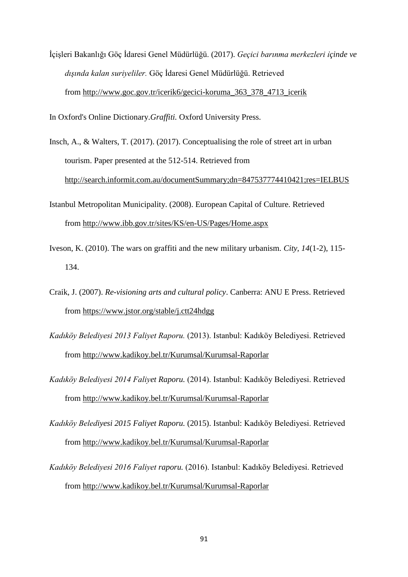İçişleri Bakanlığı Göç İdaresi Genel Müdürlüğü. (2017). *Geçici barınma merkezleri ı̇çinde ve dışında kalan suriyeliler.* Göç İdaresi Genel Müdürlüğü. Retrieved from [http://www.goc.gov.tr/icerik6/gecici-koruma\\_363\\_378\\_4713\\_icerik](http://www.goc.gov.tr/icerik6/gecici-koruma_363_378_4713_icerik)

In Oxford's Online Dictionary.*Graffiti.* Oxford University Press.

- Insch, A., & Walters, T. (2017). (2017). Conceptualising the role of street art in urban tourism. Paper presented at the 512-514. Retrieved from <http://search.informit.com.au/documentSummary;dn=847537774410421;res=IELBUS>
- Istanbul Metropolitan Municipality. (2008). European Capital of Culture. Retrieved from <http://www.ibb.gov.tr/sites/KS/en-US/Pages/Home.aspx>
- Iveson, K. (2010). The wars on graffiti and the new military urbanism. *City, 14*(1-2), 115- 134.
- Craik, J. (2007). *Re-visioning arts and cultural policy*. Canberra: ANU E Press. Retrieved from <https://www.jstor.org/stable/j.ctt24hdgg>
- *Kadıköy Belediyesi 2013 Faliyet Raporu.* (2013). Istanbul: Kadıköy Belediyesi. Retrieved from <http://www.kadikoy.bel.tr/Kurumsal/Kurumsal-Raporlar>
- *Kadıköy Belediyesi 2014 Faliyet Raporu.* (2014). Istanbul: Kadıköy Belediyesi. Retrieved from <http://www.kadikoy.bel.tr/Kurumsal/Kurumsal-Raporlar>
- *Kadıköy Belediyesi 2015 Faliyet Raporu.* (2015). Istanbul: Kadıköy Belediyesi. Retrieved from <http://www.kadikoy.bel.tr/Kurumsal/Kurumsal-Raporlar>
- *Kadıköy Belediyesi 2016 Faliyet raporu.* (2016). Istanbul: Kadıköy Belediyesi. Retrieved from <http://www.kadikoy.bel.tr/Kurumsal/Kurumsal-Raporlar>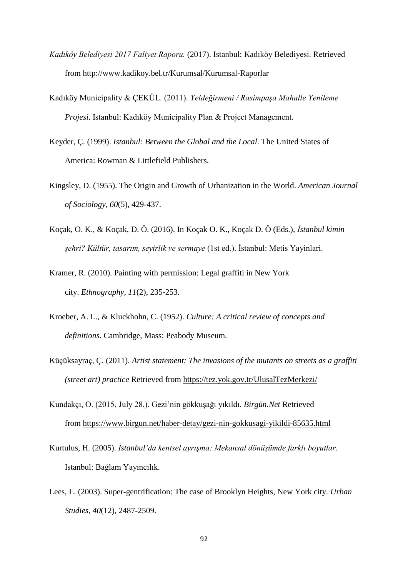- *Kadıköy Belediyesi 2017 Faliyet Raporu.* (2017). Istanbul: Kadıköy Belediyesi. Retrieved from <http://www.kadikoy.bel.tr/Kurumsal/Kurumsal-Raporlar>
- Kadıköy Municipality & ÇEKÜL. (2011). *Yeldeğirmeni / Rasimpaşa Mahalle Yenileme Projesi*. Istanbul: Kadıköy Municipality Plan & Project Management.
- Keyder, Ç. (1999). *Istanbul: Between the Global and the Local*. The United States of America: Rowman & Littlefield Publishers.
- Kingsley, D. (1955). The Origin and Growth of Urbanization in the World. *American Journal of Sociology, 60*(5), 429-437.
- Koçak, O. K., & Koçak, D. Ö. (2016). In Koçak O. K., Koçak D. Ö (Eds.), *İstanbul kimin şehri? Kültür, tasarım, seyirlik ve sermaye* (1st ed.). İstanbul: Metis Yayinlari.
- Kramer, R. (2010). Painting with permission: Legal graffiti in New York city. *Ethnography, 11*(2), 235-253.
- Kroeber, A. L., & Kluckhohn, C. (1952). *Culture: A critical review of concepts and definitions*. Cambridge, Mass: Peabody Museum.
- Küçüksayraç, Ç. (2011). *Artist statement: The invasions of the mutants on streets as a graffiti (street art) practice* Retrieved from <https://tez.yok.gov.tr/UlusalTezMerkezi/>
- Kundakçı, O. (2015, July 28,). Gezi'nin gökkuşağı yıkıldı. *Birgün.Net* Retrieved from <https://www.birgun.net/haber-detay/gezi-nin-gokkusagi-yikildi-85635.html>
- Kurtulus, H. (2005). *İstanbul'da kentsel ayrışma: Mekansal dönüşümde farklı boyutlar*. Istanbul: Bağlam Yayıncılık.
- Lees, L. (2003). Super-gentrification: The case of Brooklyn Heights, New York city. *Urban Studies, 40*(12), 2487-2509.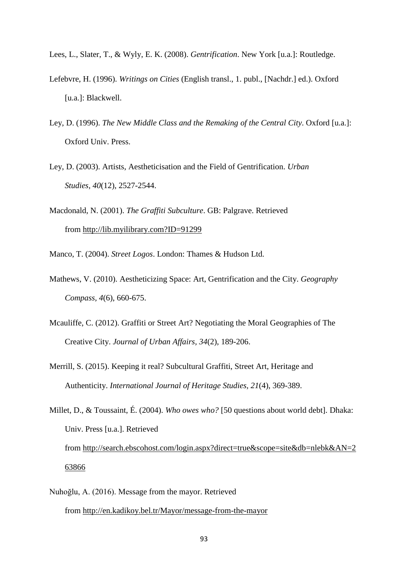- Lees, L., Slater, T., & Wyly, E. K. (2008). *Gentrification*. New York [u.a.]: Routledge.
- Lefebvre, H. (1996). *Writings on Cities* (English transl., 1. publ., [Nachdr.] ed.). Oxford [u.a.]: Blackwell.
- Ley, D. (1996). *The New Middle Class and the Remaking of the Central City*. Oxford [u.a.]: Oxford Univ. Press.
- Ley, D. (2003). Artists, Aestheticisation and the Field of Gentrification. *Urban Studies, 40*(12), 2527-2544.
- Macdonald, N. (2001). *The Graffiti Subculture*. GB: Palgrave. Retrieved from [http://lib.myilibrary.com?ID=91299](http://lib.myilibrary.com/?ID=91299)
- Manco, T. (2004). *Street Logos*. London: Thames & Hudson Ltd.
- Mathews, V. (2010). Aestheticizing Space: Art, Gentrification and the City. *Geography Compass, 4*(6), 660-675.
- Mcauliffe, C. (2012). Graffiti or Street Art? Negotiating the Moral Geographies of The Creative City. *Journal of Urban Affairs, 34*(2), 189-206.
- Merrill, S. (2015). Keeping it real? Subcultural Graffiti, Street Art, Heritage and Authenticity. *International Journal of Heritage Studies, 21*(4), 369-389.
- Millet, D., & Toussaint, É. (2004). *Who owes who?* [50 questions about world debt]. Dhaka: Univ. Press [u.a.]. Retrieved from [http://search.ebscohost.com/login.aspx?direct=true&scope=site&db=nlebk&AN=2](http://search.ebscohost.com/login.aspx?direct=true&scope=site&db=nlebk&AN=263866) [63866](http://search.ebscohost.com/login.aspx?direct=true&scope=site&db=nlebk&AN=263866)
- Nuhoğlu, A. (2016). Message from the mayor. Retrieved from <http://en.kadikoy.bel.tr/Mayor/message-from-the-mayor>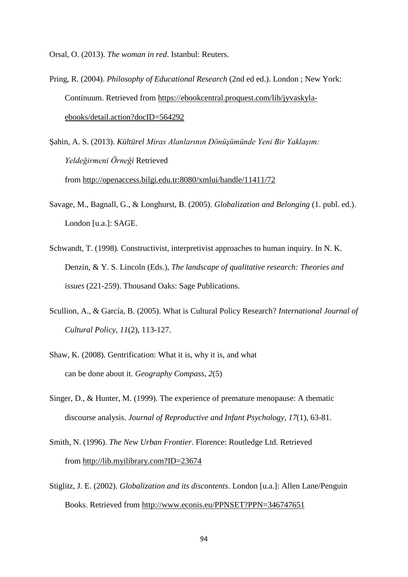Orsal, O. (2013). *The woman in red*. Istanbul: Reuters.

- Pring, R. (2004). *Philosophy of Educational Research* (2nd ed ed.). London ; New York: Continuum. Retrieved from [https://ebookcentral.proquest.com/lib/jyvaskyla](https://ebookcentral.proquest.com/lib/jyvaskyla-ebooks/detail.action?docID=564292)[ebooks/detail.action?docID=564292](https://ebookcentral.proquest.com/lib/jyvaskyla-ebooks/detail.action?docID=564292)
- Şahin, A. S. (2013). *Kültürel Miras Alanlarının Dönüşümünde Yeni Bir Yaklaşım: Yeldeğirmeni Örneği* Retrieved from <http://openaccess.bilgi.edu.tr:8080/xmlui/handle/11411/72>
- Savage, M., Bagnall, G., & Longhurst, B. (2005). *Globalization and Belonging* (1. publ. ed.). London [u.a.]: SAGE.
- Schwandt, T. (1998). Constructivist, interpretivist approaches to human inquiry. In N. K. Denzin, & Y. S. Lincoln (Eds.), *The landscape of qualitative research: Theories and issues* (221-259). Thousand Oaks: Sage Publications.
- Scullion, A., & García, B. (2005). What is Cultural Policy Research? *International Journal of Cultural Policy, 11*(2), 113-127.
- Shaw, K. (2008). Gentrification: What it is, why it is, and what can be done about it. *Geography Compass, 2*(5)
- Singer, D., & Hunter, M. (1999). The experience of premature menopause: A thematic discourse analysis. *Journal of Reproductive and Infant Psychology, 17*(1), 63-81.
- Smith, N. (1996). *The New Urban Frontier*. Florence: Routledge Ltd. Retrieved from [http://lib.myilibrary.com?ID=23674](http://lib.myilibrary.com/?ID=23674)
- Stiglitz, J. E. (2002). *Globalization and its discontents*. London [u.a.]: Allen Lane/Penguin Books. Retrieved from <http://www.econis.eu/PPNSET?PPN=346747651>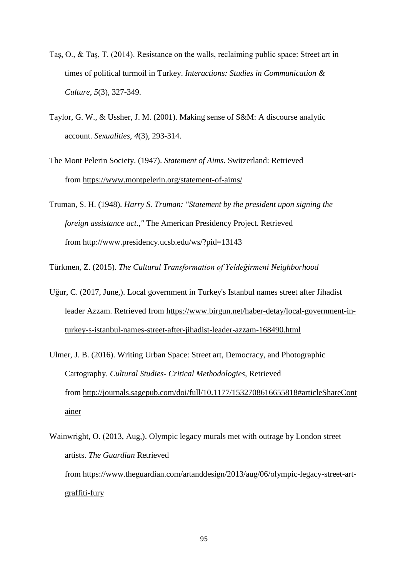- Taş, O., & Taş, T. (2014). Resistance on the walls, reclaiming public space: Street art in times of political turmoil in Turkey. *Interactions: Studies in Communication & Culture, 5*(3), 327-349.
- Taylor, G. W., & Ussher, J. M. (2001). Making sense of S&M: A discourse analytic account. *Sexualities, 4*(3), 293-314.
- The Mont Pelerin Society. (1947). *Statement of Aims*. Switzerland: Retrieved from <https://www.montpelerin.org/statement-of-aims/>
- Truman, S. H. (1948). *Harry S. Truman: "Statement by the president upon signing the foreign assistance act.,"* The American Presidency Project. Retrieved from <http://www.presidency.ucsb.edu/ws/?pid=13143>

Türkmen, Z. (2015). *The Cultural Transformation of Yeldeğirmeni Neighborhood*

- Uğur, C. (2017, June,). Local government in Turkey's Istanbul names street after Jihadist leader Azzam. Retrieved from [https://www.birgun.net/haber-detay/local-government-in](https://www.birgun.net/haber-detay/local-government-in-turkey-s-istanbul-names-street-after-jihadist-leader-azzam-168490.html)[turkey-s-istanbul-names-street-after-jihadist-leader-azzam-168490.html](https://www.birgun.net/haber-detay/local-government-in-turkey-s-istanbul-names-street-after-jihadist-leader-azzam-168490.html)
- Ulmer, J. B. (2016). Writing Urban Space: Street art, Democracy, and Photographic Cartography. *Cultural Studies- Critical Methodologies,* Retrieved from [http://journals.sagepub.com/doi/full/10.1177/1532708616655818#articleShareCont](http://journals.sagepub.com/doi/full/10.1177/1532708616655818#articleShareContainer) [ainer](http://journals.sagepub.com/doi/full/10.1177/1532708616655818#articleShareContainer)
- Wainwright, O. (2013, Aug,). Olympic legacy murals met with outrage by London street artists. *The Guardian* Retrieved from [https://www.theguardian.com/artanddesign/2013/aug/06/olympic-legacy-street-art](https://www.theguardian.com/artanddesign/2013/aug/06/olympic-legacy-street-art-graffiti-fury)[graffiti-fury](https://www.theguardian.com/artanddesign/2013/aug/06/olympic-legacy-street-art-graffiti-fury)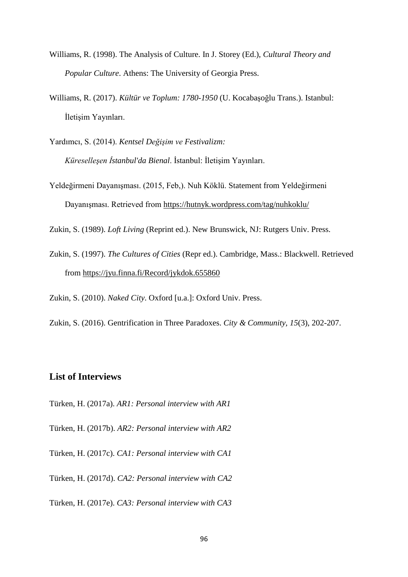- Williams, R. (1998). The Analysis of Culture. In J. Storey (Ed.), *Cultural Theory and Popular Culture*. Athens: The University of Georgia Press.
- Williams, R. (2017). *Kültür ve Toplum: 1780-1950* (U. Kocabaşoğlu Trans.). Istanbul: İletişim Yayınları.
- Yardımcı, S. (2014). *Kentsel Değişim ve Festivalizm: Küreselleşen İstanbul'da Bienal*. İstanbul: İletişim Yayınları.
- Yeldeğirmeni Dayanışması. (2015, Feb,). Nuh Köklü. Statement from Yeldeğirmeni Dayanışması. Retrieved from <https://hutnyk.wordpress.com/tag/nuhkoklu/>

Zukin, S. (1989). *Loft Living* (Reprint ed.). New Brunswick, NJ: Rutgers Univ. Press.

Zukin, S. (1997). *The Cultures of Cities* (Repr ed.). Cambridge, Mass.: Blackwell. Retrieved from <https://jyu.finna.fi/Record/jykdok.655860>

Zukin, S. (2010). *Naked City*. Oxford [u.a.]: Oxford Univ. Press.

Zukin, S. (2016). Gentrification in Three Paradoxes. *City & Community, 15*(3), 202-207.

# **List of Interviews**

- Türken, H. (2017a). *AR1: Personal interview with AR1*
- Türken, H. (2017b). *AR2: Personal interview with AR2*
- Türken, H. (2017c). *CA1: Personal interview with CA1*
- Türken, H. (2017d). *CA2: Personal interview with CA2*

Türken, H. (2017e). *CA3: Personal interview with CA3*